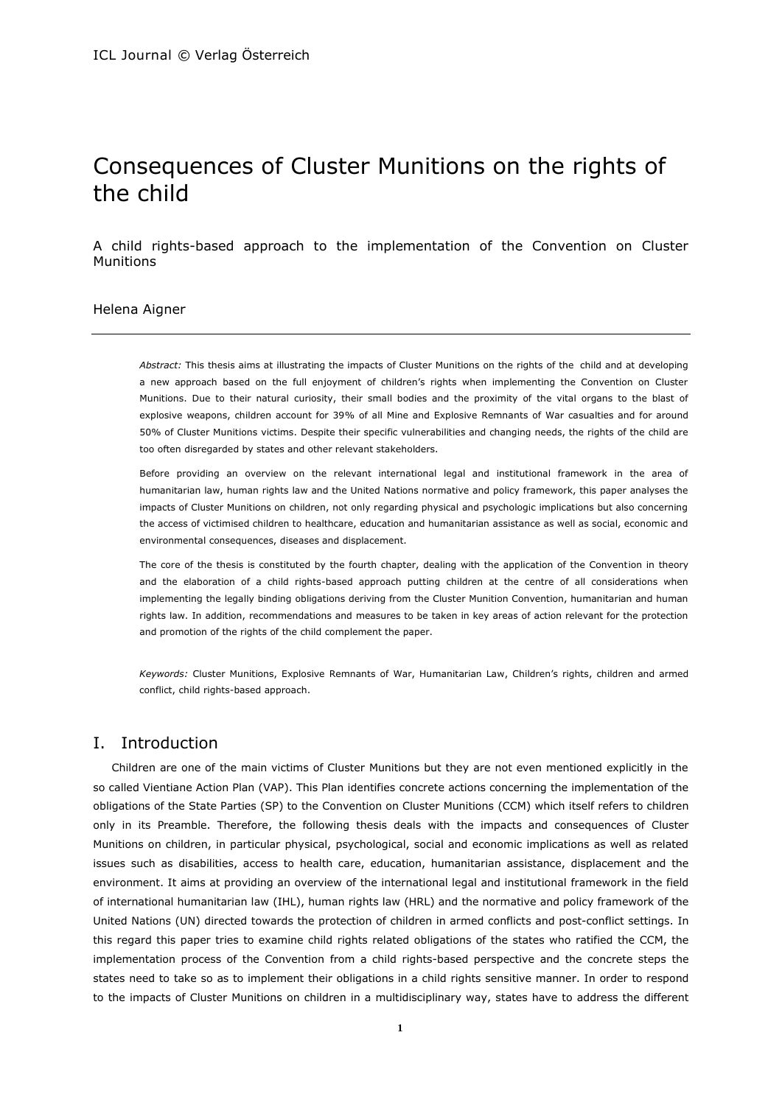# Consequences of Cluster Munitions on the rights of the child

A child rights-based approach to the implementation of the Convention on Cluster Munitions

### Helena Aigner

*Abstract:* This thesis aims at illustrating the impacts of Cluster Munitions on the rights of the child and at developing a new approach based on the full enjoyment of children's rights when implementing the Convention on Cluster Munitions. Due to their natural curiosity, their small bodies and the proximity of the vital organs to the blast of explosive weapons, children account for 39% of all Mine and Explosive Remnants of War casualties and for around 50% of Cluster Munitions victims. Despite their specific vulnerabilities and changing needs, the rights of the child are too often disregarded by states and other relevant stakeholders.

Before providing an overview on the relevant international legal and institutional framework in the area of humanitarian law, human rights law and the United Nations normative and policy framework, this paper analyses the impacts of Cluster Munitions on children, not only regarding physical and psychologic implications but also concerning the access of victimised children to healthcare, education and humanitarian assistance as well as social, economic and environmental consequences, diseases and displacement.

The core of the thesis is constituted by the fourth chapter, dealing with the application of the Convention in theory and the elaboration of a child rights-based approach putting children at the centre of all considerations when implementing the legally binding obligations deriving from the Cluster Munition Convention, humanitarian and human rights law. In addition, recommendations and measures to be taken in key areas of action relevant for the protection and promotion of the rights of the child complement the paper.

*Keywords:* Cluster Munitions, Explosive Remnants of War, Humanitarian Law, Children's rights, children and armed conflict, child rights-based approach.

# I. Introduction

Children are one of the main victims of Cluster Munitions but they are not even mentioned explicitly in the so called Vientiane Action Plan (VAP). This Plan identifies concrete actions concerning the implementation of the obligations of the State Parties (SP) to the Convention on Cluster Munitions (CCM) which itself refers to children only in its Preamble. Therefore, the following thesis deals with the impacts and consequences of Cluster Munitions on children, in particular physical, psychological, social and economic implications as well as related issues such as disabilities, access to health care, education, humanitarian assistance, displacement and the environment. It aims at providing an overview of the international legal and institutional framework in the field of international humanitarian law (IHL), human rights law (HRL) and the normative and policy framework of the United Nations (UN) directed towards the protection of children in armed conflicts and post-conflict settings. In this regard this paper tries to examine child rights related obligations of the states who ratified the CCM, the implementation process of the Convention from a child rights-based perspective and the concrete steps the states need to take so as to implement their obligations in a child rights sensitive manner. In order to respond to the impacts of Cluster Munitions on children in a multidisciplinary way, states have to address the different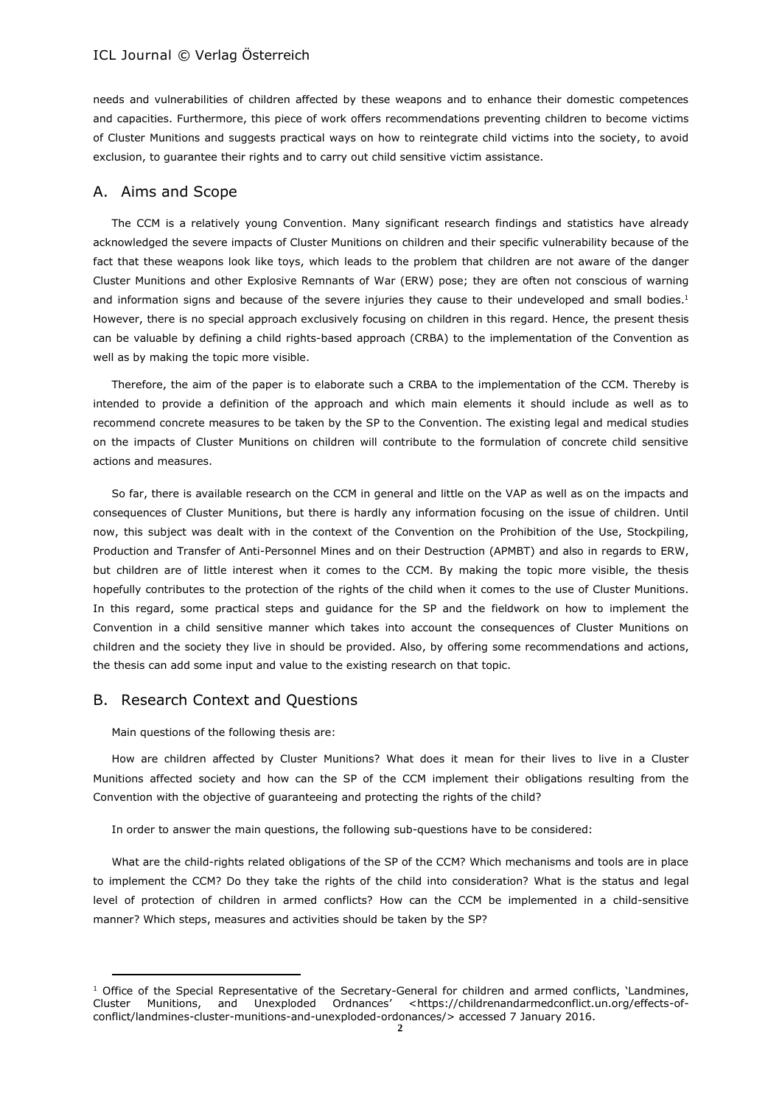needs and vulnerabilities of children affected by these weapons and to enhance their domestic competences and capacities. Furthermore, this piece of work offers recommendations preventing children to become victims of Cluster Munitions and suggests practical ways on how to reintegrate child victims into the society, to avoid exclusion, to guarantee their rights and to carry out child sensitive victim assistance.

### A. Aims and Scope

The CCM is a relatively young Convention. Many significant research findings and statistics have already acknowledged the severe impacts of Cluster Munitions on children and their specific vulnerability because of the fact that these weapons look like toys, which leads to the problem that children are not aware of the danger Cluster Munitions and other Explosive Remnants of War (ERW) pose; they are often not conscious of warning and information signs and because of the severe injuries they cause to their undeveloped and small bodies.<sup>1</sup> However, there is no special approach exclusively focusing on children in this regard. Hence, the present thesis can be valuable by defining a child rights-based approach (CRBA) to the implementation of the Convention as well as by making the topic more visible.

Therefore, the aim of the paper is to elaborate such a CRBA to the implementation of the CCM. Thereby is intended to provide a definition of the approach and which main elements it should include as well as to recommend concrete measures to be taken by the SP to the Convention. The existing legal and medical studies on the impacts of Cluster Munitions on children will contribute to the formulation of concrete child sensitive actions and measures.

So far, there is available research on the CCM in general and little on the VAP as well as on the impacts and consequences of Cluster Munitions, but there is hardly any information focusing on the issue of children. Until now, this subject was dealt with in the context of the Convention on the Prohibition of the Use, Stockpiling, Production and Transfer of Anti-Personnel Mines and on their Destruction (APMBT) and also in regards to ERW, but children are of little interest when it comes to the CCM. By making the topic more visible, the thesis hopefully contributes to the protection of the rights of the child when it comes to the use of Cluster Munitions. In this regard, some practical steps and guidance for the SP and the fieldwork on how to implement the Convention in a child sensitive manner which takes into account the consequences of Cluster Munitions on children and the society they live in should be provided. Also, by offering some recommendations and actions, the thesis can add some input and value to the existing research on that topic.

#### B. Research Context and Questions

Main questions of the following thesis are:

How are children affected by Cluster Munitions? What does it mean for their lives to live in a Cluster Munitions affected society and how can the SP of the CCM implement their obligations resulting from the Convention with the objective of guaranteeing and protecting the rights of the child?

In order to answer the main questions, the following sub-questions have to be considered:

What are the child-rights related obligations of the SP of the CCM? Which mechanisms and tools are in place to implement the CCM? Do they take the rights of the child into consideration? What is the status and legal level of protection of children in armed conflicts? How can the CCM be implemented in a child-sensitive manner? Which steps, measures and activities should be taken by the SP?

 $1$  Office of the Special Representative of the Secretary-General for children and armed conflicts, 'Landmines, Cluster Munitions, and Unexploded Ordnances' <https://childrenandarmedconflict.un.org/effects-ofconflict/landmines-cluster-munitions-and-unexploded-ordonances/> accessed 7 January 2016.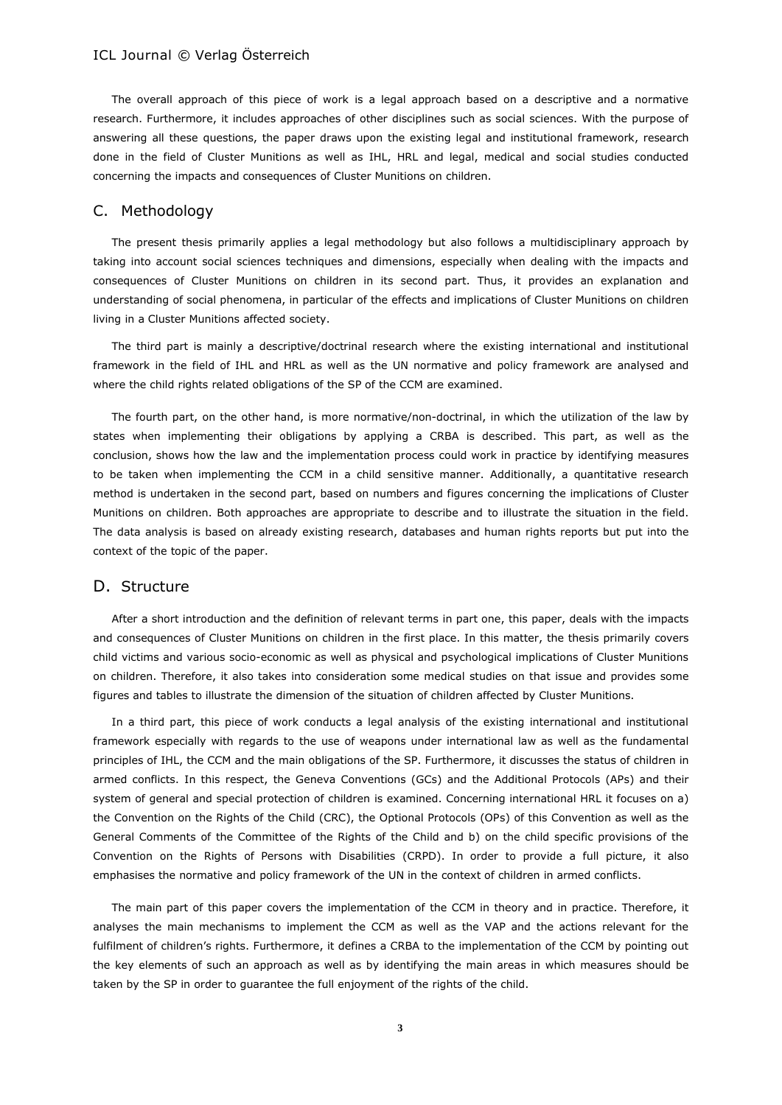The overall approach of this piece of work is a legal approach based on a descriptive and a normative research. Furthermore, it includes approaches of other disciplines such as social sciences. With the purpose of answering all these questions, the paper draws upon the existing legal and institutional framework, research done in the field of Cluster Munitions as well as IHL, HRL and legal, medical and social studies conducted concerning the impacts and consequences of Cluster Munitions on children.

# C. Methodology

The present thesis primarily applies a legal methodology but also follows a multidisciplinary approach by taking into account social sciences techniques and dimensions, especially when dealing with the impacts and consequences of Cluster Munitions on children in its second part. Thus, it provides an explanation and understanding of social phenomena, in particular of the effects and implications of Cluster Munitions on children living in a Cluster Munitions affected society.

The third part is mainly a descriptive/doctrinal research where the existing international and institutional framework in the field of IHL and HRL as well as the UN normative and policy framework are analysed and where the child rights related obligations of the SP of the CCM are examined.

The fourth part, on the other hand, is more normative/non-doctrinal, in which the utilization of the law by states when implementing their obligations by applying a CRBA is described. This part, as well as the conclusion, shows how the law and the implementation process could work in practice by identifying measures to be taken when implementing the CCM in a child sensitive manner. Additionally, a quantitative research method is undertaken in the second part, based on numbers and figures concerning the implications of Cluster Munitions on children. Both approaches are appropriate to describe and to illustrate the situation in the field. The data analysis is based on already existing research, databases and human rights reports but put into the context of the topic of the paper.

# D. Structure

After a short introduction and the definition of relevant terms in part one, this paper, deals with the impacts and consequences of Cluster Munitions on children in the first place. In this matter, the thesis primarily covers child victims and various socio-economic as well as physical and psychological implications of Cluster Munitions on children. Therefore, it also takes into consideration some medical studies on that issue and provides some figures and tables to illustrate the dimension of the situation of children affected by Cluster Munitions.

In a third part, this piece of work conducts a legal analysis of the existing international and institutional framework especially with regards to the use of weapons under international law as well as the fundamental principles of IHL, the CCM and the main obligations of the SP. Furthermore, it discusses the status of children in armed conflicts. In this respect, the Geneva Conventions (GCs) and the Additional Protocols (APs) and their system of general and special protection of children is examined. Concerning international HRL it focuses on a) the Convention on the Rights of the Child (CRC), the Optional Protocols (OPs) of this Convention as well as the General Comments of the Committee of the Rights of the Child and b) on the child specific provisions of the Convention on the Rights of Persons with Disabilities (CRPD). In order to provide a full picture, it also emphasises the normative and policy framework of the UN in the context of children in armed conflicts.

The main part of this paper covers the implementation of the CCM in theory and in practice. Therefore, it analyses the main mechanisms to implement the CCM as well as the VAP and the actions relevant for the fulfilment of children's rights. Furthermore, it defines a CRBA to the implementation of the CCM by pointing out the key elements of such an approach as well as by identifying the main areas in which measures should be taken by the SP in order to guarantee the full enjoyment of the rights of the child.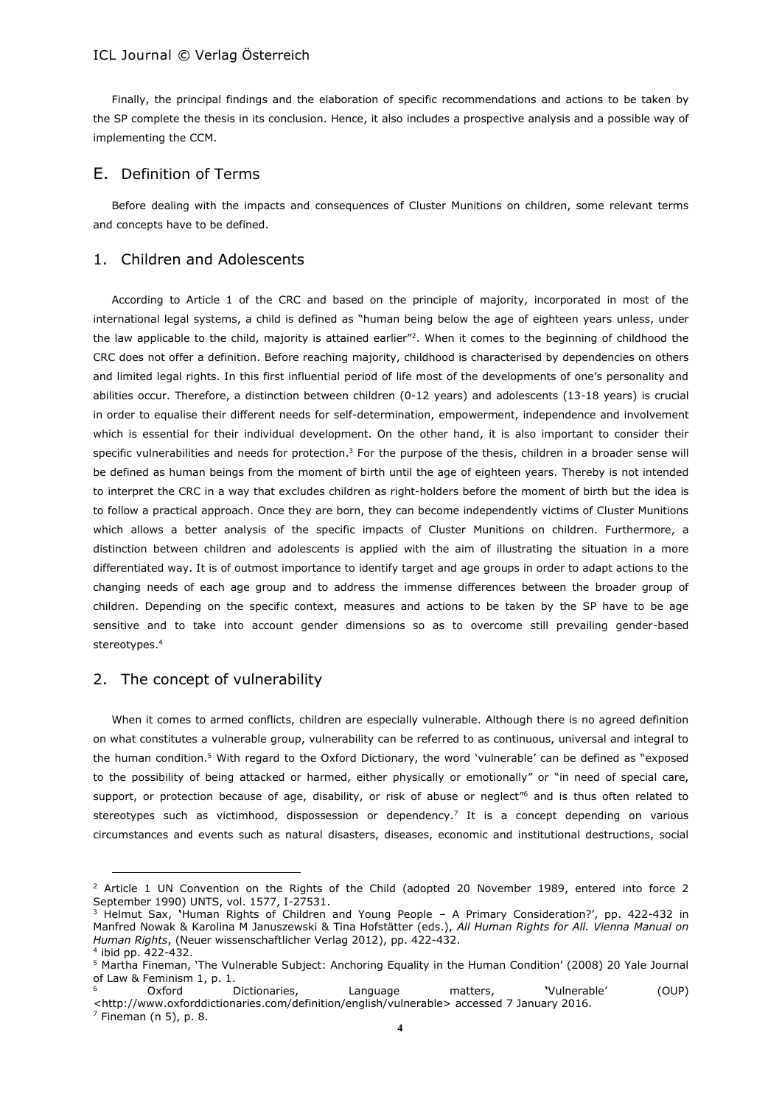Finally, the principal findings and the elaboration of specific recommendations and actions to be taken by the SP complete the thesis in its conclusion. Hence, it also includes a prospective analysis and a possible way of implementing the CCM.

### E. Definition of Terms

Before dealing with the impacts and consequences of Cluster Munitions on children, some relevant terms and concepts have to be defined.

# 1. Children and Adolescents

According to Article 1 of the CRC and based on the principle of majority, incorporated in most of the international legal systems, a child is defined as "human being below the age of eighteen years unless, under the law applicable to the child, majority is attained earlier"<sup>2</sup>. When it comes to the beginning of childhood the CRC does not offer a definition. Before reaching majority, childhood is characterised by dependencies on others and limited legal rights. In this first influential period of life most of the developments of one's personality and abilities occur. Therefore, a distinction between children (0-12 years) and adolescents (13-18 years) is crucial in order to equalise their different needs for self-determination, empowerment, independence and involvement which is essential for their individual development. On the other hand, it is also important to consider their specific vulnerabilities and needs for protection. <sup>3</sup> For the purpose of the thesis, children in a broader sense will be defined as human beings from the moment of birth until the age of eighteen years. Thereby is not intended to interpret the CRC in a way that excludes children as right-holders before the moment of birth but the idea is to follow a practical approach. Once they are born, they can become independently victims of Cluster Munitions which allows a better analysis of the specific impacts of Cluster Munitions on children. Furthermore, a distinction between children and adolescents is applied with the aim of illustrating the situation in a more differentiated way. It is of outmost importance to identify target and age groups in order to adapt actions to the changing needs of each age group and to address the immense differences between the broader group of children. Depending on the specific context, measures and actions to be taken by the SP have to be age sensitive and to take into account gender dimensions so as to overcome still prevailing gender-based stereotypes.<sup>4</sup>

#### 2. The concept of vulnerability

When it comes to armed conflicts, children are especially vulnerable. Although there is no agreed definition on what constitutes a vulnerable group, vulnerability can be referred to as continuous, universal and integral to the human condition.<sup>5</sup> With regard to the Oxford Dictionary, the word 'vulnerable' can be defined as "exposed to the possibility of being attacked or harmed, either physically or emotionally" or "in need of special care, support, or protection because of age, disability, or risk of abuse or neglect<sup>*n*6</sup> and is thus often related to stereotypes such as victimhood, dispossession or dependency.<sup>7</sup> It is a concept depending on various circumstances and events such as natural disasters, diseases, economic and institutional destructions, social

 $2$  Article 1 UN Convention on the Rights of the Child (adopted 20 November 1989, entered into force 2 September 1990) UNTS, vol. 1577, I-27531.

<sup>3</sup> Helmut Sax, **'**Human Rights of Children and Young People – A Primary Consideration?', pp. 422-432 in Manfred Nowak & Karolina M Januszewski & Tina Hofstätter (eds.), *All Human Rights for All. Vienna Manual on Human Rights*, (Neuer wissenschaftlicher Verlag 2012), pp. 422-432.

<sup>4</sup> ibid pp. 422-432.

<sup>5</sup> Martha Fineman, 'The Vulnerable Subject: Anchoring Equality in the Human Condition' (2008) 20 Yale Journal of Law & Feminism 1, p. 1.

<sup>6</sup> Oxford Dictionaries, Language matters, **'**Vulnerable' (OUP) <http://www.oxforddictionaries.com/definition/english/vulnerable> accessed 7 January 2016.

 $<sup>7</sup>$  Fineman (n 5), p. 8.</sup>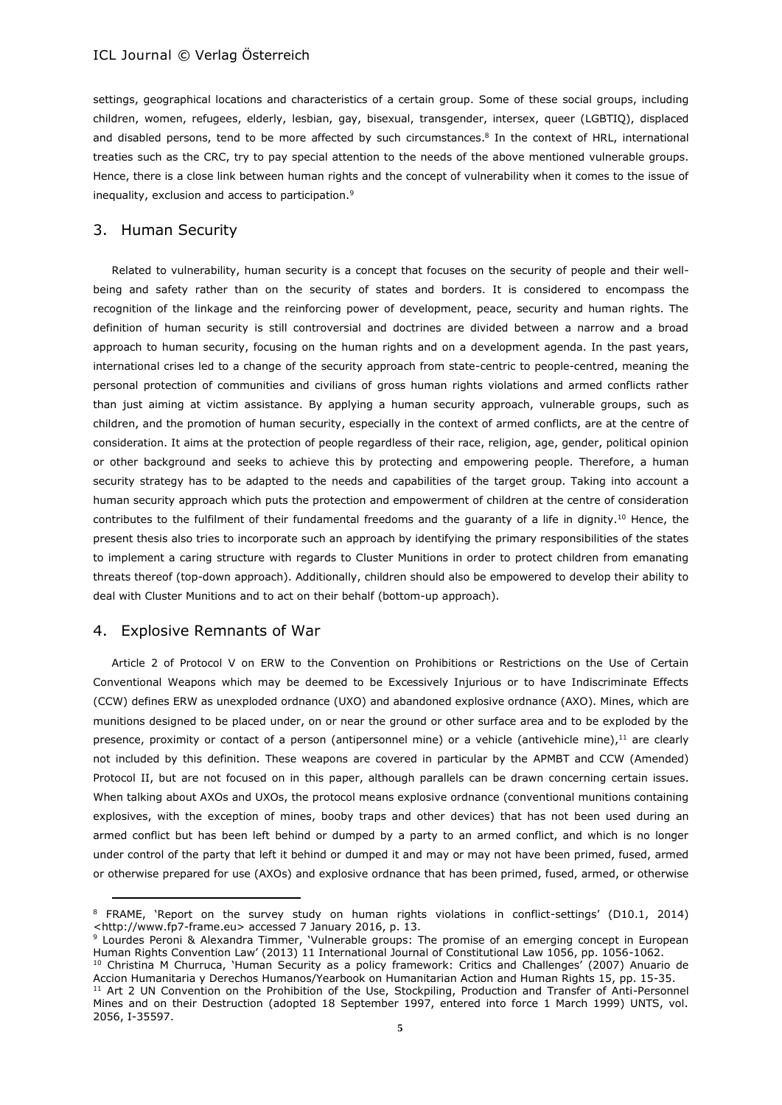settings, geographical locations and characteristics of a certain group. Some of these social groups, including children, women, refugees, elderly, lesbian, gay, bisexual, transgender, intersex, queer (LGBTIQ), displaced and disabled persons, tend to be more affected by such circumstances. 8 In the context of HRL, international treaties such as the CRC, try to pay special attention to the needs of the above mentioned vulnerable groups. Hence, there is a close link between human rights and the concept of vulnerability when it comes to the issue of inequality, exclusion and access to participation.<sup>9</sup>

### 3. Human Security

Related to vulnerability, human security is a concept that focuses on the security of people and their wellbeing and safety rather than on the security of states and borders. It is considered to encompass the recognition of the linkage and the reinforcing power of development, peace, security and human rights. The definition of human security is still controversial and doctrines are divided between a narrow and a broad approach to human security, focusing on the human rights and on a development agenda. In the past years, international crises led to a change of the security approach from state-centric to people-centred, meaning the personal protection of communities and civilians of gross human rights violations and armed conflicts rather than just aiming at victim assistance. By applying a human security approach, vulnerable groups, such as children, and the promotion of human security, especially in the context of armed conflicts, are at the centre of consideration. It aims at the protection of people regardless of their race, religion, age, gender, political opinion or other background and seeks to achieve this by protecting and empowering people. Therefore, a human security strategy has to be adapted to the needs and capabilities of the target group. Taking into account a human security approach which puts the protection and empowerment of children at the centre of consideration contributes to the fulfilment of their fundamental freedoms and the quaranty of a life in dignity.<sup>10</sup> Hence, the present thesis also tries to incorporate such an approach by identifying the primary responsibilities of the states to implement a caring structure with regards to Cluster Munitions in order to protect children from emanating threats thereof (top-down approach). Additionally, children should also be empowered to develop their ability to deal with Cluster Munitions and to act on their behalf (bottom-up approach).

#### 4. Explosive Remnants of War

Article 2 of Protocol V on ERW to the Convention on Prohibitions or Restrictions on the Use of Certain Conventional Weapons which may be deemed to be Excessively Injurious or to have Indiscriminate Effects (CCW) defines ERW as unexploded ordnance (UXO) and abandoned explosive ordnance (AXO). Mines, which are munitions designed to be placed under, on or near the ground or other surface area and to be exploded by the presence, proximity or contact of a person (antipersonnel mine) or a vehicle (antivehicle mine),<sup>11</sup> are clearly not included by this definition. These weapons are covered in particular by the APMBT and CCW (Amended) Protocol II, but are not focused on in this paper, although parallels can be drawn concerning certain issues. When talking about AXOs and UXOs, the protocol means explosive ordnance (conventional munitions containing explosives, with the exception of mines, booby traps and other devices) that has not been used during an armed conflict but has been left behind or dumped by a party to an armed conflict, and which is no longer under control of the party that left it behind or dumped it and may or may not have been primed, fused, armed or otherwise prepared for use (AXOs) and explosive ordnance that has been primed, fused, armed, or otherwise

<sup>8</sup> FRAME, 'Report on the survey study on human rights violations in conflict-settings' (D10.1, 2014) <http://www.fp7-frame.eu> accessed 7 January 2016, p. 13.

<sup>9</sup> Lourdes Peroni & Alexandra Timmer, 'Vulnerable groups: The promise of an emerging concept in European Human Rights Convention Law' (2013) 11 International Journal of Constitutional Law 1056, pp. 1056-1062.

<sup>&</sup>lt;sup>10</sup> Christina M Churruca, 'Human Security as a policy framework: Critics and Challenges' (2007) Anuario de Accion Humanitaria y Derechos Humanos/Yearbook on Humanitarian Action and Human Rights 15, pp. 15-35.

<sup>&</sup>lt;sup>11</sup> Art 2 UN Convention on the Prohibition of the Use, Stockpiling, Production and Transfer of Anti-Personnel Mines and on their Destruction (adopted 18 September 1997, entered into force 1 March 1999) UNTS, vol. 2056, I-35597.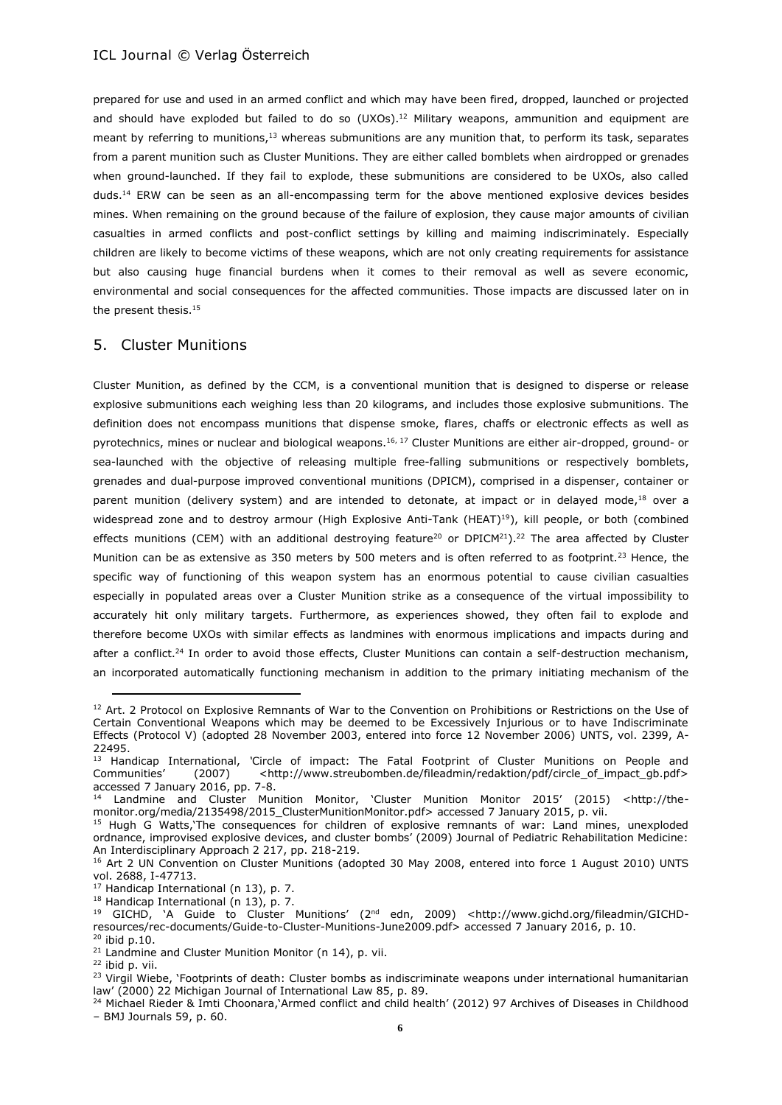prepared for use and used in an armed conflict and which may have been fired, dropped, launched or projected and should have exploded but failed to do so (UXOs).<sup>12</sup> Military weapons, ammunition and equipment are meant by referring to munitions,<sup>13</sup> whereas submunitions are any munition that, to perform its task, separates from a parent munition such as Cluster Munitions. They are either called bomblets when airdropped or grenades when ground-launched. If they fail to explode, these submunitions are considered to be UXOs, also called duds.<sup>14</sup> ERW can be seen as an all-encompassing term for the above mentioned explosive devices besides mines. When remaining on the ground because of the failure of explosion, they cause major amounts of civilian casualties in armed conflicts and post-conflict settings by killing and maiming indiscriminately. Especially children are likely to become victims of these weapons, which are not only creating requirements for assistance but also causing huge financial burdens when it comes to their removal as well as severe economic, environmental and social consequences for the affected communities. Those impacts are discussed later on in the present thesis.<sup>15</sup>

#### 5. Cluster Munitions

Cluster Munition, as defined by the CCM, is a conventional munition that is designed to disperse or release explosive submunitions each weighing less than 20 kilograms, and includes those explosive submunitions. The definition does not encompass munitions that dispense smoke, flares, chaffs or electronic effects as well as pyrotechnics, mines or nuclear and biological weapons.<sup>16, 17</sup> Cluster Munitions are either air-dropped, ground- or sea-launched with the objective of releasing multiple free-falling submunitions or respectively bomblets, grenades and dual-purpose improved conventional munitions (DPICM), comprised in a dispenser, container or parent munition (delivery system) and are intended to detonate, at impact or in delayed mode,<sup>18</sup> over a widespread zone and to destroy armour (High Explosive Anti-Tank (HEAT)<sup>19</sup>), kill people, or both (combined effects munitions (CEM) with an additional destroying feature<sup>20</sup> or DPICM<sup>21</sup>).<sup>22</sup> The area affected by Cluster Munition can be as extensive as 350 meters by 500 meters and is often referred to as footprint.<sup>23</sup> Hence, the specific way of functioning of this weapon system has an enormous potential to cause civilian casualties especially in populated areas over a Cluster Munition strike as a consequence of the virtual impossibility to accurately hit only military targets. Furthermore, as experiences showed, they often fail to explode and therefore become UXOs with similar effects as landmines with enormous implications and impacts during and after a conflict.<sup>24</sup> In order to avoid those effects, Cluster Munitions can contain a self-destruction mechanism, an incorporated automatically functioning mechanism in addition to the primary initiating mechanism of the

<sup>&</sup>lt;sup>12</sup> Art. 2 Protocol on Explosive Remnants of War to the Convention on Prohibitions or Restrictions on the Use of Certain Conventional Weapons which may be deemed to be Excessively Injurious or to have Indiscriminate Effects (Protocol V) (adopted 28 November 2003, entered into force 12 November 2006) UNTS, vol. 2399, A-22495.

<sup>13</sup> Handicap International, *'*Circle of impact: The Fatal Footprint of Cluster Munitions on People and Communities' (2007) <http://www.streubomben.de/fileadmin/redaktion/pdf/circle\_of\_impact\_gb.pdf> accessed 7 January 2016, pp. 7-8.

<sup>14</sup> Landmine and Cluster Munition Monitor, 'Cluster Munition Monitor 2015' (2015) <http://themonitor.org/media/2135498/2015\_ClusterMunitionMonitor.pdf> accessed 7 January 2015, p. vii.

<sup>&</sup>lt;sup>15</sup> Hugh G Watts, The consequences for children of explosive remnants of war: Land mines, unexploded ordnance, improvised explosive devices, and cluster bombs' (2009) Journal of Pediatric Rehabilitation Medicine: An Interdisciplinary Approach 2 217, pp. 218-219.

<sup>&</sup>lt;sup>16</sup> Art 2 UN Convention on Cluster Munitions (adopted 30 May 2008, entered into force 1 August 2010) UNTS vol. 2688, I-47713.

 $17$  Handicap International (n 13), p. 7.

<sup>18</sup> Handicap International (n 13), p. 7.

<sup>19</sup> GICHD, 'A Guide to Cluster Munitions' (2nd edn, 2009) <http://www.gichd.org/fileadmin/GICHDresources/rec-documents/Guide-to-Cluster-Munitions-June2009.pdf> accessed 7 January 2016, p. 10.

 $20$  ibid p.10.

<sup>&</sup>lt;sup>21</sup> Landmine and Cluster Munition Monitor (n 14), p. vii.

 $22$  ibid p. vii.

<sup>&</sup>lt;sup>23</sup> Virgil Wiebe, 'Footprints of death: Cluster bombs as indiscriminate weapons under international humanitarian law' (2000) 22 Michigan Journal of International Law 85, p. 89.

<sup>&</sup>lt;sup>24</sup> Michael Rieder & Imti Choonara,'Armed conflict and child health' (2012) 97 Archives of Diseases in Childhood – BMJ Journals 59, p. 60.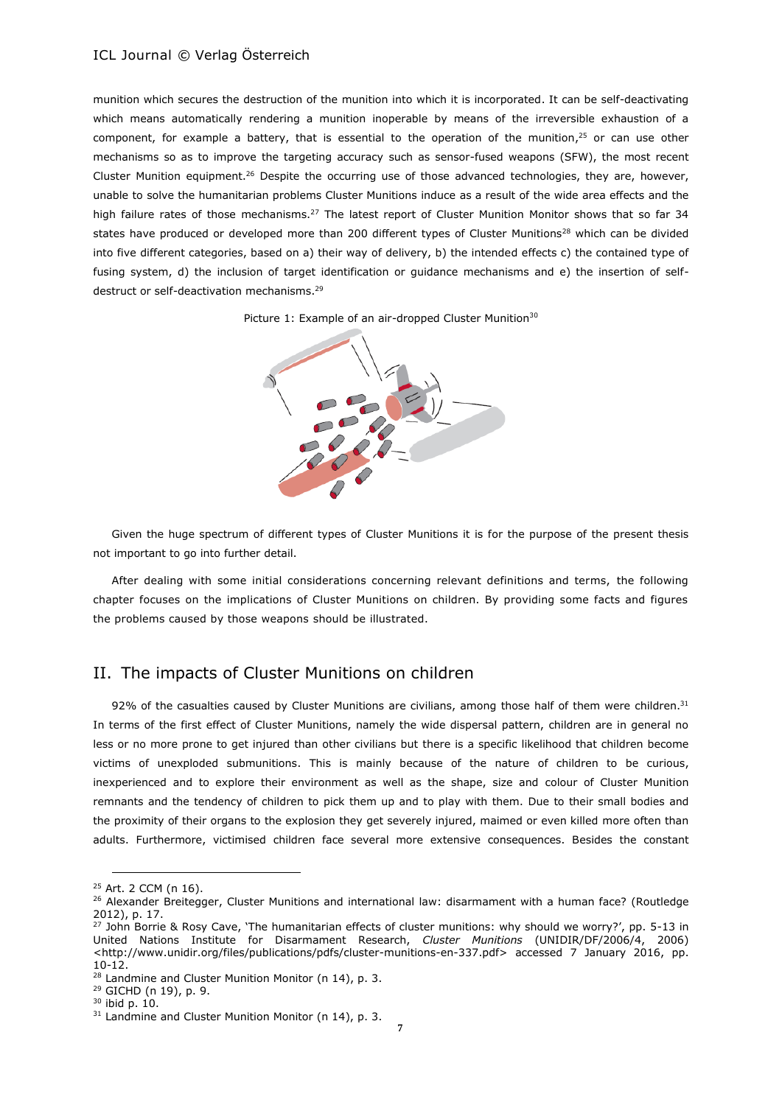munition which secures the destruction of the munition into which it is incorporated. It can be self-deactivating which means automatically rendering a munition inoperable by means of the irreversible exhaustion of a component, for example a battery, that is essential to the operation of the munition,<sup>25</sup> or can use other mechanisms so as to improve the targeting accuracy such as sensor-fused weapons (SFW), the most recent Cluster Munition equipment.<sup>26</sup> Despite the occurring use of those advanced technologies, they are, however, unable to solve the humanitarian problems Cluster Munitions induce as a result of the wide area effects and the high failure rates of those mechanisms.<sup>27</sup> The latest report of Cluster Munition Monitor shows that so far 34 states have produced or developed more than 200 different types of Cluster Munitions<sup>28</sup> which can be divided into five different categories, based on a) their way of delivery, b) the intended effects c) the contained type of fusing system, d) the inclusion of target identification or guidance mechanisms and e) the insertion of selfdestruct or self-deactivation mechanisms.<sup>29</sup>





Given the huge spectrum of different types of Cluster Munitions it is for the purpose of the present thesis not important to go into further detail.

After dealing with some initial considerations concerning relevant definitions and terms, the following chapter focuses on the implications of Cluster Munitions on children. By providing some facts and figures the problems caused by those weapons should be illustrated.

# II. The impacts of Cluster Munitions on children

92% of the casualties caused by Cluster Munitions are civilians, among those half of them were children. $31$ In terms of the first effect of Cluster Munitions, namely the wide dispersal pattern, children are in general no less or no more prone to get injured than other civilians but there is a specific likelihood that children become victims of unexploded submunitions. This is mainly because of the nature of children to be curious, inexperienced and to explore their environment as well as the shape, size and colour of Cluster Munition remnants and the tendency of children to pick them up and to play with them. Due to their small bodies and the proximity of their organs to the explosion they get severely injured, maimed or even killed more often than adults. Furthermore, victimised children face several more extensive consequences. Besides the constant

<sup>25</sup> Art. 2 CCM (n 16).

<sup>&</sup>lt;sup>26</sup> Alexander Breitegger, Cluster Munitions and international law: disarmament with a human face? (Routledge 2012), p. 17.

<sup>&</sup>lt;sup>27</sup> John Borrie & Rosy Cave, 'The humanitarian effects of cluster munitions: why should we worry?', pp. 5-13 in United Nations Institute for Disarmament Research, *Cluster Munitions* (UNIDIR/DF/2006/4, 2006) <http://www.unidir.org/files/publications/pdfs/cluster-munitions-en-337.pdf> accessed 7 January 2016, pp. 10-12.

<sup>&</sup>lt;sup>28</sup> Landmine and Cluster Munition Monitor (n 14), p. 3.

<sup>29</sup> GICHD (n 19), p. 9.

<sup>30</sup> ibid p. 10.

 $31$  Landmine and Cluster Munition Monitor (n 14), p. 3.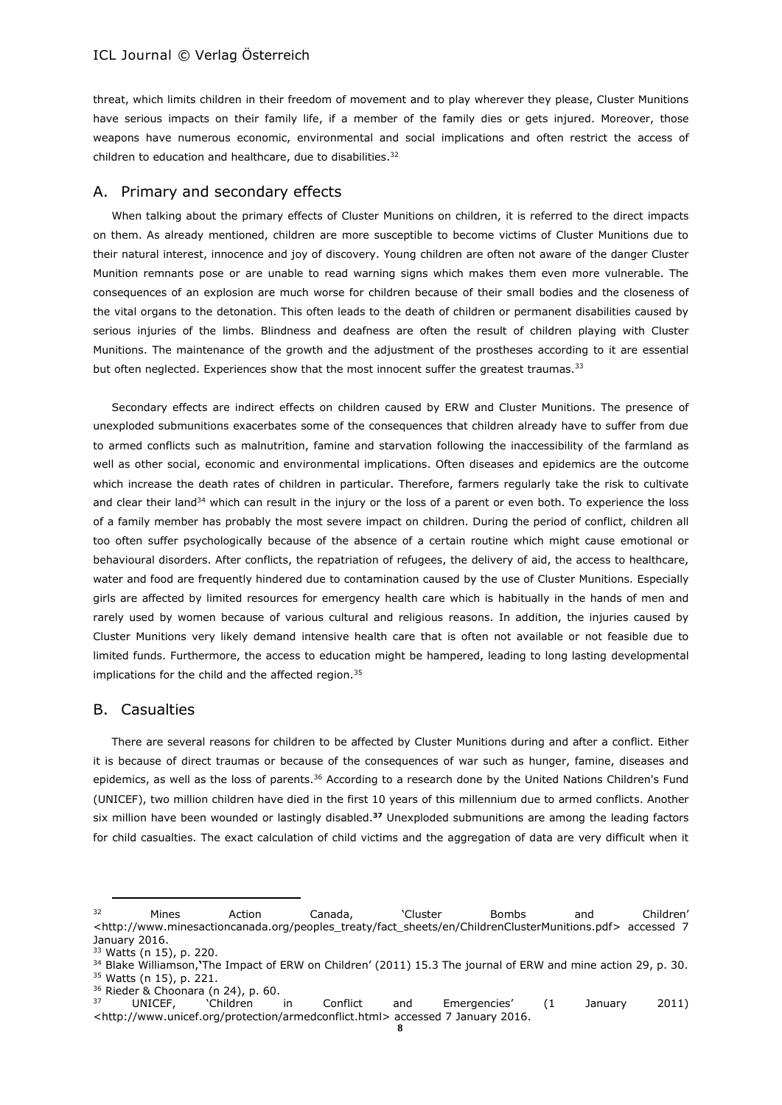threat, which limits children in their freedom of movement and to play wherever they please, Cluster Munitions have serious impacts on their family life, if a member of the family dies or gets injured. Moreover, those weapons have numerous economic, environmental and social implications and often restrict the access of children to education and healthcare, due to disabilities. 32

### A. Primary and secondary effects

When talking about the primary effects of Cluster Munitions on children, it is referred to the direct impacts on them. As already mentioned, children are more susceptible to become victims of Cluster Munitions due to their natural interest, innocence and joy of discovery. Young children are often not aware of the danger Cluster Munition remnants pose or are unable to read warning signs which makes them even more vulnerable. The consequences of an explosion are much worse for children because of their small bodies and the closeness of the vital organs to the detonation. This often leads to the death of children or permanent disabilities caused by serious injuries of the limbs. Blindness and deafness are often the result of children playing with Cluster Munitions. The maintenance of the growth and the adjustment of the prostheses according to it are essential but often neglected. Experiences show that the most innocent suffer the greatest traumas.<sup>33</sup>

Secondary effects are indirect effects on children caused by ERW and Cluster Munitions. The presence of unexploded submunitions exacerbates some of the consequences that children already have to suffer from due to armed conflicts such as malnutrition, famine and starvation following the inaccessibility of the farmland as well as other social, economic and environmental implications. Often diseases and epidemics are the outcome which increase the death rates of children in particular. Therefore, farmers regularly take the risk to cultivate and clear their land<sup>34</sup> which can result in the injury or the loss of a parent or even both. To experience the loss of a family member has probably the most severe impact on children. During the period of conflict, children all too often suffer psychologically because of the absence of a certain routine which might cause emotional or behavioural disorders. After conflicts, the repatriation of refugees, the delivery of aid, the access to healthcare, water and food are frequently hindered due to contamination caused by the use of Cluster Munitions. Especially girls are affected by limited resources for emergency health care which is habitually in the hands of men and rarely used by women because of various cultural and religious reasons. In addition, the injuries caused by Cluster Munitions very likely demand intensive health care that is often not available or not feasible due to limited funds. Furthermore, the access to education might be hampered, leading to long lasting developmental implications for the child and the affected region.<sup>35</sup>

#### B. Casualties

There are several reasons for children to be affected by Cluster Munitions during and after a conflict. Either it is because of direct traumas or because of the consequences of war such as hunger, famine, diseases and epidemics, as well as the loss of parents.<sup>36</sup> According to a research done by the United Nations Children's Fund (UNICEF), two million children have died in the first 10 years of this millennium due to armed conflicts. Another six million have been wounded or lastingly disabled.**<sup>37</sup>** Unexploded submunitions are among the leading factors for child casualties. The exact calculation of child victims and the aggregation of data are very difficult when it

<sup>&</sup>lt;sup>32</sup> Mines Action Canada, 'Cluster Bombs and Children' <http://www.minesactioncanada.org/peoples\_treaty/fact\_sheets/en/ChildrenClusterMunitions.pdf> accessed 7 January 2016.

<sup>33</sup> Watts (n 15), p. 220.

<sup>34</sup> Blake Williamson,**'**The Impact of ERW on Children' (2011) 15.3 The journal of ERW and mine action 29, p. 30. <sup>35</sup> Watts (n 15), p. 221.

 $35<sup>36</sup>$  Rieder & Choonara (n 24), p. 60.

<sup>37</sup> UNICEF, 'Children in Conflict and Emergencies' (1 January 2011) <http://www.unicef.org/protection/armedconflict.html> accessed 7 January 2016.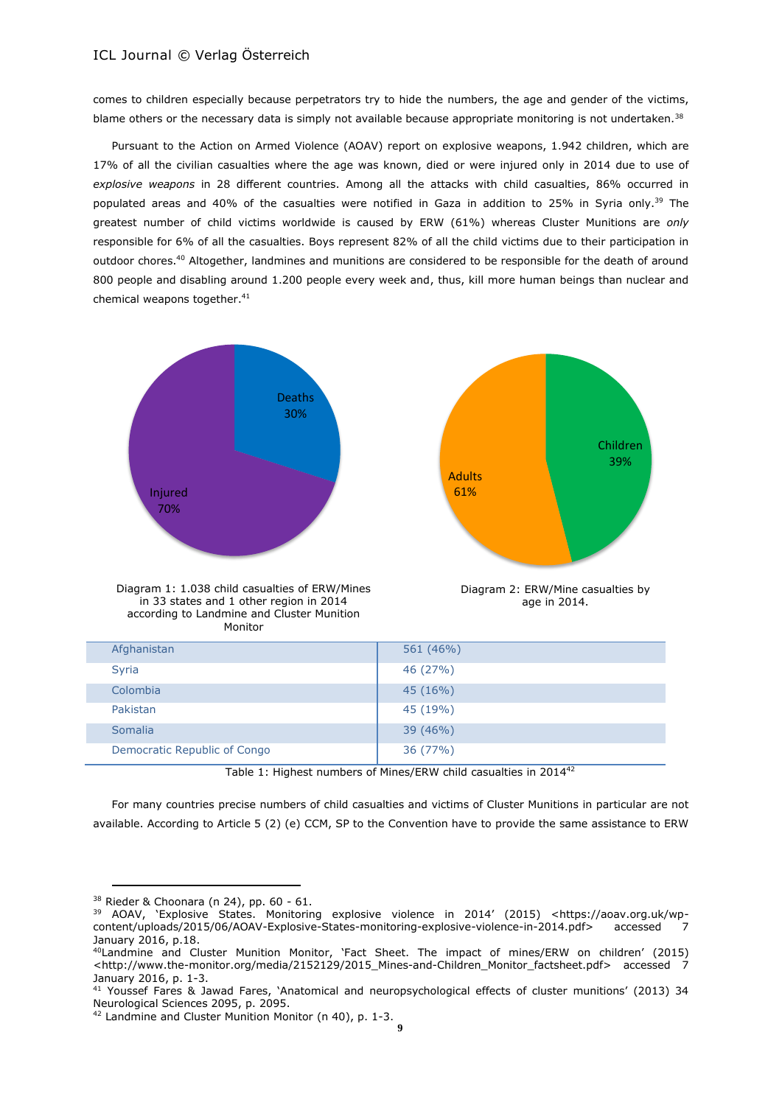comes to children especially because perpetrators try to hide the numbers, the age and gender of the victims, blame others or the necessary data is simply not available because appropriate monitoring is not undertaken.<sup>38</sup>

Pursuant to the Action on Armed Violence (AOAV) report on explosive weapons, 1.942 children, which are 17% of all the civilian casualties where the age was known, died or were injured only in 2014 due to use of *explosive weapons* in 28 different countries. Among all the attacks with child casualties, 86% occurred in populated areas and 40% of the casualties were notified in Gaza in addition to 25% in Syria only. <sup>39</sup> The greatest number of child victims worldwide is caused by ERW (61%) whereas Cluster Munitions are *only*  responsible for 6% of all the casualties. Boys represent 82% of all the child victims due to their participation in outdoor chores.<sup>40</sup> Altogether, landmines and munitions are considered to be responsible for the death of around 800 people and disabling around 1.200 people every week and, thus, kill more human beings than nuclear and chemical weapons together.<sup>41</sup>



| Afghanistan                  | 561 (46%) |
|------------------------------|-----------|
| Syria                        | 46 (27%)  |
| Colombia                     | 45 (16%)  |
| Pakistan                     | 45 (19%)  |
| Somalia                      | 39(46%)   |
| Democratic Republic of Congo | 36 (77%)  |

Table 1: Highest numbers of Mines/ERW child casualties in 2014<sup>42</sup>

For many countries precise numbers of child casualties and victims of Cluster Munitions in particular are not available. According to Article 5 (2) (e) CCM, SP to the Convention have to provide the same assistance to ERW

<sup>38</sup> Rieder & Choonara (n 24), pp. 60 - 61.

<sup>&</sup>lt;sup>39</sup> AOAV, 'Explosive States. Monitoring explosive violence in 2014' (2015) <https://aoav.org.uk/wp-<br>content/uploads/2015/06/AOAV-Explosive-States-monitoring-explosive-violence-in-2014.pdf> accessed 7 content/uploads/2015/06/AOAV-Explosive-States-monitoring-explosive-violence-in-2014.pdf> January 2016, p.18.

<sup>40</sup>Landmine and Cluster Munition Monitor, 'Fact Sheet. The impact of mines/ERW on children' (2015) <http://www.the-monitor.org/media/2152129/2015\_Mines-and-Children\_Monitor\_factsheet.pdf> accessed 7 January 2016, p. 1-3.

<sup>41</sup> Youssef Fares & Jawad Fares, 'Anatomical and neuropsychological effects of cluster munitions' (2013) 34 [Neurological Sciences](http://link.springer.com/journal/10072) 2095, p. 2095.

<sup>42</sup> Landmine and Cluster Munition Monitor (n 40), p. 1-3.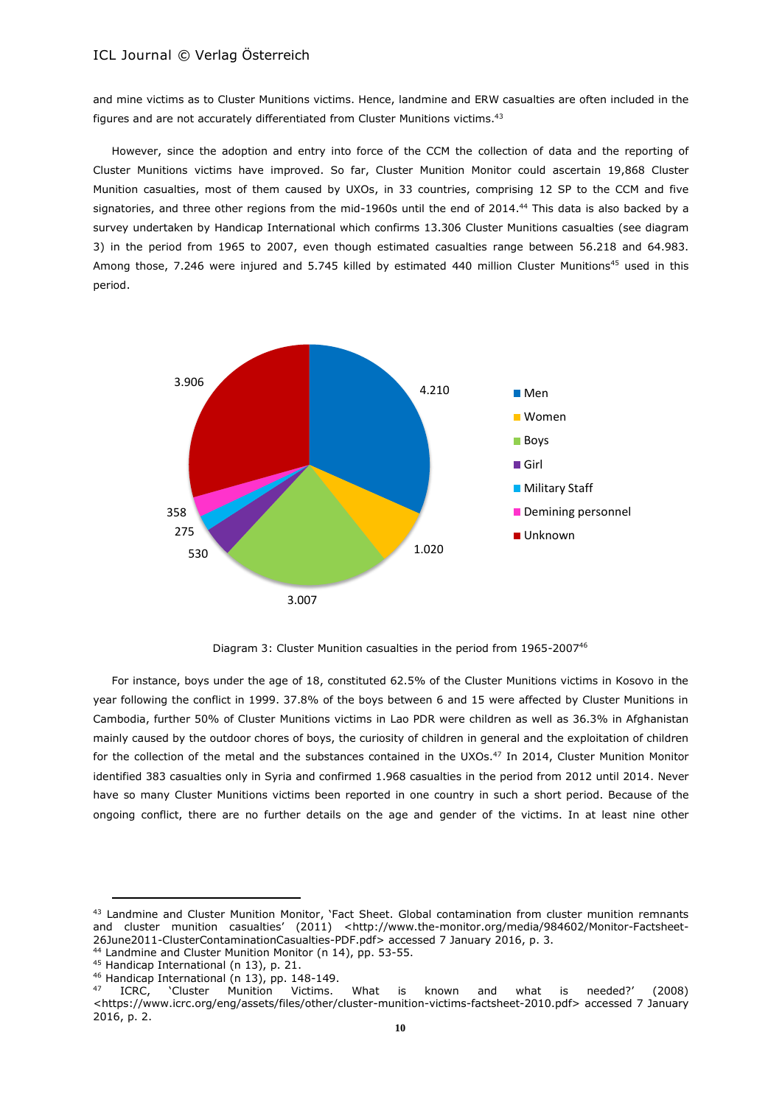and mine victims as to Cluster Munitions victims. Hence, landmine and ERW casualties are often included in the figures and are not accurately differentiated from Cluster Munitions victims. 43

However, since the adoption and entry into force of the CCM the collection of data and the reporting of Cluster Munitions victims have improved. So far, Cluster Munition Monitor could ascertain 19,868 Cluster Munition casualties, most of them caused by UXOs, in 33 countries, comprising 12 SP to the CCM and five signatories, and three other regions from the mid-1960s until the end of 2014.<sup>44</sup> This data is also backed by a survey undertaken by Handicap International which confirms 13.306 Cluster Munitions casualties (see diagram 3) in the period from 1965 to 2007, even though estimated casualties range between 56.218 and 64.983. Among those, 7.246 were injured and 5.745 killed by estimated 440 million Cluster Munitions<sup>45</sup> used in this period.



Diagram 3: Cluster Munition casualties in the period from 1965-2007<sup>46</sup>

For instance, boys under the age of 18, constituted 62.5% of the Cluster Munitions victims in Kosovo in the year following the conflict in 1999. 37.8% of the boys between 6 and 15 were affected by Cluster Munitions in Cambodia, further 50% of Cluster Munitions victims in Lao PDR were children as well as 36.3% in Afghanistan mainly caused by the outdoor chores of boys, the curiosity of children in general and the exploitation of children for the collection of the metal and the substances contained in the UXOs.<sup>47</sup> In 2014, Cluster Munition Monitor identified 383 casualties only in Syria and confirmed 1.968 casualties in the period from 2012 until 2014. Never have so many Cluster Munitions victims been reported in one country in such a short period. Because of the ongoing conflict, there are no further details on the age and gender of the victims. In at least nine other

43 Landmine and Cluster Munition Monitor, 'Fact Sheet. Global contamination from cluster munition remnants and cluster munition casualties' (2011) <http://www.the-monitor.org/media/984602/Monitor-Factsheet-26June2011-ClusterContaminationCasualties-PDF.pdf> accessed 7 January 2016, p. 3.

<sup>44</sup> Landmine and Cluster Munition Monitor (n 14), pp. 53-55.

<sup>45</sup> Handicap International (n 13), p. 21.

<sup>&</sup>lt;sup>46</sup> Handicap International (n 13), pp. 148-149.

<sup>47</sup> ICRC, 'Cluster Munition Victims. What is known and what is needed?' (2008) <https://www.icrc.org/eng/assets/files/other/cluster-munition-victims-factsheet-2010.pdf> accessed 7 January 2016, p. 2.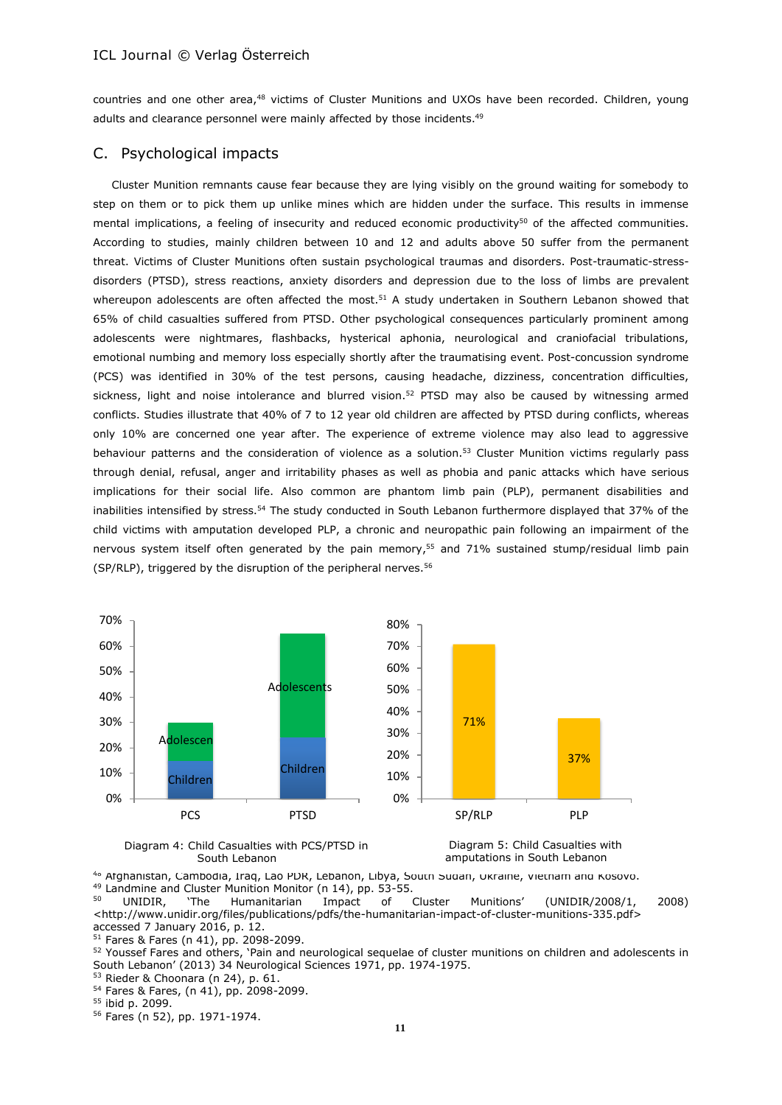countries and one other area,<sup>48</sup> victims of Cluster Munitions and UXOs have been recorded. Children, young adults and clearance personnel were mainly affected by those incidents.<sup>49</sup>

### C. Psychological impacts

Cluster Munition remnants cause fear because they are lying visibly on the ground waiting for somebody to step on them or to pick them up unlike mines which are hidden under the surface. This results in immense mental implications, a feeling of insecurity and reduced economic productivity<sup>50</sup> of the affected communities. According to studies, mainly children between 10 and 12 and adults above 50 suffer from the permanent threat. Victims of Cluster Munitions often sustain psychological traumas and disorders. Post-traumatic-stressdisorders (PTSD), stress reactions, anxiety disorders and depression due to the loss of limbs are prevalent whereupon adolescents are often affected the most.<sup>51</sup> A study undertaken in Southern Lebanon showed that 65% of child casualties suffered from PTSD. Other psychological consequences particularly prominent among adolescents were nightmares, flashbacks, hysterical aphonia, neurological and craniofacial tribulations, emotional numbing and memory loss especially shortly after the traumatising event. Post-concussion syndrome (PCS) was identified in 30% of the test persons, causing headache, dizziness, concentration difficulties, sickness, light and noise intolerance and blurred vision.<sup>52</sup> PTSD may also be caused by witnessing armed conflicts. Studies illustrate that 40% of 7 to 12 year old children are affected by PTSD during conflicts, whereas only 10% are concerned one year after. The experience of extreme violence may also lead to aggressive behaviour patterns and the consideration of violence as a solution.<sup>53</sup> Cluster Munition victims regularly pass through denial, refusal, anger and irritability phases as well as phobia and panic attacks which have serious implications for their social life. Also common are phantom limb pain (PLP), permanent disabilities and inabilities intensified by stress.<sup>54</sup> The study conducted in South Lebanon furthermore displayed that 37% of the child victims with amputation developed PLP, a chronic and neuropathic pain following an impairment of the nervous system itself often generated by the pain memory,<sup>55</sup> and 71% sustained stump/residual limb pain (SP/RLP), triggered by the disruption of the peripheral nerves. $56$ 



#### Diagram 4: Child Casualties with PCS/PTSD in South Lebanon



<sup>48</sup> Afghanistan, Cambodia, Iraq, Lao PDR, Lebanon, Libya, South Sudan, Ukraine, Vietnam and Kosovo. <sup>49</sup> Landmine and Cluster Munition Monitor (n 14), pp. 53-55.<br> $\frac{50}{2}$  UNIDIP The Humanitarian Impact of

<sup>50</sup> UNIDIR, 'The Humanitarian Impact of Cluster Munitions' (UNIDIR/2008/1, 2008) <http://www.unidir.org/files/publications/pdfs/the-humanitarian-impact-of-cluster-munitions-335.pdf> accessed 7 January 2016, p. 12.

<sup>51</sup> Fares & Fares (n 41), pp. 2098-2099.

52 [Youssef](http://link.springer.com/search?facet-author=%22Youssef+Fares%22) Fares and others, 'Pain and neurological sequelae of cluster munitions on children and adolescents in South Lebanon' (2013) 34 [Neurological Sciences](http://link.springer.com/journal/10072) 1971, pp. 1974-1975.

<sup>53</sup> Rieder & Choonara (n 24), p. 61.

<sup>54</sup> Fares & Fares, (n 41), pp. 2098-2099.

<sup>55</sup> ibid p. 2099.

<sup>56</sup> Fares (n 52), pp. 1971-1974.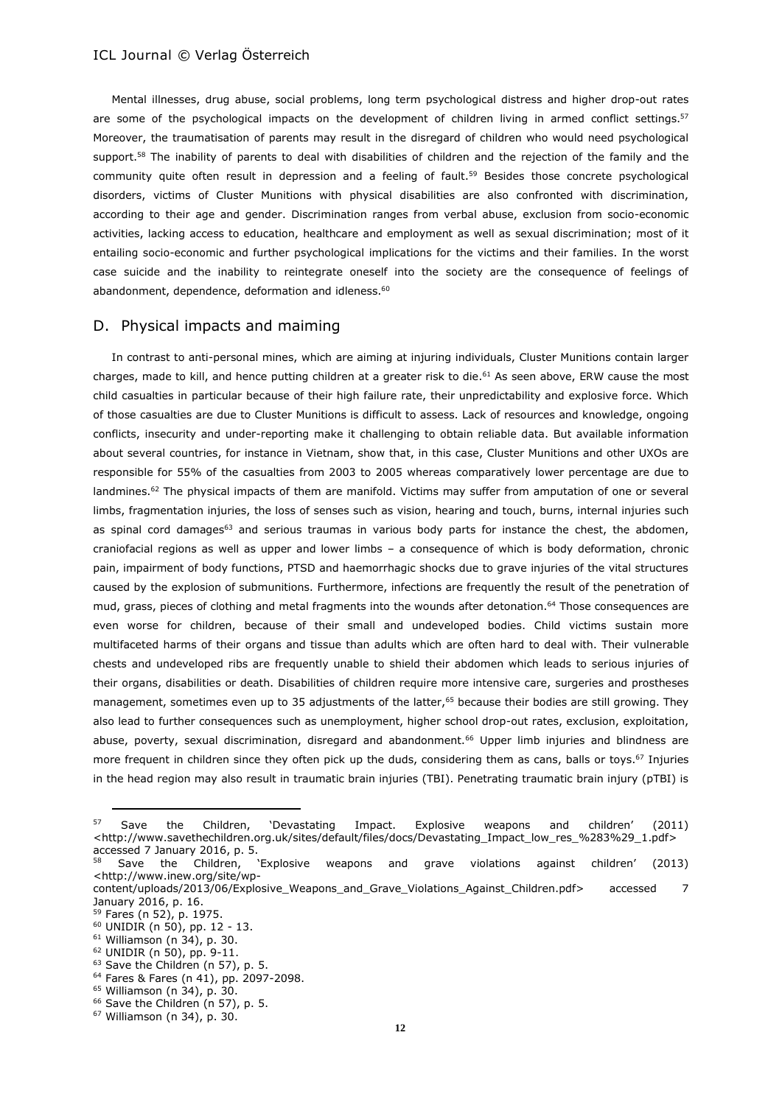Mental illnesses, drug abuse, social problems, long term psychological distress and higher drop-out rates are some of the psychological impacts on the development of children living in armed conflict settings.<sup>57</sup> Moreover, the traumatisation of parents may result in the disregard of children who would need psychological support.<sup>58</sup> The inability of parents to deal with disabilities of children and the rejection of the family and the community quite often result in depression and a feeling of fault.<sup>59</sup> Besides those concrete psychological disorders, victims of Cluster Munitions with physical disabilities are also confronted with discrimination, according to their age and gender. Discrimination ranges from verbal abuse, exclusion from socio-economic activities, lacking access to education, healthcare and employment as well as sexual discrimination; most of it entailing socio-economic and further psychological implications for the victims and their families. In the worst case suicide and the inability to reintegrate oneself into the society are the consequence of feelings of abandonment, dependence, deformation and idleness.<sup>60</sup>

# D. Physical impacts and maiming

In contrast to anti-personal mines, which are aiming at injuring individuals, Cluster Munitions contain larger charges, made to kill, and hence putting children at a greater risk to die.<sup>61</sup> As seen above, ERW cause the most child casualties in particular because of their high failure rate, their unpredictability and explosive force. Which of those casualties are due to Cluster Munitions is difficult to assess. Lack of resources and knowledge, ongoing conflicts, insecurity and under-reporting make it challenging to obtain reliable data. But available information about several countries, for instance in Vietnam, show that, in this case, Cluster Munitions and other UXOs are responsible for 55% of the casualties from 2003 to 2005 whereas comparatively lower percentage are due to landmines.<sup>62</sup> The physical impacts of them are manifold. Victims may suffer from amputation of one or several limbs, fragmentation injuries, the loss of senses such as vision, hearing and touch, burns, internal injuries such as spinal cord damages $63$  and serious traumas in various body parts for instance the chest, the abdomen, craniofacial regions as well as upper and lower limbs – a consequence of which is body deformation, chronic pain, impairment of body functions, PTSD and haemorrhagic shocks due to grave injuries of the vital structures caused by the explosion of submunitions. Furthermore, infections are frequently the result of the penetration of mud, grass, pieces of clothing and metal fragments into the wounds after detonation.<sup>64</sup> Those consequences are even worse for children, because of their small and undeveloped bodies. Child victims sustain more multifaceted harms of their organs and tissue than adults which are often hard to deal with. Their vulnerable chests and undeveloped ribs are frequently unable to shield their abdomen which leads to serious injuries of their organs, disabilities or death. Disabilities of children require more intensive care, surgeries and prostheses management, sometimes even up to 35 adjustments of the latter, <sup>65</sup> because their bodies are still growing. They also lead to further consequences such as unemployment, higher school drop-out rates, exclusion, exploitation, abuse, poverty, sexual discrimination, disregard and abandonment.<sup>66</sup> Upper limb injuries and blindness are more frequent in children since they often pick up the duds, considering them as cans, balls or toys.<sup>67</sup> Injuries in the head region may also result in traumatic brain injuries (TBI). Penetrating traumatic brain injury (pTBI) is

<sup>64</sup> Fares & Fares (n 41), pp. 2097-2098.

<sup>57</sup> Save the Children, 'Devastating Impact. Explosive weapons and children' (2011) <http://www.savethechildren.org.uk/sites/default/files/docs/Devastating\_Impact\_low\_res\_%283%29\_1.pdf> accessed 7 January 2016, p. 5.

<sup>58</sup> Save the Children, 'Explosive weapons and grave violations against children' (2013) <http://www.inew.org/site/wp-

content/uploads/2013/06/Explosive Weapons and Grave Violations Against Children.pdf> accessed 7 January 2016, p. 16.

<sup>59</sup> Fares (n 52), p. 1975.

<sup>60</sup> UNIDIR (n 50), pp. 12 - 13.

<sup>61</sup> Williamson (n 34), p. 30.

<sup>62</sup> UNIDIR (n 50), pp. 9-11.

<sup>63</sup> Save the Children (n 57), p. 5.

<sup>65</sup> Williamson (n 34), p. 30.

<sup>&</sup>lt;sup>66</sup> Save the Children (n 57), p. 5.

<sup>67</sup> Williamson (n 34), p. 30.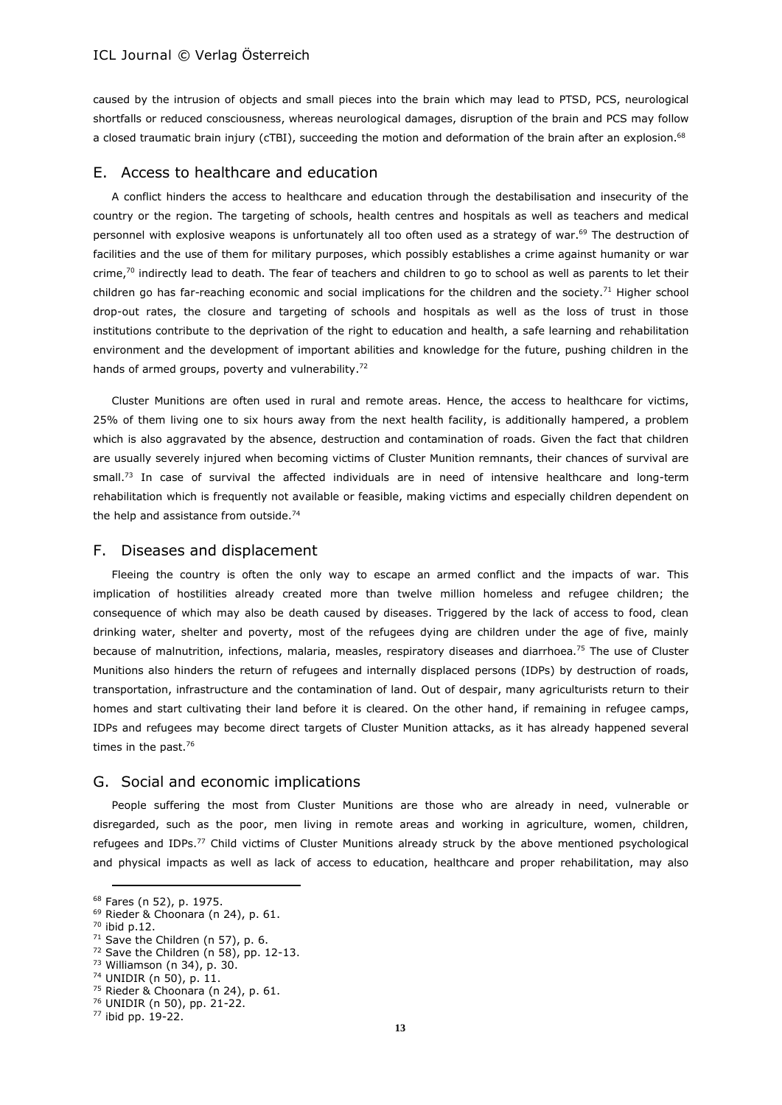caused by the intrusion of objects and small pieces into the brain which may lead to PTSD, PCS, neurological shortfalls or reduced consciousness, whereas neurological damages, disruption of the brain and PCS may follow a closed traumatic brain injury (cTBI), succeeding the motion and deformation of the brain after an explosion.<sup>68</sup>

### E. Access to healthcare and education

A conflict hinders the access to healthcare and education through the destabilisation and insecurity of the country or the region. The targeting of schools, health centres and hospitals as well as teachers and medical personnel with explosive weapons is unfortunately all too often used as a strategy of war.<sup>69</sup> The destruction of facilities and the use of them for military purposes, which possibly establishes a crime against humanity or war crime, $70$  indirectly lead to death. The fear of teachers and children to go to school as well as parents to let their children go has far-reaching economic and social implications for the children and the society.<sup>71</sup> Higher school drop-out rates, the closure and targeting of schools and hospitals as well as the loss of trust in those institutions contribute to the deprivation of the right to education and health, a safe learning and rehabilitation environment and the development of important abilities and knowledge for the future, pushing children in the hands of armed groups, poverty and vulnerability.<sup>72</sup>

Cluster Munitions are often used in rural and remote areas. Hence, the access to healthcare for victims, 25% of them living one to six hours away from the next health facility, is additionally hampered, a problem which is also aggravated by the absence, destruction and contamination of roads. Given the fact that children are usually severely injured when becoming victims of Cluster Munition remnants, their chances of survival are small. <sup>73</sup> In case of survival the affected individuals are in need of intensive healthcare and long-term rehabilitation which is frequently not available or feasible, making victims and especially children dependent on the help and assistance from outside.<sup>74</sup>

#### F. Diseases and displacement

Fleeing the country is often the only way to escape an armed conflict and the impacts of war. This implication of hostilities already created more than twelve million homeless and refugee children; the consequence of which may also be death caused by diseases. Triggered by the lack of access to food, clean drinking water, shelter and poverty, most of the refugees dying are children under the age of five, mainly because of malnutrition, infections, malaria, measles, respiratory diseases and diarrhoea.<sup>75</sup> The use of Cluster Munitions also hinders the return of refugees and internally displaced persons (IDPs) by destruction of roads, transportation, infrastructure and the contamination of land. Out of despair, many agriculturists return to their homes and start cultivating their land before it is cleared. On the other hand, if remaining in refugee camps, IDPs and refugees may become direct targets of Cluster Munition attacks, as it has already happened several times in the past.<sup>76</sup>

#### G. Social and economic implications

People suffering the most from Cluster Munitions are those who are already in need, vulnerable or disregarded, such as the poor, men living in remote areas and working in agriculture, women, children, refugees and IDPs.<sup>77</sup> Child victims of Cluster Munitions already struck by the above mentioned psychological and physical impacts as well as lack of access to education, healthcare and proper rehabilitation, may also

<sup>68</sup> Fares (n 52), p. 1975.

<sup>69</sup> Rieder & Choonara (n 24), p. 61.

<sup>70</sup> ibid p.12.

 $71$  Save the Children (n 57), p. 6.

<sup>72</sup> Save the Children (n 58), pp. 12-13.

<sup>73</sup> Williamson (n 34), p. 30.

<sup>74</sup> UNIDIR (n 50), p. 11.

<sup>75</sup> Rieder & Choonara (n 24), p. 61.

<sup>76</sup> UNIDIR (n 50), pp. 21-22.

<sup>77</sup> ibid pp. 19-22.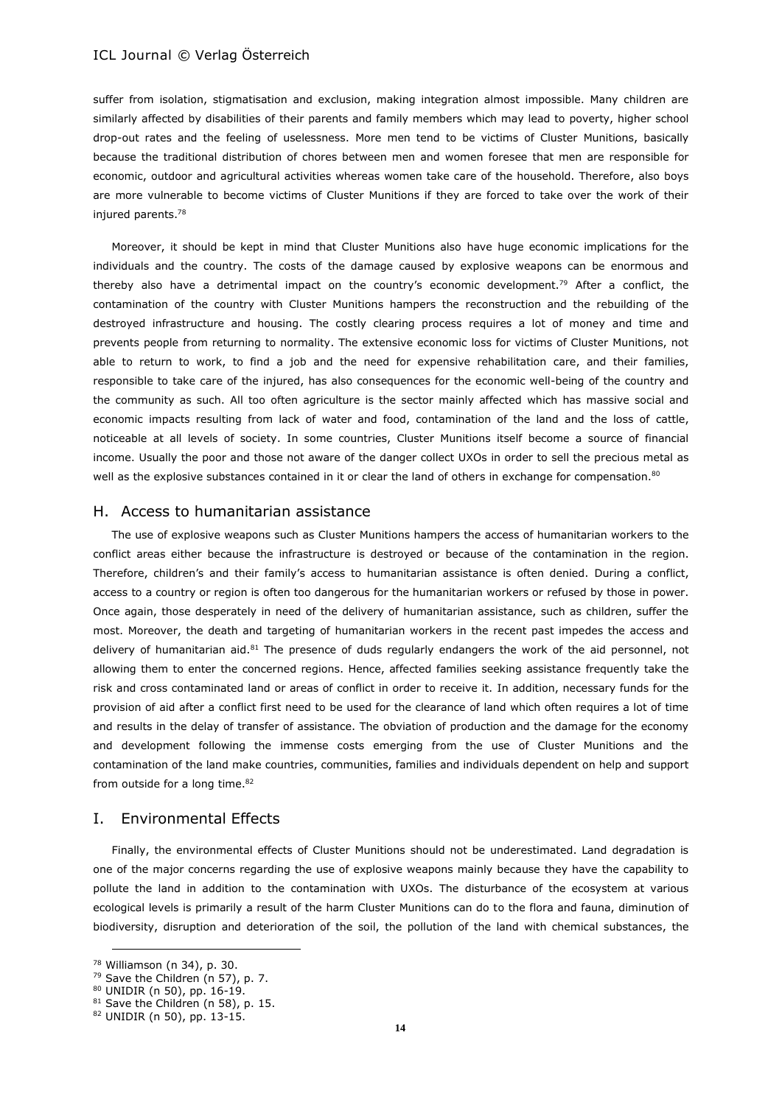suffer from isolation, stigmatisation and exclusion, making integration almost impossible. Many children are similarly affected by disabilities of their parents and family members which may lead to poverty, higher school drop-out rates and the feeling of uselessness. More men tend to be victims of Cluster Munitions, basically because the traditional distribution of chores between men and women foresee that men are responsible for economic, outdoor and agricultural activities whereas women take care of the household. Therefore, also boys are more vulnerable to become victims of Cluster Munitions if they are forced to take over the work of their injured parents.<sup>78</sup>

Moreover, it should be kept in mind that Cluster Munitions also have huge economic implications for the individuals and the country. The costs of the damage caused by explosive weapons can be enormous and thereby also have a detrimental impact on the country's economic development.<sup>79</sup> After a conflict, the contamination of the country with Cluster Munitions hampers the reconstruction and the rebuilding of the destroyed infrastructure and housing. The costly clearing process requires a lot of money and time and prevents people from returning to normality. The extensive economic loss for victims of Cluster Munitions, not able to return to work, to find a job and the need for expensive rehabilitation care, and their families, responsible to take care of the injured, has also consequences for the economic well-being of the country and the community as such. All too often agriculture is the sector mainly affected which has massive social and economic impacts resulting from lack of water and food, contamination of the land and the loss of cattle, noticeable at all levels of society. In some countries, Cluster Munitions itself become a source of financial income. Usually the poor and those not aware of the danger collect UXOs in order to sell the precious metal as well as the explosive substances contained in it or clear the land of others in exchange for compensation.<sup>80</sup>

### H. Access to humanitarian assistance

The use of explosive weapons such as Cluster Munitions hampers the access of humanitarian workers to the conflict areas either because the infrastructure is destroyed or because of the contamination in the region. Therefore, children's and their family's access to humanitarian assistance is often denied. During a conflict, access to a country or region is often too dangerous for the humanitarian workers or refused by those in power. Once again, those desperately in need of the delivery of humanitarian assistance, such as children, suffer the most. Moreover, the death and targeting of humanitarian workers in the recent past impedes the access and delivery of humanitarian aid.<sup>81</sup> The presence of duds regularly endangers the work of the aid personnel, not allowing them to enter the concerned regions. Hence, affected families seeking assistance frequently take the risk and cross contaminated land or areas of conflict in order to receive it. In addition, necessary funds for the provision of aid after a conflict first need to be used for the clearance of land which often requires a lot of time and results in the delay of transfer of assistance. The obviation of production and the damage for the economy and development following the immense costs emerging from the use of Cluster Munitions and the contamination of the land make countries, communities, families and individuals dependent on help and support from outside for a long time.<sup>82</sup>

### I. Environmental Effects

Finally, the environmental effects of Cluster Munitions should not be underestimated. Land degradation is one of the major concerns regarding the use of explosive weapons mainly because they have the capability to pollute the land in addition to the contamination with UXOs. The disturbance of the ecosystem at various ecological levels is primarily a result of the harm Cluster Munitions can do to the flora and fauna, diminution of biodiversity, disruption and deterioration of the soil, the pollution of the land with chemical substances, the

<sup>78</sup> Williamson (n 34), p. 30.

<sup>79</sup> Save the Children (n 57), p. 7.

<sup>80</sup> UNIDIR (n 50), pp. 16-19.

<sup>81</sup> Save the Children (n 58), p. 15.

<sup>82</sup> UNIDIR (n 50), pp. 13-15.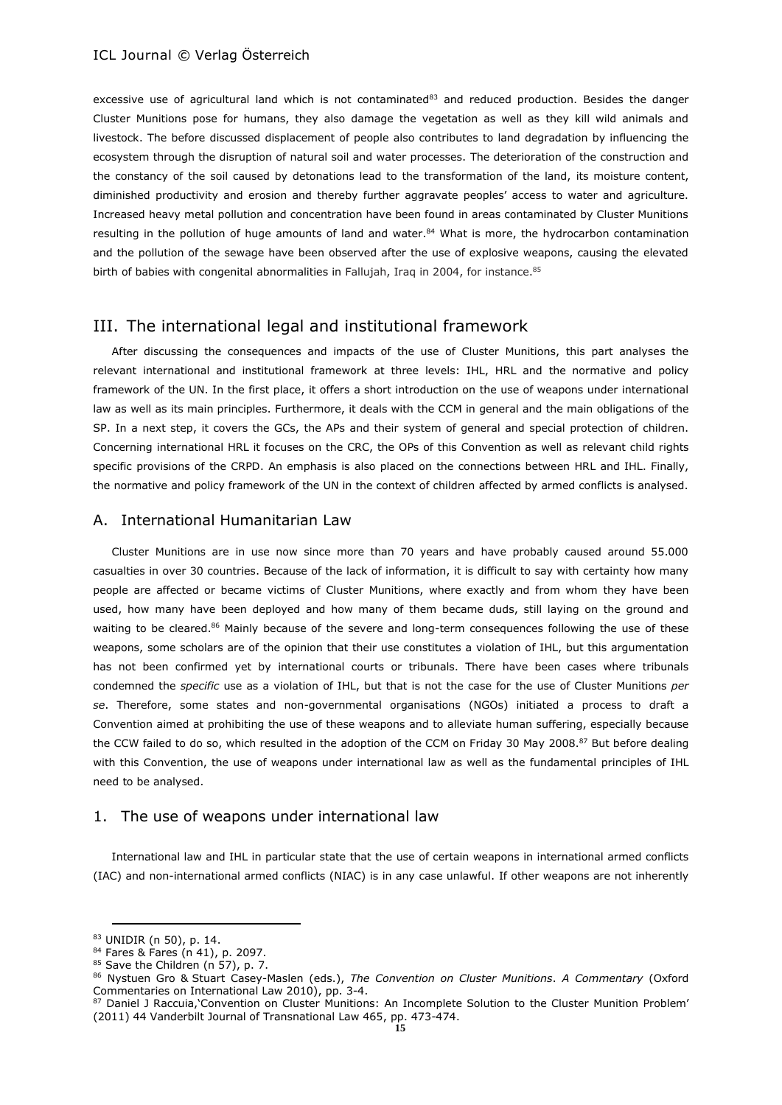excessive use of agricultural land which is not contaminated $83$  and reduced production. Besides the danger Cluster Munitions pose for humans, they also damage the vegetation as well as they kill wild animals and livestock. The before discussed displacement of people also contributes to land degradation by influencing the ecosystem through the disruption of natural soil and water processes. The deterioration of the construction and the constancy of the soil caused by detonations lead to the transformation of the land, its moisture content, diminished productivity and erosion and thereby further aggravate peoples' access to water and agriculture. Increased heavy metal pollution and concentration have been found in areas contaminated by Cluster Munitions resulting in the pollution of huge amounts of land and water.<sup>84</sup> What is more, the hydrocarbon contamination and the pollution of the sewage have been observed after the use of explosive weapons, causing the elevated birth of babies with congenital abnormalities in Fallujah, Iraq in 2004, for instance.<sup>85</sup>

# III. The international legal and institutional framework

After discussing the consequences and impacts of the use of Cluster Munitions, this part analyses the relevant international and institutional framework at three levels: IHL, HRL and the normative and policy framework of the UN. In the first place, it offers a short introduction on the use of weapons under international law as well as its main principles. Furthermore, it deals with the CCM in general and the main obligations of the SP. In a next step, it covers the GCs, the APs and their system of general and special protection of children. Concerning international HRL it focuses on the CRC, the OPs of this Convention as well as relevant child rights specific provisions of the CRPD. An emphasis is also placed on the connections between HRL and IHL. Finally, the normative and policy framework of the UN in the context of children affected by armed conflicts is analysed.

#### A. International Humanitarian Law

Cluster Munitions are in use now since more than 70 years and have probably caused around 55.000 casualties in over 30 countries. Because of the lack of information, it is difficult to say with certainty how many people are affected or became victims of Cluster Munitions, where exactly and from whom they have been used, how many have been deployed and how many of them became duds, still laying on the ground and waiting to be cleared.<sup>86</sup> Mainly because of the severe and long-term consequences following the use of these weapons, some scholars are of the opinion that their use constitutes a violation of IHL, but this argumentation has not been confirmed yet by international courts or tribunals. There have been cases where tribunals condemned the *specific* use as a violation of IHL, but that is not the case for the use of Cluster Munitions *per se*. Therefore, some states and non-governmental organisations (NGOs) initiated a process to draft a Convention aimed at prohibiting the use of these weapons and to alleviate human suffering, especially because the CCW failed to do so, which resulted in the adoption of the CCM on Friday 30 May 2008.<sup>87</sup> But before dealing with this Convention, the use of weapons under international law as well as the fundamental principles of IHL need to be analysed.

#### 1. The use of weapons under international law

International law and IHL in particular state that the use of certain weapons in international armed conflicts (IAC) and non-international armed conflicts (NIAC) is in any case unlawful. If other weapons are not inherently

<sup>83</sup> UNIDIR (n 50), p. 14.

<sup>84</sup> Fares & Fares (n 41), p. 2097.

<sup>85</sup> Save the Children (n 57), p. 7.

<sup>86</sup> Nystuen Gro & Stuart Casey-Maslen (eds.), *The Convention on Cluster Munitions*. *A Commentary* (Oxford Commentaries on International Law 2010), pp. 3-4.

<sup>87</sup> Daniel J Raccuia, Convention on Cluster Munitions: An Incomplete Solution to the Cluster Munition Problem' (2011) 44 Vanderbilt Journal of Transnational Law 465, pp. 473-474.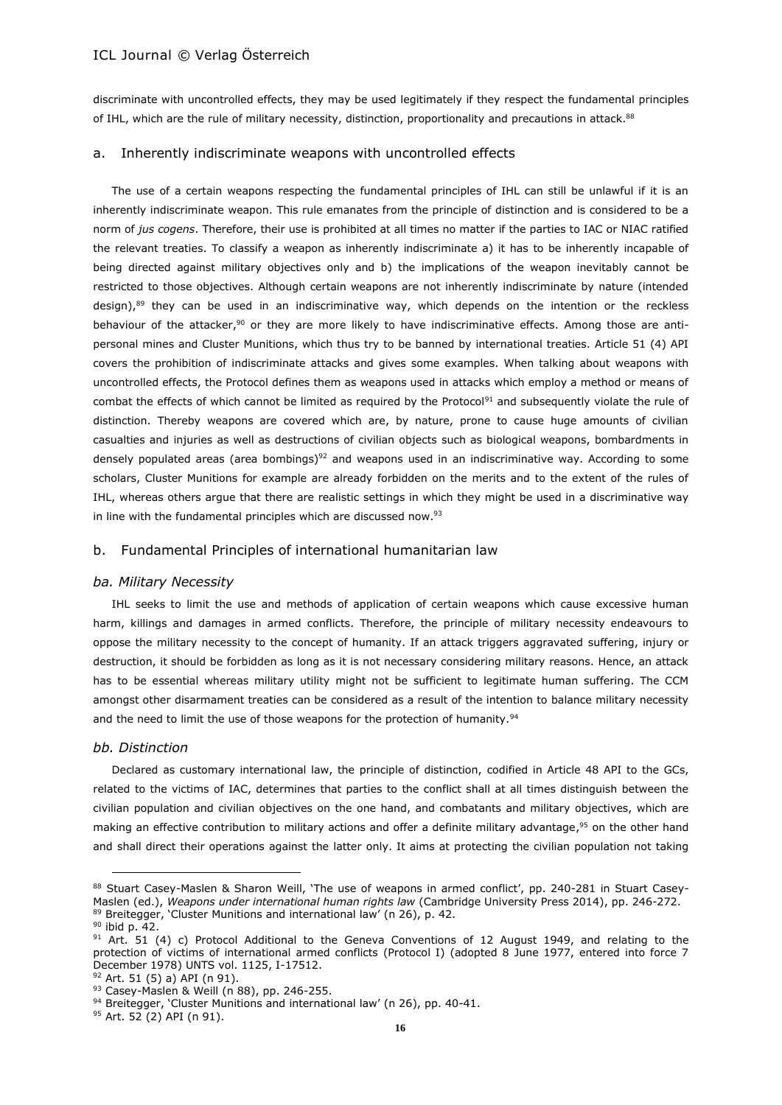discriminate with uncontrolled effects, they may be used legitimately if they respect the fundamental principles of IHL, which are the rule of military necessity, distinction, proportionality and precautions in attack.<sup>88</sup>

#### a. Inherently indiscriminate weapons with uncontrolled effects

The use of a certain weapons respecting the fundamental principles of IHL can still be unlawful if it is an inherently indiscriminate weapon. This rule emanates from the principle of distinction and is considered to be a norm of *jus cogens*. Therefore, their use is prohibited at all times no matter if the parties to IAC or NIAC ratified the relevant treaties. To classify a weapon as inherently indiscriminate a) it has to be inherently incapable of being directed against military objectives only and b) the implications of the weapon inevitably cannot be restricted to those objectives. Although certain weapons are not inherently indiscriminate by nature (intended design),<sup>89</sup> they can be used in an indiscriminative way, which depends on the intention or the reckless behaviour of the attacker,<sup>90</sup> or they are more likely to have indiscriminative effects. Among those are antipersonal mines and Cluster Munitions, which thus try to be banned by international treaties. Article 51 (4) API covers the prohibition of indiscriminate attacks and gives some examples. When talking about weapons with uncontrolled effects, the Protocol defines them as weapons used in attacks which employ a method or means of combat the effects of which cannot be limited as required by the Protocol<sup>91</sup> and subsequently violate the rule of distinction. Thereby weapons are covered which are, by nature, prone to cause huge amounts of civilian casualties and injuries as well as destructions of civilian objects such as biological weapons, bombardments in densely populated areas (area bombings)<sup>92</sup> and weapons used in an indiscriminative way. According to some scholars, Cluster Munitions for example are already forbidden on the merits and to the extent of the rules of IHL, whereas others argue that there are realistic settings in which they might be used in a discriminative way in line with the fundamental principles which are discussed now.<sup>93</sup>

### b. Fundamental Principles of international humanitarian law

#### *ba. Military Necessity*

IHL seeks to limit the use and methods of application of certain weapons which cause excessive human harm, killings and damages in armed conflicts. Therefore, the principle of military necessity endeavours to oppose the military necessity to the concept of humanity. If an attack triggers aggravated suffering, injury or destruction, it should be forbidden as long as it is not necessary considering military reasons. Hence, an attack has to be essential whereas military utility might not be sufficient to legitimate human suffering. The CCM amongst other disarmament treaties can be considered as a result of the intention to balance military necessity and the need to limit the use of those weapons for the protection of humanity.<sup>94</sup>

#### *bb. Distinction*

Declared as customary international law, the principle of distinction, codified in Article 48 API to the GCs, related to the victims of IAC, determines that parties to the conflict shall at all times distinguish between the civilian population and civilian objectives on the one hand, and combatants and military objectives, which are making an effective contribution to military actions and offer a definite military advantage, <sup>95</sup> on the other hand and shall direct their operations against the latter only. It aims at protecting the civilian population not taking

<sup>88</sup> Stuart Casey-Maslen & Sharon Weill, 'The use of weapons in armed conflict', pp. 240-281 in Stuart Casey-Maslen (ed.), *Weapons under international human rights law* (Cambridge University Press 2014), pp. 246-272. <sup>89</sup> Breitegger, 'Cluster Munitions and international law' (n 26), p. 42.

<sup>90</sup> ibid p. 42.

 $91$  Art. 51 (4) c) Protocol Additional to the Geneva Conventions of 12 August 1949, and relating to the protection of victims of international armed conflicts (Protocol I) (adopted 8 June 1977, entered into force 7 December 1978) UNTS vol. 1125, I-17512.

<sup>92</sup> Art. 51 (5) a) API (n 91).

<sup>93</sup> Casey-Maslen & Weill (n 88), pp. 246-255.

<sup>94</sup> Breitegger, 'Cluster Munitions and international law' (n 26), pp. 40-41.

<sup>95</sup> Art. 52 (2) API (n 91).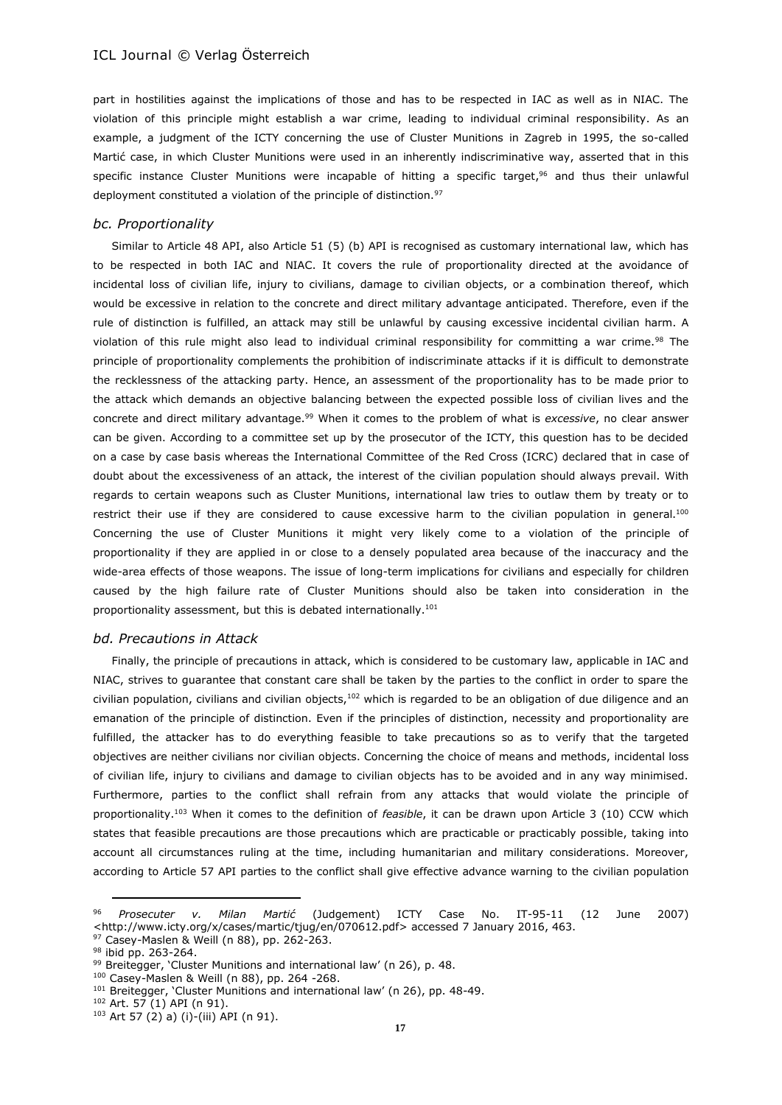part in hostilities against the implications of those and has to be respected in IAC as well as in NIAC. The violation of this principle might establish a war crime, leading to individual criminal responsibility. As an example, a judgment of the ICTY concerning the use of Cluster Munitions in Zagreb in 1995, the so-called Martić case, in which Cluster Munitions were used in an inherently indiscriminative way, asserted that in this specific instance Cluster Munitions were incapable of hitting a specific target, <sup>96</sup> and thus their unlawful deployment constituted a violation of the principle of distinction.<sup>97</sup>

#### *bc. Proportionality*

Similar to Article 48 API, also Article 51 (5) (b) API is recognised as customary international law, which has to be respected in both IAC and NIAC. It covers the rule of proportionality directed at the avoidance of incidental loss of civilian life, injury to civilians, damage to civilian objects, or a combination thereof, which would be excessive in relation to the concrete and direct military advantage anticipated. Therefore, even if the rule of distinction is fulfilled, an attack may still be unlawful by causing excessive incidental civilian harm. A violation of this rule might also lead to individual criminal responsibility for committing a war crime.<sup>98</sup> The principle of proportionality complements the prohibition of indiscriminate attacks if it is difficult to demonstrate the recklessness of the attacking party. Hence, an assessment of the proportionality has to be made prior to the attack which demands an objective balancing between the expected possible loss of civilian lives and the concrete and direct military advantage.<sup>99</sup> When it comes to the problem of what is *excessive*, no clear answer can be given. According to a committee set up by the prosecutor of the ICTY, this question has to be decided on a case by case basis whereas the International Committee of the Red Cross (ICRC) declared that in case of doubt about the excessiveness of an attack, the interest of the civilian population should always prevail. With regards to certain weapons such as Cluster Munitions, international law tries to outlaw them by treaty or to restrict their use if they are considered to cause excessive harm to the civilian population in general.<sup>100</sup> Concerning the use of Cluster Munitions it might very likely come to a violation of the principle of proportionality if they are applied in or close to a densely populated area because of the inaccuracy and the wide-area effects of those weapons. The issue of long-term implications for civilians and especially for children caused by the high failure rate of Cluster Munitions should also be taken into consideration in the proportionality assessment, but this is debated internationally.<sup>101</sup>

#### *bd. Precautions in Attack*

Finally, the principle of precautions in attack, which is considered to be customary law, applicable in IAC and NIAC, strives to guarantee that constant care shall be taken by the parties to the conflict in order to spare the civilian population, civilians and civilian objects,<sup>102</sup> which is regarded to be an obligation of due diligence and an emanation of the principle of distinction. Even if the principles of distinction, necessity and proportionality are fulfilled, the attacker has to do everything feasible to take precautions so as to verify that the targeted objectives are neither civilians nor civilian objects. Concerning the choice of means and methods, incidental loss of civilian life, injury to civilians and damage to civilian objects has to be avoided and in any way minimised. Furthermore, parties to the conflict shall refrain from any attacks that would violate the principle of proportionality.<sup>103</sup> When it comes to the definition of *feasible*, it can be drawn upon Article 3 (10) CCW which states that feasible precautions are those precautions which are practicable or practicably possible, taking into account all circumstances ruling at the time, including humanitarian and military considerations. Moreover, according to Article 57 API parties to the conflict shall give effective advance warning to the civilian population

<sup>100</sup> Casey-Maslen & Weill (n 88), pp. 264 -268.

<sup>96</sup> *Prosecuter v. Milan Martić* (Judgement) ICTY Case No. IT-95-11 (12 June 2007) <http://www.icty.org/x/cases/martic/tjug/en/070612.pdf> accessed 7 January 2016, 463. 97 Casey-Maslen & Weill (n 88), pp. 262-263.

<sup>98</sup> ibid pp. 263-264.

<sup>99</sup> Breitegger, 'Cluster Munitions and international law' (n 26), p. 48.

<sup>&</sup>lt;sup>101</sup> Breitegger, 'Cluster Munitions and international law' (n 26), pp. 48-49.

<sup>102</sup> Art. 57 (1) API (n 91).

<sup>103</sup> Art 57 (2) a) (i)-(iii) API (n 91).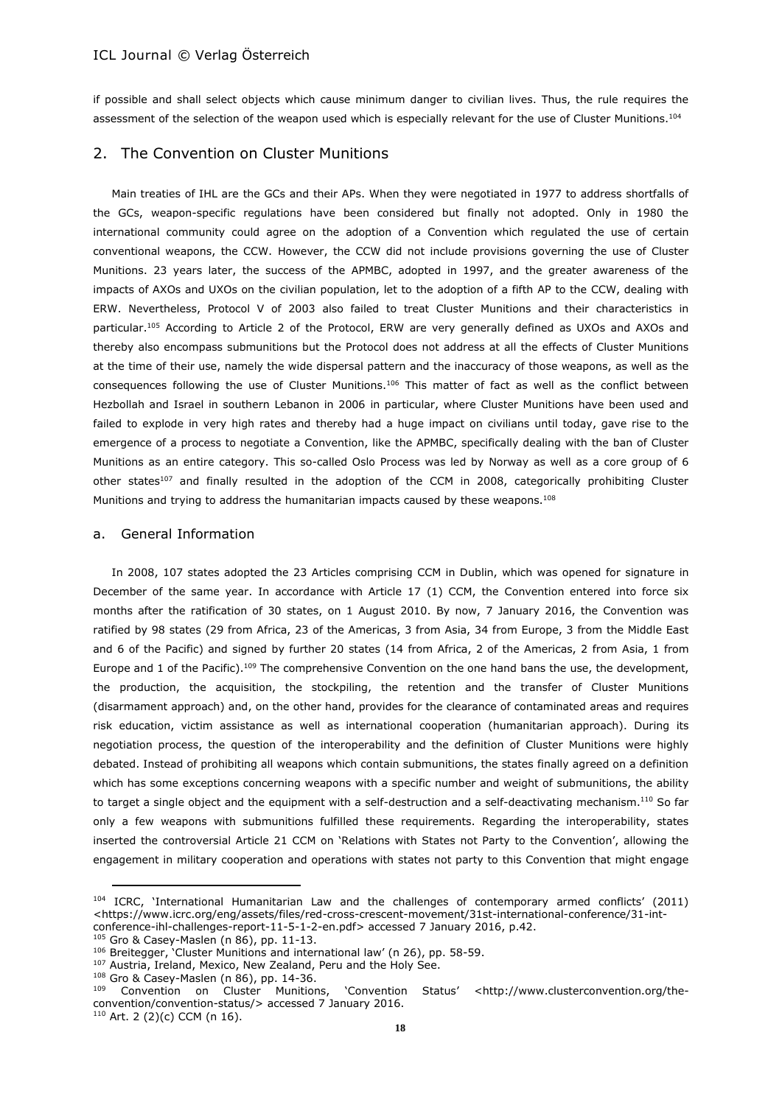if possible and shall select objects which cause minimum danger to civilian lives. Thus, the rule requires the assessment of the selection of the weapon used which is especially relevant for the use of Cluster Munitions.<sup>104</sup>

# 2. The Convention on Cluster Munitions

Main treaties of IHL are the GCs and their APs. When they were negotiated in 1977 to address shortfalls of the GCs, weapon-specific regulations have been considered but finally not adopted. Only in 1980 the international community could agree on the adoption of a Convention which regulated the use of certain conventional weapons, the CCW. However, the CCW did not include provisions governing the use of Cluster Munitions. 23 years later, the success of the APMBC, adopted in 1997, and the greater awareness of the impacts of AXOs and UXOs on the civilian population, let to the adoption of a fifth AP to the CCW, dealing with ERW. Nevertheless, Protocol V of 2003 also failed to treat Cluster Munitions and their characteristics in particular.<sup>105</sup> According to Article 2 of the Protocol, ERW are very generally defined as UXOs and AXOs and thereby also encompass submunitions but the Protocol does not address at all the effects of Cluster Munitions at the time of their use, namely the wide dispersal pattern and the inaccuracy of those weapons, as well as the consequences following the use of Cluster Munitions.<sup>106</sup> This matter of fact as well as the conflict between Hezbollah and Israel in southern Lebanon in 2006 in particular, where Cluster Munitions have been used and failed to explode in very high rates and thereby had a huge impact on civilians until today, gave rise to the emergence of a process to negotiate a Convention, like the APMBC, specifically dealing with the ban of Cluster Munitions as an entire category. This so-called Oslo Process was led by Norway as well as a core group of 6 other states<sup>107</sup> and finally resulted in the adoption of the CCM in 2008, categorically prohibiting Cluster Munitions and trying to address the humanitarian impacts caused by these weapons.<sup>108</sup>

#### a. General Information

In 2008, 107 states adopted the 23 Articles comprising CCM in Dublin, which was opened for signature in December of the same year. In accordance with Article 17 (1) CCM, the Convention entered into force six months after the ratification of 30 states, on 1 August 2010. By now, 7 January 2016, the Convention was ratified by 98 states (29 from Africa, 23 of the Americas, 3 from Asia, 34 from Europe, 3 from the Middle East and 6 of the Pacific) and signed by further 20 states (14 from Africa, 2 of the Americas, 2 from Asia, 1 from Europe and 1 of the Pacific).<sup>109</sup> The comprehensive Convention on the one hand bans the use, the development, the production, the acquisition, the stockpiling, the retention and the transfer of Cluster Munitions (disarmament approach) and, on the other hand, provides for the clearance of contaminated areas and requires risk education, victim assistance as well as international cooperation (humanitarian approach). During its negotiation process, the question of the interoperability and the definition of Cluster Munitions were highly debated. Instead of prohibiting all weapons which contain submunitions, the states finally agreed on a definition which has some exceptions concerning weapons with a specific number and weight of submunitions, the ability to target a single object and the equipment with a self-destruction and a self-deactivating mechanism.<sup>110</sup> So far only a few weapons with submunitions fulfilled these requirements. Regarding the interoperability, states inserted the controversial Article 21 CCM on 'Relations with States not Party to the Convention', allowing the engagement in military cooperation and operations with states not party to this Convention that might engage

<sup>104</sup> ICRC, 'International Humanitarian Law and the challenges of contemporary armed conflicts' (2011) <https://www.icrc.org/eng/assets/files/red-cross-crescent-movement/31st-international-conference/31-int-

conference-ihl-challenges-report-11-5-1-2-en.pdf> accessed 7 January 2016, p.42.

<sup>105</sup> Gro & Casey-Maslen (n 86), pp. 11-13.

<sup>106</sup> Breitegger, Cluster Munitions and international law' (n 26), pp. 58-59.

<sup>&</sup>lt;sup>107</sup> Austria, Ireland, Mexico, New Zealand, Peru and the Holy See.

<sup>108</sup> Gro & Casey-Maslen (n 86), pp. 14-36.

<sup>109</sup> Convention on Cluster Munitions, 'Convention Status' <http://www.clusterconvention.org/theconvention/convention-status/> accessed 7 January 2016.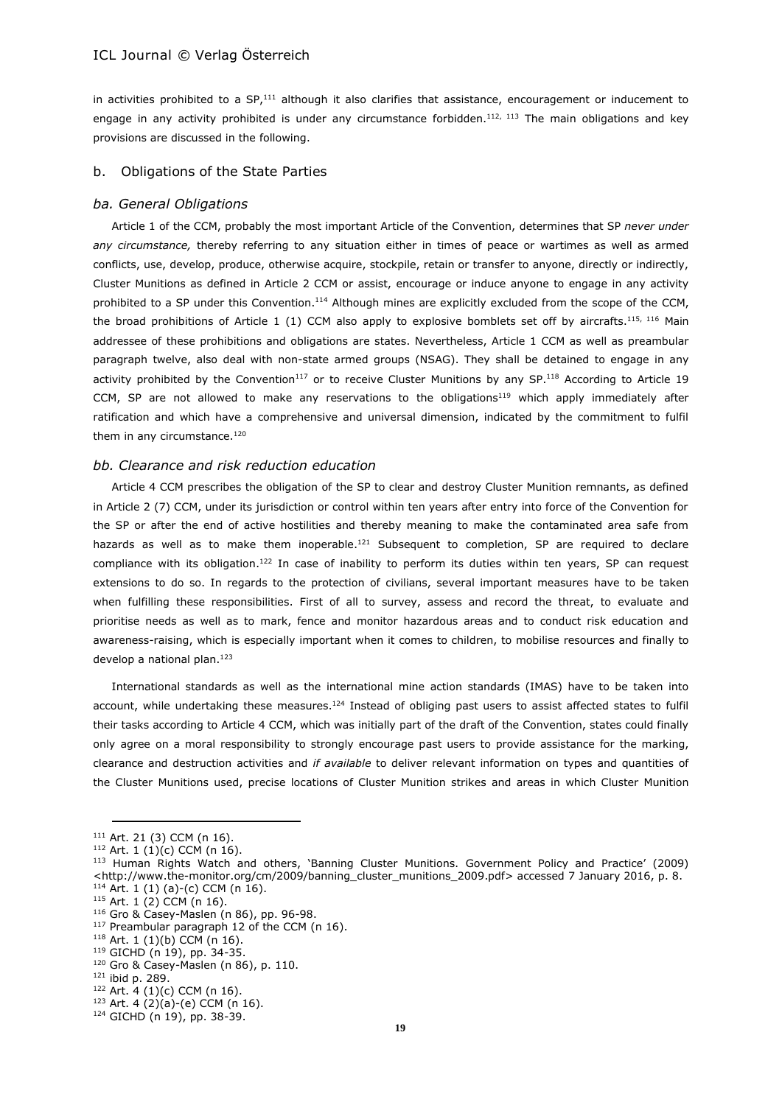in activities prohibited to a  $SP<sub>1</sub><sup>111</sup>$  although it also clarifies that assistance, encouragement or inducement to engage in any activity prohibited is under any circumstance forbidden.<sup>112, 113</sup> The main obligations and key provisions are discussed in the following.

#### b. Obligations of the State Parties

#### *ba. General Obligations*

Article 1 of the CCM, probably the most important Article of the Convention, determines that SP *never under any circumstance,* thereby referring to any situation either in times of peace or wartimes as well as armed conflicts, use, develop, produce, otherwise acquire, stockpile, retain or transfer to anyone, directly or indirectly, Cluster Munitions as defined in Article 2 CCM or assist, encourage or induce anyone to engage in any activity prohibited to a SP under this Convention.<sup>114</sup> Although mines are explicitly excluded from the scope of the CCM, the broad prohibitions of Article 1 (1) CCM also apply to explosive bomblets set off by aircrafts.<sup>115, 116</sup> Main addressee of these prohibitions and obligations are states. Nevertheless, Article 1 CCM as well as preambular paragraph twelve, also deal with non-state armed groups (NSAG). They shall be detained to engage in any activity prohibited by the Convention<sup>117</sup> or to receive Cluster Munitions by any SP.<sup>118</sup> According to Article 19 CCM, SP are not allowed to make any reservations to the obligations<sup>119</sup> which apply immediately after ratification and which have a comprehensive and universal dimension, indicated by the commitment to fulfil them in any circumstance.<sup>120</sup>

#### *bb. Clearance and risk reduction education*

Article 4 CCM prescribes the obligation of the SP to clear and destroy Cluster Munition remnants, as defined in Article 2 (7) CCM, under its jurisdiction or control within ten years after entry into force of the Convention for the SP or after the end of active hostilities and thereby meaning to make the contaminated area safe from hazards as well as to make them inoperable.<sup>121</sup> Subsequent to completion, SP are required to declare compliance with its obligation.<sup>122</sup> In case of inability to perform its duties within ten years, SP can request extensions to do so. In regards to the protection of civilians, several important measures have to be taken when fulfilling these responsibilities. First of all to survey, assess and record the threat, to evaluate and prioritise needs as well as to mark, fence and monitor hazardous areas and to conduct risk education and awareness-raising, which is especially important when it comes to children, to mobilise resources and finally to develop a national plan.<sup>123</sup>

International standards as well as the international mine action standards (IMAS) have to be taken into account, while undertaking these measures.<sup>124</sup> Instead of obliging past users to assist affected states to fulfil their tasks according to Article 4 CCM, which was initially part of the draft of the Convention, states could finally only agree on a moral responsibility to strongly encourage past users to provide assistance for the marking, clearance and destruction activities and *if available* to deliver relevant information on types and quantities of the Cluster Munitions used, precise locations of Cluster Munition strikes and areas in which Cluster Munition

<sup>116</sup> Gro & Casey-Maslen (n 86), pp. 96-98.

<sup>111</sup> Art. 21 (3) CCM (n 16).

 $112$  Art. 1 (1)(c) CCM (n 16).

<sup>113</sup> Human Rights Watch and others, 'Banning Cluster Munitions. Government Policy and Practice' (2009) <http://www.the-monitor.org/cm/2009/banning\_cluster\_munitions\_2009.pdf> accessed 7 January 2016, p. 8.  $114$  Art. 1 (1) (a)-(c) CCM (n 16).

 $115$  Art. 1 (2) CCM (n 16).

<sup>117</sup> Preambular paragraph 12 of the CCM (n 16).

 $118$  Art. 1 (1)(b) CCM (n 16).

<sup>119</sup> GICHD (n 19), pp. 34-35.

<sup>120</sup> Gro & Casey-Maslen (n 86), p. 110.

<sup>121</sup> ibid p. 289.

<sup>122</sup> Art. 4 (1)(c) CCM (n 16).

<sup>123</sup> Art. 4 (2)(a)-(e) CCM (n 16).

<sup>124</sup> GICHD (n 19), pp. 38-39.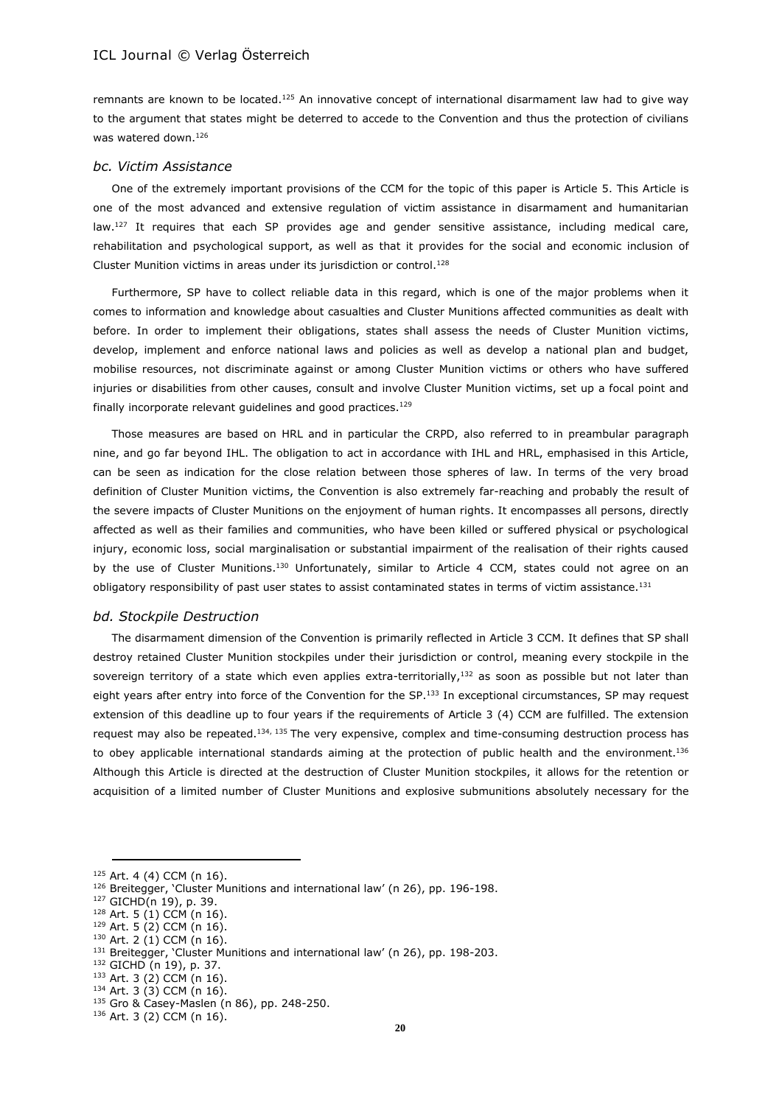remnants are known to be located.<sup>125</sup> An innovative concept of international disarmament law had to give way to the argument that states might be deterred to accede to the Convention and thus the protection of civilians was watered down. 126

#### *bc. Victim Assistance*

One of the extremely important provisions of the CCM for the topic of this paper is Article 5. This Article is one of the most advanced and extensive regulation of victim assistance in disarmament and humanitarian law.<sup>127</sup> It requires that each SP provides age and gender sensitive assistance, including medical care, rehabilitation and psychological support, as well as that it provides for the social and economic inclusion of Cluster Munition victims in areas under its jurisdiction or control. 128

Furthermore, SP have to collect reliable data in this regard, which is one of the major problems when it comes to information and knowledge about casualties and Cluster Munitions affected communities as dealt with before. In order to implement their obligations, states shall assess the needs of Cluster Munition victims, develop, implement and enforce national laws and policies as well as develop a national plan and budget, mobilise resources, not discriminate against or among Cluster Munition victims or others who have suffered injuries or disabilities from other causes, consult and involve Cluster Munition victims, set up a focal point and finally incorporate relevant guidelines and good practices.<sup>129</sup>

Those measures are based on HRL and in particular the CRPD, also referred to in preambular paragraph nine, and go far beyond IHL. The obligation to act in accordance with IHL and HRL, emphasised in this Article, can be seen as indication for the close relation between those spheres of law. In terms of the very broad definition of Cluster Munition victims, the Convention is also extremely far-reaching and probably the result of the severe impacts of Cluster Munitions on the enjoyment of human rights. It encompasses all persons, directly affected as well as their families and communities, who have been killed or suffered physical or psychological injury, economic loss, social marginalisation or substantial impairment of the realisation of their rights caused by the use of Cluster Munitions.<sup>130</sup> Unfortunately, similar to Article 4 CCM, states could not agree on an obligatory responsibility of past user states to assist contaminated states in terms of victim assistance.<sup>131</sup>

#### *bd. Stockpile Destruction*

The disarmament dimension of the Convention is primarily reflected in Article 3 CCM. It defines that SP shall destroy retained Cluster Munition stockpiles under their jurisdiction or control, meaning every stockpile in the sovereign territory of a state which even applies extra-territorially, $^{132}$  as soon as possible but not later than eight years after entry into force of the Convention for the SP.<sup>133</sup> In exceptional circumstances, SP may request extension of this deadline up to four years if the requirements of Article 3 (4) CCM are fulfilled. The extension request may also be repeated.<sup>134, 135</sup> The very expensive, complex and time-consuming destruction process has to obey applicable international standards aiming at the protection of public health and the environment.<sup>136</sup> Although this Article is directed at the destruction of Cluster Munition stockpiles, it allows for the retention or acquisition of a limited number of Cluster Munitions and explosive submunitions absolutely necessary for the

<sup>125</sup> Art. 4 (4) CCM (n 16).

<sup>126</sup> Breitegger, 'Cluster Munitions and international law' (n 26), pp. 196-198.

<sup>127</sup> GICHD(n 19), p. 39.

<sup>128</sup> Art. 5 (1) CCM (n 16).

 $129$  Art. 5 (2) CCM (n 16).

 $130$  Art. 2 (1) CCM (n 16).

<sup>131</sup> Breitegger, 'Cluster Munitions and international law' (n 26), pp. 198-203.

<sup>132</sup> GICHD (n 19), p. 37.

<sup>133</sup> Art. 3 (2) CCM (n 16).  $134$  Art. 3 (3) CCM (n 16).

<sup>135</sup> Gro & Casey-Maslen (n 86), pp. 248-250.

<sup>136</sup> Art. 3 (2) CCM (n 16).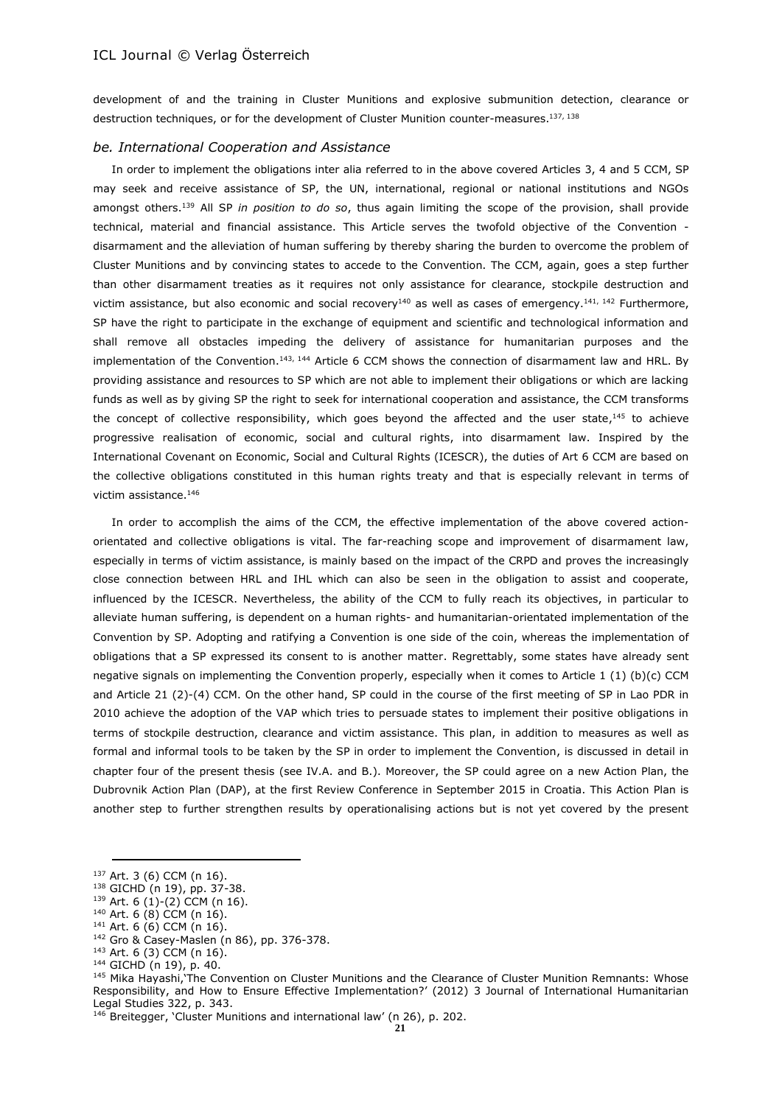development of and the training in Cluster Munitions and explosive submunition detection, clearance or destruction techniques, or for the development of Cluster Munition counter-measures.<sup>137, 138</sup>

#### *be. International Cooperation and Assistance*

In order to implement the obligations inter alia referred to in the above covered Articles 3, 4 and 5 CCM, SP may seek and receive assistance of SP, the UN, international, regional or national institutions and NGOs amongst others.<sup>139</sup> All SP *in position to do so*, thus again limiting the scope of the provision, shall provide technical, material and financial assistance. This Article serves the twofold objective of the Convention disarmament and the alleviation of human suffering by thereby sharing the burden to overcome the problem of Cluster Munitions and by convincing states to accede to the Convention. The CCM, again, goes a step further than other disarmament treaties as it requires not only assistance for clearance, stockpile destruction and victim assistance, but also economic and social recovery<sup>140</sup> as well as cases of emergency.<sup>141, 142</sup> Furthermore, SP have the right to participate in the exchange of equipment and scientific and technological information and shall remove all obstacles impeding the delivery of assistance for humanitarian purposes and the implementation of the Convention.<sup>143, 144</sup> Article 6 CCM shows the connection of disarmament law and HRL. By providing assistance and resources to SP which are not able to implement their obligations or which are lacking funds as well as by giving SP the right to seek for international cooperation and assistance, the CCM transforms the concept of collective responsibility, which goes beyond the affected and the user state,<sup>145</sup> to achieve progressive realisation of economic, social and cultural rights, into disarmament law. Inspired by the International Covenant on Economic, Social and Cultural Rights (ICESCR), the duties of Art 6 CCM are based on the collective obligations constituted in this human rights treaty and that is especially relevant in terms of victim assistance.<sup>146</sup>

In order to accomplish the aims of the CCM, the effective implementation of the above covered actionorientated and collective obligations is vital. The far-reaching scope and improvement of disarmament law, especially in terms of victim assistance, is mainly based on the impact of the CRPD and proves the increasingly close connection between HRL and IHL which can also be seen in the obligation to assist and cooperate, influenced by the ICESCR. Nevertheless, the ability of the CCM to fully reach its objectives, in particular to alleviate human suffering, is dependent on a human rights- and humanitarian-orientated implementation of the Convention by SP. Adopting and ratifying a Convention is one side of the coin, whereas the implementation of obligations that a SP expressed its consent to is another matter. Regrettably, some states have already sent negative signals on implementing the Convention properly, especially when it comes to Article 1 (1) (b)(c) CCM and Article 21 (2)-(4) CCM. On the other hand, SP could in the course of the first meeting of SP in Lao PDR in 2010 achieve the adoption of the VAP which tries to persuade states to implement their positive obligations in terms of stockpile destruction, clearance and victim assistance. This plan, in addition to measures as well as formal and informal tools to be taken by the SP in order to implement the Convention, is discussed in detail in chapter four of the present thesis (see IV.A. and B.). Moreover, the SP could agree on a new Action Plan, the Dubrovnik Action Plan (DAP), at the first Review Conference in September 2015 in Croatia. This Action Plan is another step to further strengthen results by operationalising actions but is not yet covered by the present

 $139$  Art. 6 (1)-(2) CCM (n 16).

<sup>137</sup> Art. 3 (6) CCM (n 16).

 $138$  GICHD (n 19), pp. 37-38.

 $140$  Art. 6 (8) CCM (n 16).

<sup>141</sup> Art. 6 (6) CCM (n 16).

<sup>142</sup> Gro & Casey-Maslen (n 86), pp. 376-378.

<sup>143</sup> Art. 6 (3) CCM (n 16).

<sup>144</sup> GICHD (n 19), p. 40.

<sup>145</sup> Mika Hayashi, The Convention on Cluster Munitions and the Clearance of Cluster Munition Remnants: Whose Responsibility, and How to Ensure Effective Implementation?' (2012) 3 [Journal of International Humanitarian](http://booksandjournals.brillonline.com/content/journals/18781527;jsessionid=bfef8qfbe57a.x-brill-live-03)  [Legal Studies](http://booksandjournals.brillonline.com/content/journals/18781527;jsessionid=bfef8qfbe57a.x-brill-live-03) 322, p. 343.

<sup>&</sup>lt;sup>146</sup> Breitegger, 'Cluster Munitions and international law' (n 26), p. 202.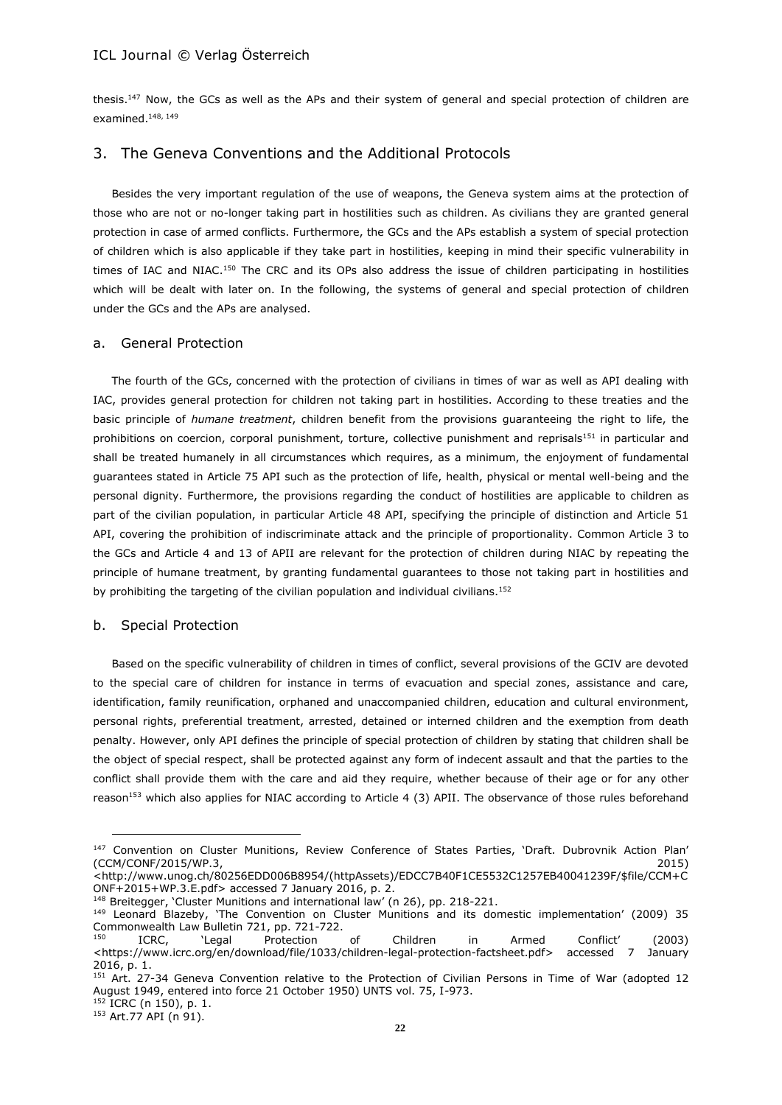thesis.<sup>147</sup> Now, the GCs as well as the APs and their system of general and special protection of children are examined. 148, 149

# 3. The Geneva Conventions and the Additional Protocols

Besides the very important regulation of the use of weapons, the Geneva system aims at the protection of those who are not or no-longer taking part in hostilities such as children. As civilians they are granted general protection in case of armed conflicts. Furthermore, the GCs and the APs establish a system of special protection of children which is also applicable if they take part in hostilities, keeping in mind their specific vulnerability in times of IAC and NIAC.<sup>150</sup> The CRC and its OPs also address the issue of children participating in hostilities which will be dealt with later on. In the following, the systems of general and special protection of children under the GCs and the APs are analysed.

#### a. General Protection

The fourth of the GCs, concerned with the protection of civilians in times of war as well as API dealing with IAC, provides general protection for children not taking part in hostilities. According to these treaties and the basic principle of *humane treatment*, children benefit from the provisions guaranteeing the right to life, the prohibitions on coercion, corporal punishment, torture, collective punishment and reprisals<sup>151</sup> in particular and shall be treated humanely in all circumstances which requires, as a minimum, the enjoyment of fundamental guarantees stated in Article 75 API such as the protection of life, health, physical or mental well-being and the personal dignity. Furthermore, the provisions regarding the conduct of hostilities are applicable to children as part of the civilian population, in particular Article 48 API, specifying the principle of distinction and Article 51 API, covering the prohibition of indiscriminate attack and the principle of proportionality. Common Article 3 to the GCs and Article 4 and 13 of APII are relevant for the protection of children during NIAC by repeating the principle of humane treatment, by granting fundamental guarantees to those not taking part in hostilities and by prohibiting the targeting of the civilian population and individual civilians.<sup>152</sup>

#### b. Special Protection

Based on the specific vulnerability of children in times of conflict, several provisions of the GCIV are devoted to the special care of children for instance in terms of evacuation and special zones, assistance and care, identification, family reunification, orphaned and unaccompanied children, education and cultural environment, personal rights, preferential treatment, arrested, detained or interned children and the exemption from death penalty. However, only API defines the principle of special protection of children by stating that children shall be the object of special respect, shall be protected against any form of indecent assault and that the parties to the conflict shall provide them with the care and aid they require, whether because of their age or for any other reason<sup>153</sup> which also applies for NIAC according to Article 4 (3) APII. The observance of those rules beforehand

<sup>&</sup>lt;sup>147</sup> Convention on Cluster Munitions, Review Conference of States Parties, 'Draft. Dubrovnik Action Plan' (CCM/CONF/2015/WP.3, 2015)

<sup>&</sup>lt;http://www.unog.ch/80256EDD006B8954/(httpAssets)/EDCC7B40F1CE5532C1257EB40041239F/\$file/CCM+C ONF+2015+WP.3.E.pdf> accessed 7 January 2016, p. 2.

<sup>&</sup>lt;sup>148</sup> Breitegger, 'Cluster Munitions and international law' (n 26), pp. 218-221.

<sup>149</sup> Leonard Blazeby, 'The Convention on Cluster Munitions and its domestic implementation' (2009) 35 Commonwealth Law Bulletin 721, pp. 721-722.<br><sup>150</sup> ICRC, Clegal Protection

<sup>150</sup> ICRC, 'Legal Protection of Children in Armed Conflict' (2003) <https://www.icrc.org/en/download/file/1033/children-legal-protection-factsheet.pdf> accessed 7 January 2016, p. 1.

<sup>&</sup>lt;sup>151</sup> Art. 27-34 Geneva Convention relative to the Protection of Civilian Persons in Time of War (adopted 12 August 1949, entered into force 21 October 1950) UNTS vol. 75, I-973. <sup>152</sup> ICRC (n 150), p. 1.

<sup>153</sup> Art.77 API (n 91).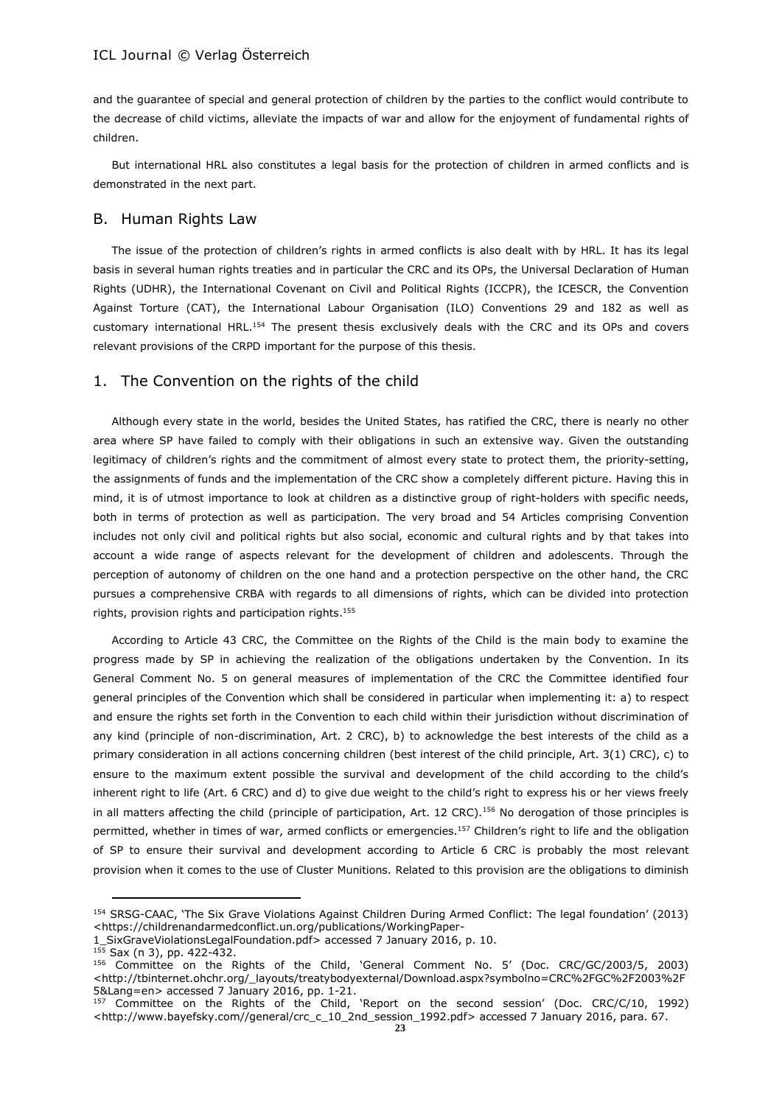and the guarantee of special and general protection of children by the parties to the conflict would contribute to the decrease of child victims, alleviate the impacts of war and allow for the enjoyment of fundamental rights of children.

But international HRL also constitutes a legal basis for the protection of children in armed conflicts and is demonstrated in the next part.

### B. Human Rights Law

The issue of the protection of children's rights in armed conflicts is also dealt with by HRL. It has its legal basis in several human rights treaties and in particular the CRC and its OPs, the Universal Declaration of Human Rights (UDHR), the International Covenant on Civil and Political Rights (ICCPR), the ICESCR, the Convention Against Torture (CAT), the International Labour Organisation (ILO) Conventions 29 and 182 as well as customary international HRL.<sup>154</sup> The present thesis exclusively deals with the CRC and its OPs and covers relevant provisions of the CRPD important for the purpose of this thesis.

#### 1. The Convention on the rights of the child

Although every state in the world, besides the United States, has ratified the CRC, there is nearly no other area where SP have failed to comply with their obligations in such an extensive way. Given the outstanding legitimacy of children's rights and the commitment of almost every state to protect them, the priority-setting, the assignments of funds and the implementation of the CRC show a completely different picture. Having this in mind, it is of utmost importance to look at children as a distinctive group of right-holders with specific needs, both in terms of protection as well as participation. The very broad and 54 Articles comprising Convention includes not only civil and political rights but also social, economic and cultural rights and by that takes into account a wide range of aspects relevant for the development of children and adolescents. Through the perception of autonomy of children on the one hand and a protection perspective on the other hand, the CRC pursues a comprehensive CRBA with regards to all dimensions of rights, which can be divided into protection rights, provision rights and participation rights. 155

According to Article 43 CRC, the Committee on the Rights of the Child is the main body to examine the progress made by SP in achieving the realization of the obligations undertaken by the Convention. In its General Comment No. 5 on general measures of implementation of the CRC the Committee identified four general principles of the Convention which shall be considered in particular when implementing it: a) to respect and ensure the rights set forth in the Convention to each child within their jurisdiction without discrimination of any kind (principle of non-discrimination, Art. 2 CRC), b) to acknowledge the best interests of the child as a primary consideration in all actions concerning children (best interest of the child principle, Art. 3(1) CRC), c) to ensure to the maximum extent possible the survival and development of the child according to the child's inherent right to life (Art. 6 CRC) and d) to give due weight to the child's right to express his or her views freely in all matters affecting the child (principle of participation, Art. 12 CRC).<sup>156</sup> No derogation of those principles is permitted, whether in times of war, armed conflicts or emergencies. <sup>157</sup> Children's right to life and the obligation of SP to ensure their survival and development according to Article 6 CRC is probably the most relevant provision when it comes to the use of Cluster Munitions. Related to this provision are the obligations to diminish

<sup>154</sup> SRSG-CAAC, 'The Six Grave Violations Against Children During Armed Conflict: The legal foundation' (2013) <https://childrenandarmedconflict.un.org/publications/WorkingPaper-

<sup>1</sup>\_SixGraveViolationsLegalFoundation.pdf> accessed 7 January 2016, p. 10.

 $155$  Sax (n 3), pp. 422-432.

<sup>156</sup> Committee on the Rights of the Child, 'General Comment No. 5' (Doc. CRC/GC/2003/5, 2003) <http://tbinternet.ohchr.org/\_layouts/treatybodyexternal/Download.aspx?symbolno=CRC%2FGC%2F2003%2F 5&Lang=en> accessed 7 January 2016, pp. 1-21.

<sup>&</sup>lt;sup>157</sup> Committee on the Rights of the Child, 'Report on the second session' (Doc. CRC/C/10, 1992) <http://www.bayefsky.com//general/crc\_c\_10\_2nd\_session\_1992.pdf> accessed 7 January 2016, para. 67.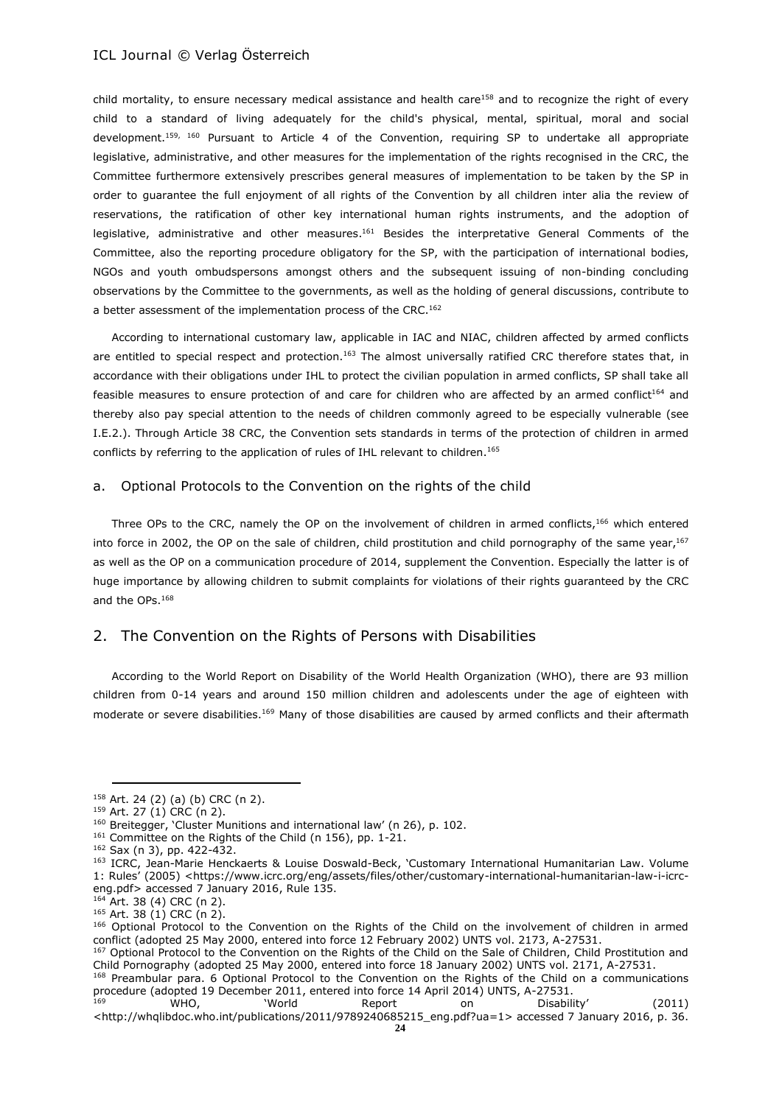child mortality, to ensure necessary medical assistance and health care<sup>158</sup> and to recognize the right of every child to a standard of living adequately for the child's physical, mental, spiritual, moral and social development. 159, 160 Pursuant to Article 4 of the Convention, requiring SP to undertake all appropriate legislative, administrative, and other measures for the implementation of the rights recognised in the CRC, the Committee furthermore extensively prescribes general measures of implementation to be taken by the SP in order to guarantee the full enjoyment of all rights of the Convention by all children inter alia the review of reservations, the ratification of other key international human rights instruments, and the adoption of legislative, administrative and other measures.<sup>161</sup> Besides the interpretative General Comments of the Committee, also the reporting procedure obligatory for the SP, with the participation of international bodies, NGOs and youth ombudspersons amongst others and the subsequent issuing of non-binding concluding observations by the Committee to the governments, as well as the holding of general discussions, contribute to a better assessment of the implementation process of the CRC.<sup>162</sup>

According to international customary law, applicable in IAC and NIAC, children affected by armed conflicts are entitled to special respect and protection.<sup>163</sup> The almost universally ratified CRC therefore states that, in accordance with their obligations under IHL to protect the civilian population in armed conflicts, SP shall take all feasible measures to ensure protection of and care for children who are affected by an armed conflict<sup>164</sup> and thereby also pay special attention to the needs of children commonly agreed to be especially vulnerable (see I.E.2.). Through Article 38 CRC, the Convention sets standards in terms of the protection of children in armed conflicts by referring to the application of rules of IHL relevant to children. 165

#### a. Optional Protocols to the Convention on the rights of the child

Three OPs to the CRC, namely the OP on the involvement of children in armed conflicts,<sup>166</sup> which entered into force in 2002, the OP on the sale of children, child prostitution and child pornography of the same year,<sup>167</sup> as well as the OP on a communication procedure of 2014, supplement the Convention. Especially the latter is of huge importance by allowing children to submit complaints for violations of their rights guaranteed by the CRC and the OPs. 168

# 2. The Convention on the Rights of Persons with Disabilities

According to the World Report on Disability of the World Health Organization (WHO), there are 93 million children from 0-14 years and around 150 million children and adolescents under the age of eighteen with moderate or severe disabilities.<sup>169</sup> Many of those disabilities are caused by armed conflicts and their aftermath

<sup>158</sup> Art. 24 (2) (a) (b) CRC (n 2).

<sup>159</sup> Art. 27 (1) CRC (n 2).

<sup>160</sup> Breitegger, 'Cluster Munitions and international law' (n 26), p. 102.

<sup>161</sup> Committee on the Rights of the Child (n 156), pp. 1-21.

<sup>162</sup> Sax (n 3), pp. 422-432.

<sup>163</sup> ICRC, Jean-Marie Henckaerts & Louise Doswald-Beck, 'Customary International Humanitarian Law. Volume 1: Rules' (2005) <https://www.icrc.org/eng/assets/files/other/customary-international-humanitarian-law-i-icrceng.pdf> accessed 7 January 2016, Rule 135.

<sup>164</sup> Art. 38 (4) CRC (n 2).

 $165$  Art. 38 (1) CRC (n 2).

<sup>166</sup> Optional Protocol to the Convention on the Rights of the Child on the involvement of children in armed conflict (adopted 25 May 2000, entered into force 12 February 2002) UNTS vol. 2173, A-27531.

<sup>&</sup>lt;sup>167</sup> Optional Protocol to the Convention on the Rights of the Child on the Sale of Children, Child Prostitution and Child Pornography (adopted 25 May 2000, entered into force 18 January 2002) UNTS vol. 2171, A-27531. 168 Preambular para. 6 Optional Protocol to the Convention on the Rights of the Child on a communications

procedure (adopted 19 December 2011, entered into force 14 April 2014) UNTS, A-27531. <sup>169</sup> WHO, 'World Report on Disability' (2011)

<sup>&</sup>lt;http://whqlibdoc.who.int/publications/2011/9789240685215\_eng.pdf?ua=1> accessed 7 January 2016, p. 36.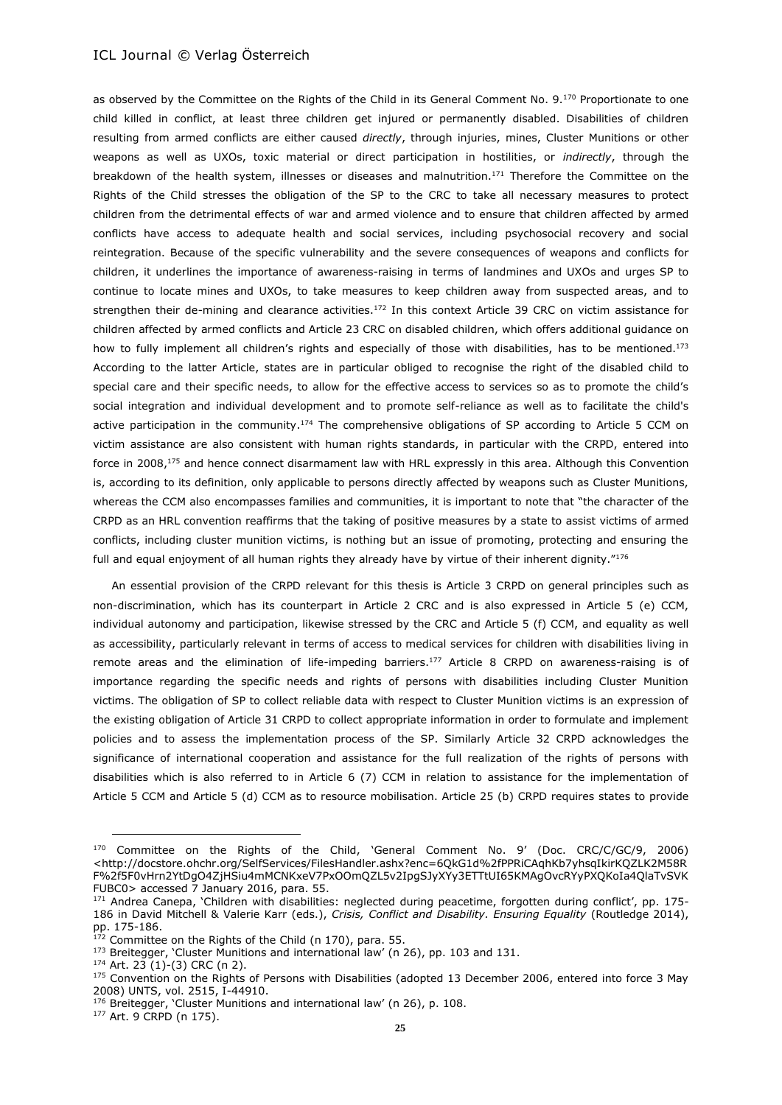as observed by the Committee on the Rights of the Child in its General Comment No. 9.<sup>170</sup> Proportionate to one child killed in conflict, at least three children get injured or permanently disabled. Disabilities of children resulting from armed conflicts are either caused *directly*, through injuries, mines, Cluster Munitions or other weapons as well as UXOs, toxic material or direct participation in hostilities, or *indirectly*, through the breakdown of the health system, illnesses or diseases and malnutrition.<sup>171</sup> Therefore the Committee on the Rights of the Child stresses the obligation of the SP to the CRC to take all necessary measures to protect children from the detrimental effects of war and armed violence and to ensure that children affected by armed conflicts have access to adequate health and social services, including psychosocial recovery and social reintegration. Because of the specific vulnerability and the severe consequences of weapons and conflicts for children, it underlines the importance of awareness-raising in terms of landmines and UXOs and urges SP to continue to locate mines and UXOs, to take measures to keep children away from suspected areas, and to strengthen their de-mining and clearance activities.<sup>172</sup> In this context Article 39 CRC on victim assistance for children affected by armed conflicts and Article 23 CRC on disabled children, which offers additional guidance on how to fully implement all children's rights and especially of those with disabilities, has to be mentioned.<sup>173</sup> According to the latter Article, states are in particular obliged to recognise the right of the disabled child to special care and their specific needs, to allow for the effective access to services so as to promote the child's social integration and individual development and to promote self-reliance as well as to facilitate the child's active participation in the community.<sup>174</sup> The comprehensive obligations of SP according to Article 5 CCM on victim assistance are also consistent with human rights standards, in particular with the CRPD, entered into force in 2008,<sup>175</sup> and hence connect disarmament law with HRL expressly in this area. Although this Convention is, according to its definition, only applicable to persons directly affected by weapons such as Cluster Munitions, whereas the CCM also encompasses families and communities, it is important to note that "the character of the CRPD as an HRL convention reaffirms that the taking of positive measures by a state to assist victims of armed conflicts, including cluster munition victims, is nothing but an issue of promoting, protecting and ensuring the full and equal enjoyment of all human rights they already have by virtue of their inherent dignity."<sup>176</sup>

An essential provision of the CRPD relevant for this thesis is Article 3 CRPD on general principles such as non-discrimination, which has its counterpart in Article 2 CRC and is also expressed in Article 5 (e) CCM, individual autonomy and participation, likewise stressed by the CRC and Article 5 (f) CCM, and equality as well as accessibility, particularly relevant in terms of access to medical services for children with disabilities living in remote areas and the elimination of life-impeding barriers.<sup>177</sup> Article 8 CRPD on awareness-raising is of importance regarding the specific needs and rights of persons with disabilities including Cluster Munition victims. The obligation of SP to collect reliable data with respect to Cluster Munition victims is an expression of the existing obligation of Article 31 CRPD to collect appropriate information in order to formulate and implement policies and to assess the implementation process of the SP. Similarly Article 32 CRPD acknowledges the significance of international cooperation and assistance for the full realization of the rights of persons with disabilities which is also referred to in Article 6 (7) CCM in relation to assistance for the implementation of Article 5 CCM and Article 5 (d) CCM as to resource mobilisation. Article 25 (b) CRPD requires states to provide

<sup>170</sup> Committee on the Rights of the Child, 'General Comment No. 9' (Doc. CRC/C/GC/9, 2006) <http://docstore.ohchr.org/SelfServices/FilesHandler.ashx?enc=6QkG1d%2fPPRiCAqhKb7yhsqIkirKQZLK2M58R F%2f5F0vHrn2YtDgO4ZjHSiu4mMCNKxeV7PxOOmQZL5v2IpgSJyXYy3ETTtUI65KMAgOvcRYyPXQKoIa4QlaTvSVK FUBC0> accessed 7 January 2016, para. 55.

<sup>171</sup> Andrea Canepa, 'Children with disabilities: neglected during peacetime, forgotten during conflict', pp. 175-186 in David Mitchell & Valerie Karr (eds.), *Crisis, Conflict and Disability. Ensuring Equality* (Routledge 2014), pp. 175-186.

 $172$  Committee on the Rights of the Child (n 170), para. 55.

<sup>173</sup> Breitegger, 'Cluster Munitions and international law' (n 26), pp. 103 and 131.

 $174$  Art. 23 (1)-(3) CRC (n 2).

<sup>175</sup> Convention on the Rights of Persons with Disabilities (adopted 13 December 2006, entered into force 3 May 2008) UNTS, vol. 2515, I-44910.

<sup>&</sup>lt;sup>176</sup> Breitegger, 'Cluster Munitions and international law' (n 26), p. 108.

<sup>177</sup> Art. 9 CRPD (n 175).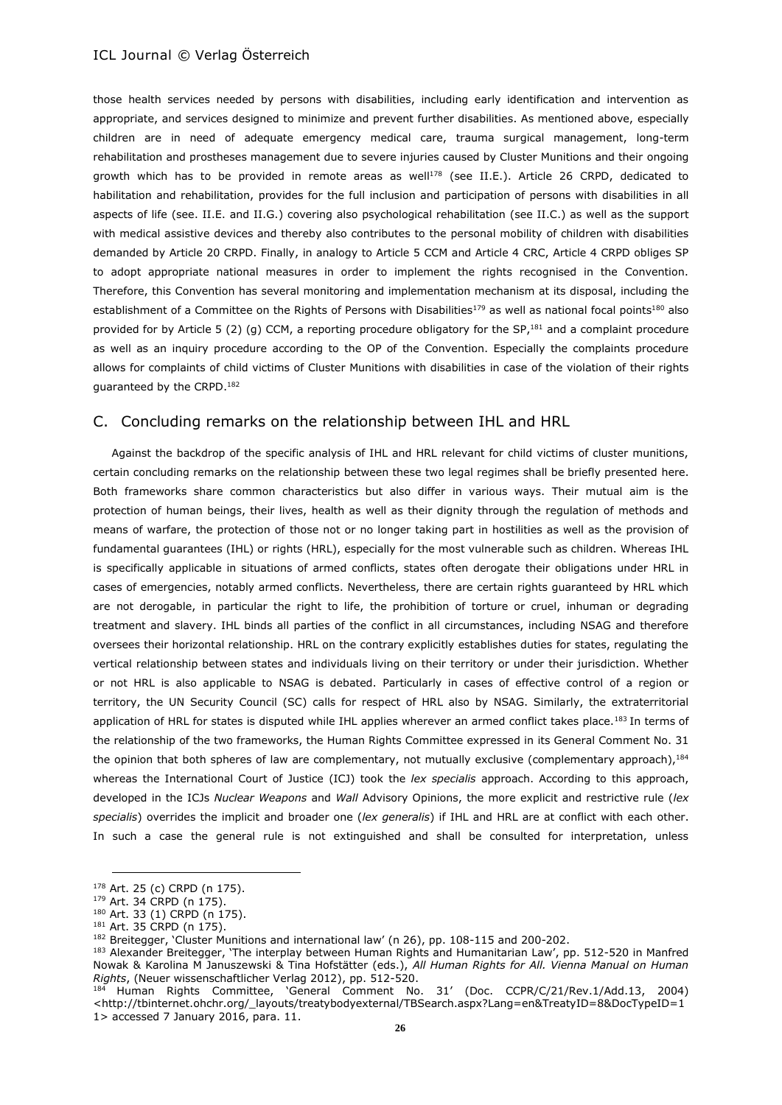those health services needed by persons with disabilities, including early identification and intervention as appropriate, and services designed to minimize and prevent further disabilities. As mentioned above, especially children are in need of adequate emergency medical care, trauma surgical management, long-term rehabilitation and prostheses management due to severe injuries caused by Cluster Munitions and their ongoing growth which has to be provided in remote areas as well<sup>178</sup> (see II.E.). Article 26 CRPD, dedicated to habilitation and rehabilitation, provides for the full inclusion and participation of persons with disabilities in all aspects of life (see. II.E. and II.G.) covering also psychological rehabilitation (see II.C.) as well as the support with medical assistive devices and thereby also contributes to the personal mobility of children with disabilities demanded by Article 20 CRPD. Finally, in analogy to Article 5 CCM and Article 4 CRC, Article 4 CRPD obliges SP to adopt appropriate national measures in order to implement the rights recognised in the Convention. Therefore, this Convention has several monitoring and implementation mechanism at its disposal, including the establishment of a Committee on the Rights of Persons with Disabilities<sup>179</sup> as well as national focal points<sup>180</sup> also provided for by Article 5 (2) (g) CCM, a reporting procedure obligatory for the SP,<sup>181</sup> and a complaint procedure as well as an inquiry procedure according to the OP of the Convention. Especially the complaints procedure allows for complaints of child victims of Cluster Munitions with disabilities in case of the violation of their rights guaranteed by the CRPD.<sup>182</sup>

# C. Concluding remarks on the relationship between IHL and HRL

Against the backdrop of the specific analysis of IHL and HRL relevant for child victims of cluster munitions, certain concluding remarks on the relationship between these two legal regimes shall be briefly presented here. Both frameworks share common characteristics but also differ in various ways. Their mutual aim is the protection of human beings, their lives, health as well as their dignity through the regulation of methods and means of warfare, the protection of those not or no longer taking part in hostilities as well as the provision of fundamental guarantees (IHL) or rights (HRL), especially for the most vulnerable such as children. Whereas IHL is specifically applicable in situations of armed conflicts, states often derogate their obligations under HRL in cases of emergencies, notably armed conflicts. Nevertheless, there are certain rights guaranteed by HRL which are not derogable, in particular the right to life, the prohibition of torture or cruel, inhuman or degrading treatment and slavery. IHL binds all parties of the conflict in all circumstances, including NSAG and therefore oversees their horizontal relationship. HRL on the contrary explicitly establishes duties for states, regulating the vertical relationship between states and individuals living on their territory or under their jurisdiction. Whether or not HRL is also applicable to NSAG is debated. Particularly in cases of effective control of a region or territory, the UN Security Council (SC) calls for respect of HRL also by NSAG. Similarly, the extraterritorial application of HRL for states is disputed while IHL applies wherever an armed conflict takes place.<sup>183</sup> In terms of the relationship of the two frameworks, the Human Rights Committee expressed in its General Comment No. 31 the opinion that both spheres of law are complementary, not mutually exclusive (complementary approach), 184 whereas the International Court of Justice (ICJ) took the *lex specialis* approach. According to this approach, developed in the ICJs *Nuclear Weapons* and *Wall* Advisory Opinions, the more explicit and restrictive rule (*lex specialis*) overrides the implicit and broader one (*lex generalis*) if IHL and HRL are at conflict with each other. In such a case the general rule is not extinguished and shall be consulted for interpretation, unless

 <sup>178</sup> Art. 25 (c) CRPD (n 175).

<sup>179</sup> Art. 34 CRPD (n 175).

<sup>180</sup> Art. 33 (1) CRPD (n 175).

<sup>181</sup> Art. 35 CRPD (n 175).

<sup>182</sup> Breitegger, 'Cluster Munitions and international law' (n 26), pp. 108-115 and 200-202.

<sup>183</sup> Alexander Breitegger, 'The interplay between Human Rights and Humanitarian Law', pp. 512-520 in Manfred Nowak & Karolina M Januszewski & Tina Hofstätter (eds.), *All Human Rights for All. Vienna Manual on Human Rights*, (Neuer wissenschaftlicher Verlag 2012), pp. 512-520.

<sup>184</sup> Human Rights Committee, 'General Comment No. 31' (Doc. CCPR/C/21/Rev.1/Add.13, 2004) <http://tbinternet.ohchr.org/\_layouts/treatybodyexternal/TBSearch.aspx?Lang=en&TreatyID=8&DocTypeID=1 1> accessed 7 January 2016, para. 11.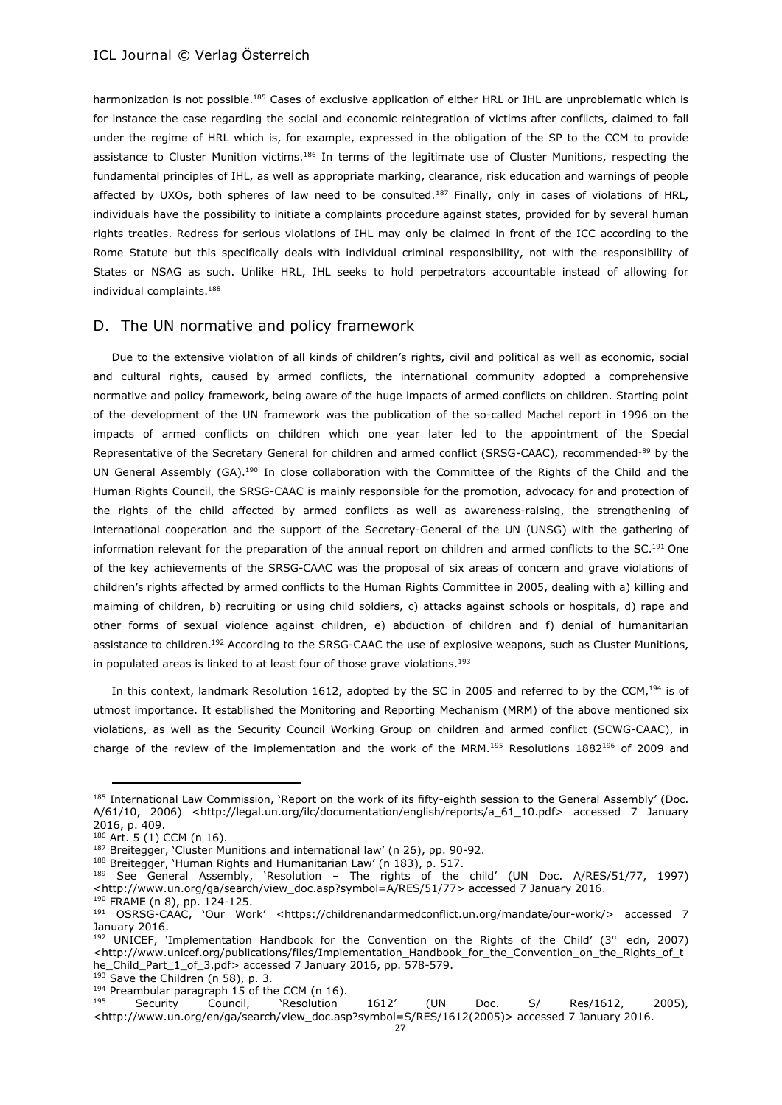harmonization is not possible.<sup>185</sup> Cases of exclusive application of either HRL or IHL are unproblematic which is for instance the case regarding the social and economic reintegration of victims after conflicts, claimed to fall under the regime of HRL which is, for example, expressed in the obligation of the SP to the CCM to provide assistance to Cluster Munition victims.<sup>186</sup> In terms of the legitimate use of Cluster Munitions, respecting the fundamental principles of IHL, as well as appropriate marking, clearance, risk education and warnings of people affected by UXOs, both spheres of law need to be consulted.<sup>187</sup> Finally, only in cases of violations of HRL, individuals have the possibility to initiate a complaints procedure against states, provided for by several human rights treaties. Redress for serious violations of IHL may only be claimed in front of the ICC according to the Rome Statute but this specifically deals with individual criminal responsibility, not with the responsibility of States or NSAG as such. Unlike HRL, IHL seeks to hold perpetrators accountable instead of allowing for individual complaints.<sup>188</sup>

# D. The UN normative and policy framework

Due to the extensive violation of all kinds of children's rights, civil and political as well as economic, social and cultural rights, caused by armed conflicts, the international community adopted a comprehensive normative and policy framework, being aware of the huge impacts of armed conflicts on children. Starting point of the development of the UN framework was the publication of the so-called Machel report in 1996 on the impacts of armed conflicts on children which one year later led to the appointment of the Special Representative of the Secretary General for children and armed conflict (SRSG-CAAC), recommended<sup>189</sup> by the UN General Assembly (GA).<sup>190</sup> In close collaboration with the Committee of the Rights of the Child and the Human Rights Council, the SRSG-CAAC is mainly responsible for the promotion, advocacy for and protection of the rights of the child affected by armed conflicts as well as awareness-raising, the strengthening of international cooperation and the support of the Secretary-General of the UN (UNSG) with the gathering of information relevant for the preparation of the annual report on children and armed conflicts to the SC. <sup>191</sup> One of the key achievements of the SRSG-CAAC was the proposal of six areas of concern and grave violations of children's rights affected by armed conflicts to the Human Rights Committee in 2005, dealing with a) killing and maiming of children, b) recruiting or using child soldiers, c) attacks against schools or hospitals, d) rape and other forms of sexual violence against children, e) abduction of children and f) denial of humanitarian assistance to children.<sup>192</sup> According to the SRSG-CAAC the use of explosive weapons, such as Cluster Munitions, in populated areas is linked to at least four of those grave violations.<sup>193</sup>

In this context, landmark Resolution 1612, adopted by the SC in 2005 and referred to by the CCM,<sup>194</sup> is of utmost importance. It established the Monitoring and Reporting Mechanism (MRM) of the above mentioned six violations, as well as the Security Council Working Group on children and armed conflict (SCWG-CAAC), in charge of the review of the implementation and the work of the MRM.<sup>195</sup> Resolutions 1882<sup>196</sup> of 2009 and

 $193$  Save the Children (n 58), p. 3.

<sup>&</sup>lt;sup>185</sup> International Law Commission, 'Report on the work of its fifty-eighth session to the General Assembly' (Doc. A/61/10, 2006) <http://legal.un.org/ilc/documentation/english/reports/a\_61\_10.pdf> accessed 7 January 2016, p. 409.

<sup>186</sup> Art. 5 (1) CCM (n 16).

<sup>&</sup>lt;sup>187</sup> Breitegger, 'Cluster Munitions and international law' (n 26), pp. 90-92.

<sup>188</sup> Breitegger, 'Human Rights and Humanitarian Law' (n 183), p. 517.

 $189$  See General Assembly, 'Resolution – The rights of the child' (UN Doc. A/RES/51/77, 1997) <http://www.un.org/ga/search/view\_doc.asp?symbol=A/RES/51/77> accessed 7 January 2016. <sup>190</sup> FRAME (n 8), pp. 124-125.

<sup>191</sup> OSRSG-CAAC, 'Our Work' <https://childrenandarmedconflict.un.org/mandate/our-work/> accessed 7 January 2016.

<sup>&</sup>lt;sup>192</sup> UNICEF, 'Implementation Handbook for the Convention on the Rights of the Child' (3<sup>rd</sup> edn, 2007) <http://www.unicef.org/publications/files/Implementation\_Handbook\_for\_the\_Convention\_on\_the\_Rights\_of\_t he\_Child\_Part\_1\_of\_3.pdf> accessed 7 January 2016, pp. 578-579.

<sup>&</sup>lt;sup>194</sup> Preambular paragraph 15 of the CCM (n 16).<br><sup>195</sup> Security Council Preselution

<sup>&</sup>lt;sup>195</sup> Security Council, 'Resolution 1612' (UN Doc. S/ Res/1612, 2005), <http://www.un.org/en/ga/search/view\_doc.asp?symbol=S/RES/1612(2005)> accessed 7 January 2016.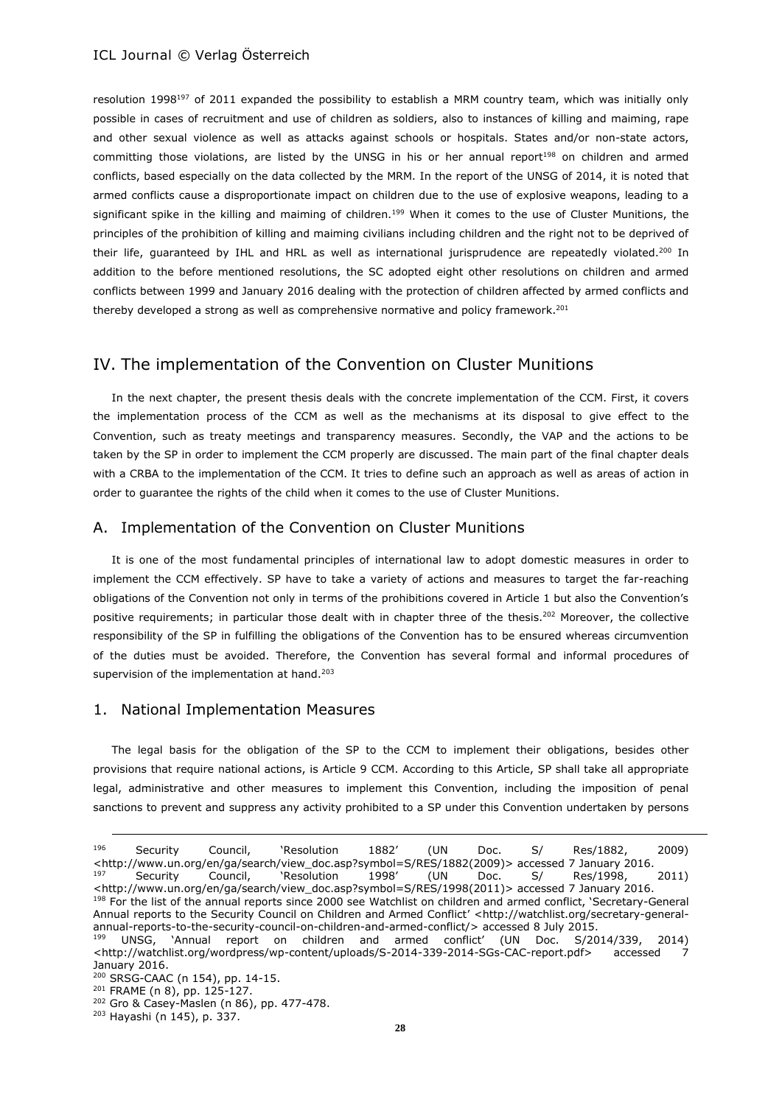resolution 1998<sup>197</sup> of 2011 expanded the possibility to establish a MRM country team, which was initially only possible in cases of recruitment and use of children as soldiers, also to instances of killing and maiming, rape and other sexual violence as well as attacks against schools or hospitals. States and/or non-state actors, committing those violations, are listed by the UNSG in his or her annual report<sup>198</sup> on children and armed conflicts, based especially on the data collected by the MRM. In the report of the UNSG of 2014, it is noted that armed conflicts cause a disproportionate impact on children due to the use of explosive weapons, leading to a significant spike in the killing and maiming of children.<sup>199</sup> When it comes to the use of Cluster Munitions, the principles of the prohibition of killing and maiming civilians including children and the right not to be deprived of their life, quaranteed by IHL and HRL as well as international jurisprudence are repeatedly violated.<sup>200</sup> In addition to the before mentioned resolutions, the SC adopted eight other resolutions on children and armed conflicts between 1999 and January 2016 dealing with the protection of children affected by armed conflicts and thereby developed a strong as well as comprehensive normative and policy framework.<sup>201</sup>

# IV. The implementation of the Convention on Cluster Munitions

In the next chapter, the present thesis deals with the concrete implementation of the CCM. First, it covers the implementation process of the CCM as well as the mechanisms at its disposal to give effect to the Convention, such as treaty meetings and transparency measures. Secondly, the VAP and the actions to be taken by the SP in order to implement the CCM properly are discussed. The main part of the final chapter deals with a CRBA to the implementation of the CCM. It tries to define such an approach as well as areas of action in order to guarantee the rights of the child when it comes to the use of Cluster Munitions.

# A. Implementation of the Convention on Cluster Munitions

It is one of the most fundamental principles of international law to adopt domestic measures in order to implement the CCM effectively. SP have to take a variety of actions and measures to target the far-reaching obligations of the Convention not only in terms of the prohibitions covered in Article 1 but also the Convention's positive requirements; in particular those dealt with in chapter three of the thesis.<sup>202</sup> Moreover, the collective responsibility of the SP in fulfilling the obligations of the Convention has to be ensured whereas circumvention of the duties must be avoided. Therefore, the Convention has several formal and informal procedures of supervision of the implementation at hand.<sup>203</sup>

### 1. National Implementation Measures

The legal basis for the obligation of the SP to the CCM to implement their obligations, besides other provisions that require national actions, is Article 9 CCM. According to this Article, SP shall take all appropriate legal, administrative and other measures to implement this Convention, including the imposition of penal sanctions to prevent and suppress any activity prohibited to a SP under this Convention undertaken by persons

<sup>196</sup> Security Council, 'Resolution 1882' (UN Doc. S/ Res/1882, 2009) <http://www.un.org/en/ga/search/view\_doc.asp?symbol=S/RES/1882(2009)> accessed 7 January 2016. <sup>197</sup> Security Council, 'Resolution 1998' (UN Doc. S/ Res/1998, 2011) <http://www.un.org/en/ga/search/view\_doc.asp?symbol=S/RES/1998(2011)> accessed 7 January 2016. 198 For the list of the annual reports since 2000 see Watchlist on children and armed conflict, 'Secretary-General Annual reports to the Security Council on Children and Armed Conflict' <[http://watchlist.org/secretary-general](http://watchlist.org/secretary-general-annual-reports-to-the-security-council-on-children-and-armed-conflict/)[annual-reports-to-the-security-council-on-children-and-armed-conflict/>](http://watchlist.org/secretary-general-annual-reports-to-the-security-council-on-children-and-armed-conflict/) accessed 8 July 2015.

<sup>199</sup> UNSG, 'Annual report on children and armed conflict' (UN Doc. S/2014/339, 2014) <http://watchlist.org/wordpress/wp-content/uploads/S-2014-339-2014-SGs-CAC-report.pdf> accessed 7 January 2016.

<sup>200</sup> SRSG-CAAC (n 154), pp. 14-15.

<sup>201</sup> FRAME (n 8), pp. 125-127.

<sup>202</sup> Gro & Casey-Maslen (n 86), pp. 477-478.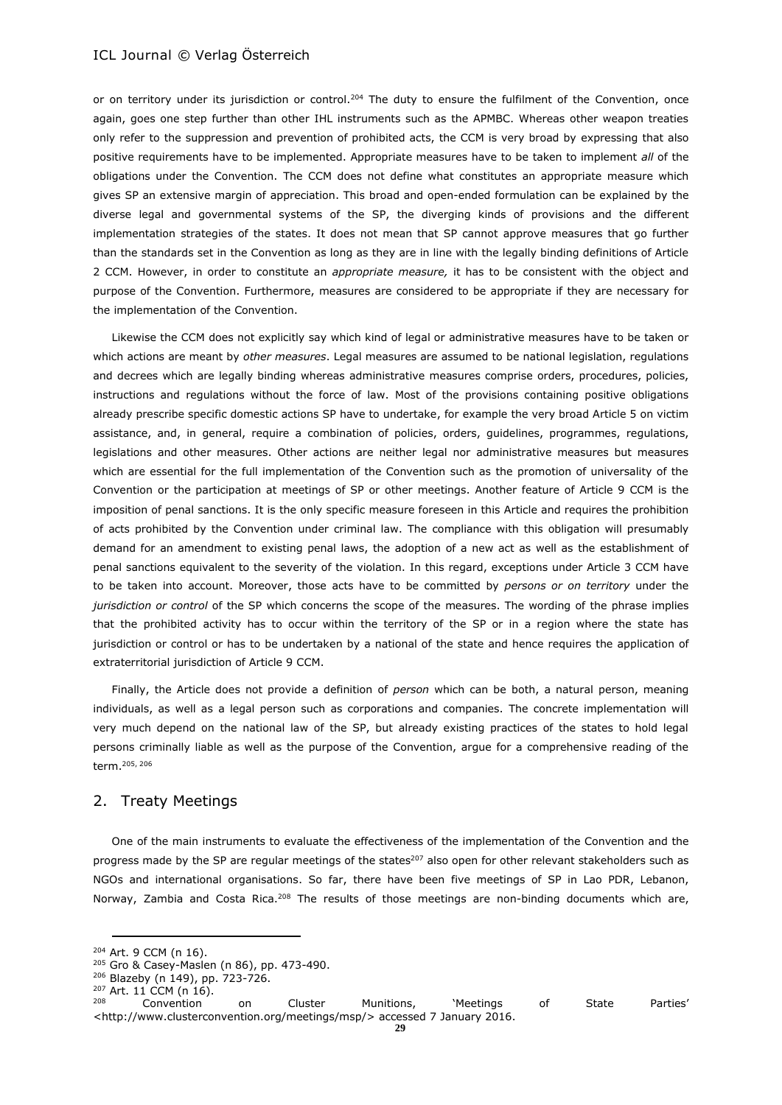or on territory under its jurisdiction or control.<sup>204</sup> The duty to ensure the fulfilment of the Convention, once again, goes one step further than other IHL instruments such as the APMBC. Whereas other weapon treaties only refer to the suppression and prevention of prohibited acts, the CCM is very broad by expressing that also positive requirements have to be implemented. Appropriate measures have to be taken to implement *all* of the obligations under the Convention. The CCM does not define what constitutes an appropriate measure which gives SP an extensive margin of appreciation. This broad and open-ended formulation can be explained by the diverse legal and governmental systems of the SP, the diverging kinds of provisions and the different implementation strategies of the states. It does not mean that SP cannot approve measures that go further than the standards set in the Convention as long as they are in line with the legally binding definitions of Article 2 CCM. However, in order to constitute an *appropriate measure,* it has to be consistent with the object and purpose of the Convention. Furthermore, measures are considered to be appropriate if they are necessary for the implementation of the Convention.

Likewise the CCM does not explicitly say which kind of legal or administrative measures have to be taken or which actions are meant by *other measures*. Legal measures are assumed to be national legislation, regulations and decrees which are legally binding whereas administrative measures comprise orders, procedures, policies, instructions and regulations without the force of law. Most of the provisions containing positive obligations already prescribe specific domestic actions SP have to undertake, for example the very broad Article 5 on victim assistance, and, in general, require a combination of policies, orders, guidelines, programmes, regulations, legislations and other measures. Other actions are neither legal nor administrative measures but measures which are essential for the full implementation of the Convention such as the promotion of universality of the Convention or the participation at meetings of SP or other meetings. Another feature of Article 9 CCM is the imposition of penal sanctions. It is the only specific measure foreseen in this Article and requires the prohibition of acts prohibited by the Convention under criminal law. The compliance with this obligation will presumably demand for an amendment to existing penal laws, the adoption of a new act as well as the establishment of penal sanctions equivalent to the severity of the violation. In this regard, exceptions under Article 3 CCM have to be taken into account. Moreover, those acts have to be committed by *persons or on territory* under the *jurisdiction or control* of the SP which concerns the scope of the measures. The wording of the phrase implies that the prohibited activity has to occur within the territory of the SP or in a region where the state has jurisdiction or control or has to be undertaken by a national of the state and hence requires the application of extraterritorial jurisdiction of Article 9 CCM.

Finally, the Article does not provide a definition of *person* which can be both, a natural person, meaning individuals, as well as a legal person such as corporations and companies. The concrete implementation will very much depend on the national law of the SP, but already existing practices of the states to hold legal persons criminally liable as well as the purpose of the Convention, argue for a comprehensive reading of the term.205, <sup>206</sup>

#### 2. Treaty Meetings

One of the main instruments to evaluate the effectiveness of the implementation of the Convention and the progress made by the SP are regular meetings of the states<sup>207</sup> also open for other relevant stakeholders such as NGOs and international organisations. So far, there have been five meetings of SP in Lao PDR, Lebanon, Norway, Zambia and Costa Rica.<sup>208</sup> The results of those meetings are non-binding documents which are,

<sup>204</sup> Art. 9 CCM (n 16).

<sup>205</sup> Gro & Casey-Maslen (n 86), pp. 473-490.

<sup>206</sup> Blazeby (n 149), pp. 723-726.

 $^{207}$  Art. 11 CCM (n 16).

<sup>&</sup>lt;sup>208</sup> Convention on Cluster Munitions, 'Meetings of State Parties' <http://www.clusterconvention.org/meetings/msp/> accessed 7 January 2016.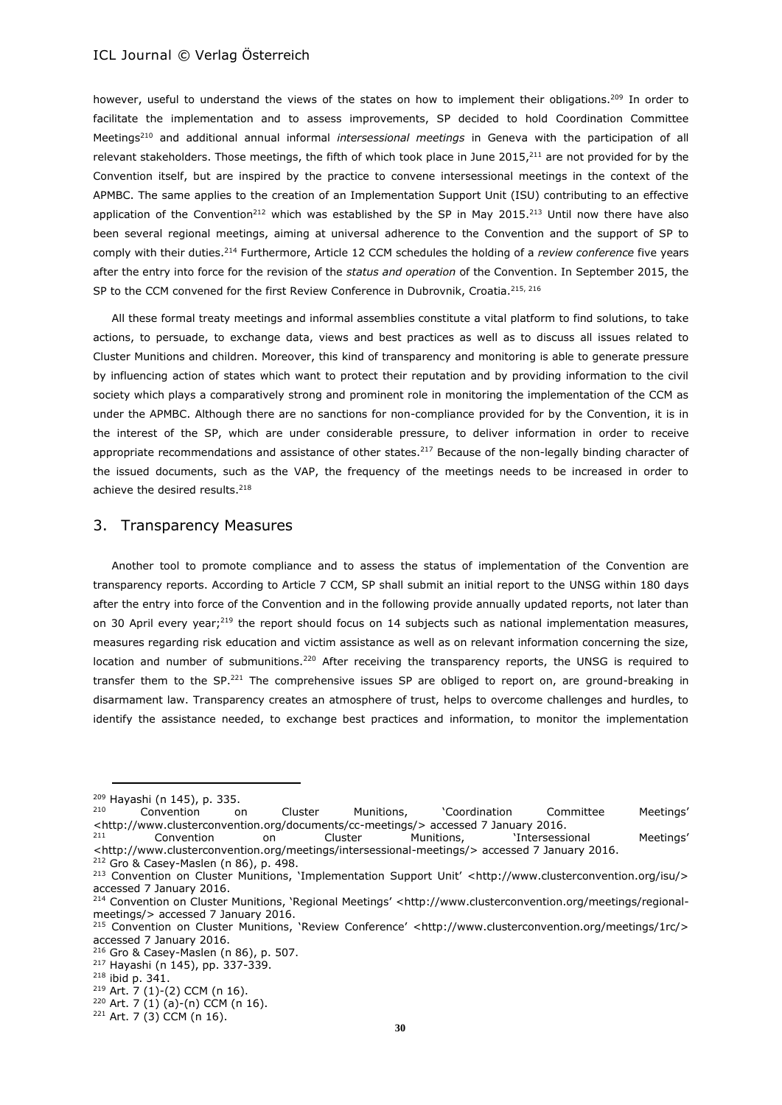however, useful to understand the views of the states on how to implement their obligations.<sup>209</sup> In order to facilitate the implementation and to assess improvements, SP decided to hold Coordination Committee Meetings<sup>210</sup> and additional annual informal *intersessional meetings* in Geneva with the participation of all relevant stakeholders. Those meetings, the fifth of which took place in June 2015,<sup>211</sup> are not provided for by the Convention itself, but are inspired by the practice to convene intersessional meetings in the context of the APMBC. The same applies to the creation of an Implementation Support Unit (ISU) contributing to an effective application of the Convention<sup>212</sup> which was established by the SP in May 2015.<sup>213</sup> Until now there have also been several regional meetings, aiming at universal adherence to the Convention and the support of SP to comply with their duties.<sup>214</sup> Furthermore, Article 12 CCM schedules the holding of a *review conference* five years after the entry into force for the revision of the *status and operation* of the Convention. In September 2015, the SP to the CCM convened for the first Review Conference in Dubrovnik, Croatia.<sup>215, 216</sup>

All these formal treaty meetings and informal assemblies constitute a vital platform to find solutions, to take actions, to persuade, to exchange data, views and best practices as well as to discuss all issues related to Cluster Munitions and children. Moreover, this kind of transparency and monitoring is able to generate pressure by influencing action of states which want to protect their reputation and by providing information to the civil society which plays a comparatively strong and prominent role in monitoring the implementation of the CCM as under the APMBC. Although there are no sanctions for non-compliance provided for by the Convention, it is in the interest of the SP, which are under considerable pressure, to deliver information in order to receive appropriate recommendations and assistance of other states.<sup>217</sup> Because of the non-legally binding character of the issued documents, such as the VAP, the frequency of the meetings needs to be increased in order to achieve the desired results.<sup>218</sup>

### 3. Transparency Measures

Another tool to promote compliance and to assess the status of implementation of the Convention are transparency reports. According to Article 7 CCM, SP shall submit an initial report to the UNSG within 180 days after the entry into force of the Convention and in the following provide annually updated reports, not later than on 30 April every year;<sup>219</sup> the report should focus on 14 subjects such as national implementation measures, measures regarding risk education and victim assistance as well as on relevant information concerning the size, location and number of submunitions.<sup>220</sup> After receiving the transparency reports, the UNSG is required to transfer them to the SP.<sup>221</sup> The comprehensive issues SP are obliged to report on, are ground-breaking in disarmament law. Transparency creates an atmosphere of trust, helps to overcome challenges and hurdles, to identify the assistance needed, to exchange best practices and information, to monitor the implementation

 $^{209}$  Hayashi (n 145), p. 335.<br> $^{210}$  Convention

<sup>210</sup> Convention on Cluster Munitions, 'Coordination Committee Meetings' <http://www.clusterconvention.org/documents/cc-meetings/> accessed 7 January 2016. <sup>211</sup> Convention on Cluster Munitions, 'Intersessional Meetings'

<sup>&</sup>lt;http://www.clusterconvention.org/meetings/intersessional-meetings/> accessed 7 January 2016. <sup>212</sup> Gro & Casey-Maslen (n 86), p. 498.

<sup>213</sup> Convention on Cluster Munitions, 'Implementation Support Unit' <http://www.clusterconvention.org/isu/> accessed 7 January 2016.

<sup>214</sup> Convention on Cluster Munitions, 'Regional Meetings' <http://www.clusterconvention.org/meetings/regionalmeetings/> accessed 7 January 2016.

<sup>215</sup> Convention on Cluster Munitions, 'Review Conference' <http://www.clusterconvention.org/meetings/1rc/> accessed 7 January 2016.

<sup>216</sup> Gro & Casey-Maslen (n 86), p. 507.

<sup>217</sup> Hayashi (n 145), pp. 337-339.

<sup>218</sup> ibid p. 341.

 $219$  Art. 7 (1)-(2) CCM (n 16). <sup>220</sup> Art. 7 (1) (a)-(n) CCM (n 16).

 $221$  Art. 7 (3) CCM (n 16).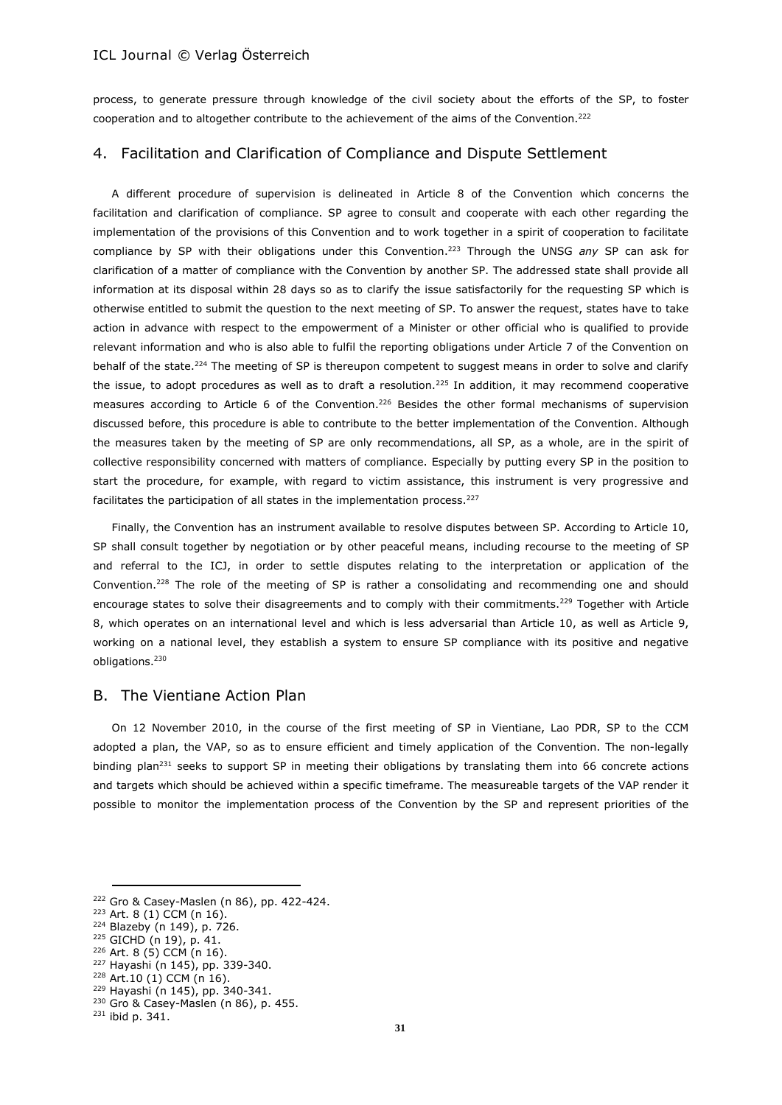process, to generate pressure through knowledge of the civil society about the efforts of the SP, to foster cooperation and to altogether contribute to the achievement of the aims of the Convention.<sup>222</sup>

# 4. Facilitation and Clarification of Compliance and Dispute Settlement

A different procedure of supervision is delineated in Article 8 of the Convention which concerns the facilitation and clarification of compliance. SP agree to consult and cooperate with each other regarding the implementation of the provisions of this Convention and to work together in a spirit of cooperation to facilitate compliance by SP with their obligations under this Convention. <sup>223</sup> Through the UNSG *any* SP can ask for clarification of a matter of compliance with the Convention by another SP. The addressed state shall provide all information at its disposal within 28 days so as to clarify the issue satisfactorily for the requesting SP which is otherwise entitled to submit the question to the next meeting of SP. To answer the request, states have to take action in advance with respect to the empowerment of a Minister or other official who is qualified to provide relevant information and who is also able to fulfil the reporting obligations under Article 7 of the Convention on behalf of the state.<sup>224</sup> The meeting of SP is thereupon competent to suggest means in order to solve and clarify the issue, to adopt procedures as well as to draft a resolution.<sup>225</sup> In addition, it may recommend cooperative measures according to Article 6 of the Convention.<sup>226</sup> Besides the other formal mechanisms of supervision discussed before, this procedure is able to contribute to the better implementation of the Convention. Although the measures taken by the meeting of SP are only recommendations, all SP, as a whole, are in the spirit of collective responsibility concerned with matters of compliance. Especially by putting every SP in the position to start the procedure, for example, with regard to victim assistance, this instrument is very progressive and facilitates the participation of all states in the implementation process.<sup>227</sup>

Finally, the Convention has an instrument available to resolve disputes between SP. According to Article 10, SP shall consult together by negotiation or by other peaceful means, including recourse to the meeting of SP and referral to the ICJ, in order to settle disputes relating to the interpretation or application of the Convention.<sup>228</sup> The role of the meeting of SP is rather a consolidating and recommending one and should encourage states to solve their disagreements and to comply with their commitments.<sup>229</sup> Together with Article 8, which operates on an international level and which is less adversarial than Article 10, as well as Article 9, working on a national level, they establish a system to ensure SP compliance with its positive and negative obligations.<sup>230</sup>

# B. The Vientiane Action Plan

On 12 November 2010, in the course of the first meeting of SP in Vientiane, Lao PDR, SP to the CCM adopted a plan, the VAP, so as to ensure efficient and timely application of the Convention. The non-legally binding plan<sup>231</sup> seeks to support SP in meeting their obligations by translating them into 66 concrete actions and targets which should be achieved within a specific timeframe. The measureable targets of the VAP render it possible to monitor the implementation process of the Convention by the SP and represent priorities of the

<sup>222</sup> Gro & Casey-Maslen (n 86), pp. 422-424.

 $223$  Art. 8 (1) CCM (n 16).

<sup>224</sup> Blazeby (n 149), p. 726.

<sup>225</sup> GICHD (n 19), p. 41.

<sup>226</sup> Art. 8 (5) CCM (n 16).

<sup>227</sup> Hayashi (n 145), pp. 339-340.

<sup>228</sup> Art.10 (1) CCM (n 16).

<sup>229</sup> Hayashi (n 145), pp. 340-341. <sup>230</sup> Gro & Casey-Maslen (n 86), p. 455.

<sup>231</sup> ibid p. 341.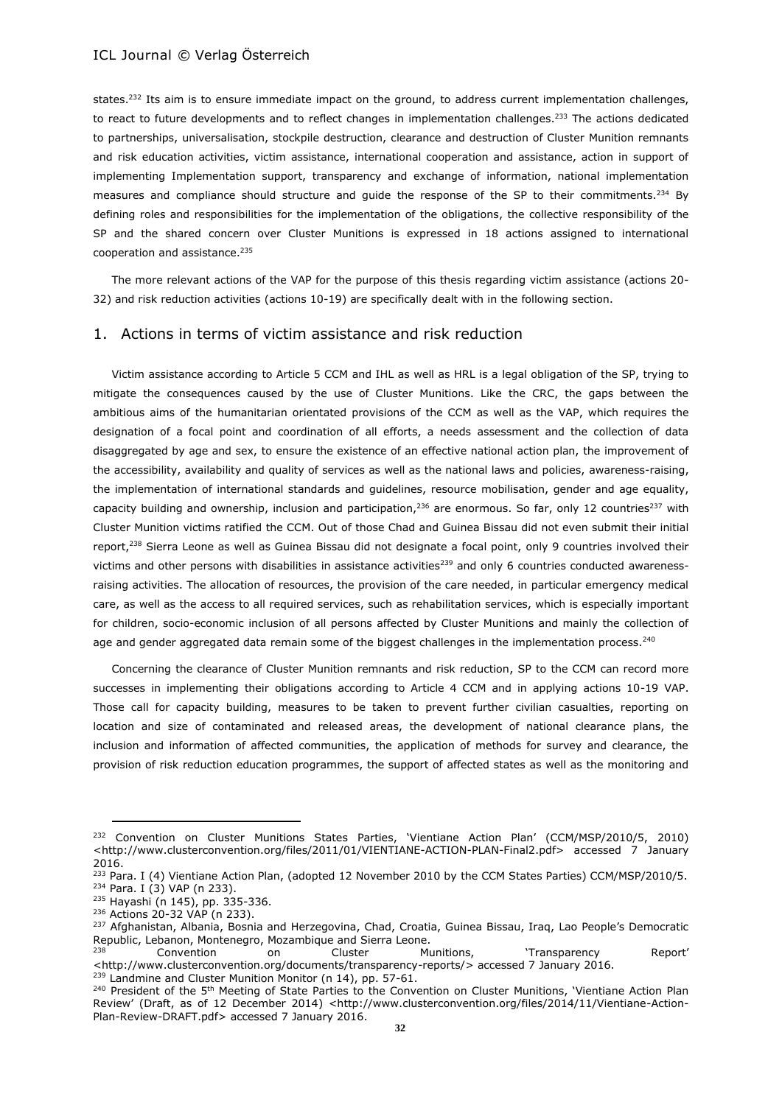states.<sup>232</sup> Its aim is to ensure immediate impact on the ground, to address current implementation challenges, to react to future developments and to reflect changes in implementation challenges.<sup>233</sup> The actions dedicated to partnerships, universalisation, stockpile destruction, clearance and destruction of Cluster Munition remnants and risk education activities, victim assistance, international cooperation and assistance, action in support of implementing Implementation support, transparency and exchange of information, national implementation measures and compliance should structure and guide the response of the SP to their commitments.<sup>234</sup> By defining roles and responsibilities for the implementation of the obligations, the collective responsibility of the SP and the shared concern over Cluster Munitions is expressed in 18 actions assigned to international cooperation and assistance.<sup>235</sup>

The more relevant actions of the VAP for the purpose of this thesis regarding victim assistance (actions 20- 32) and risk reduction activities (actions 10-19) are specifically dealt with in the following section.

### 1. Actions in terms of victim assistance and risk reduction

Victim assistance according to Article 5 CCM and IHL as well as HRL is a legal obligation of the SP, trying to mitigate the consequences caused by the use of Cluster Munitions. Like the CRC, the gaps between the ambitious aims of the humanitarian orientated provisions of the CCM as well as the VAP, which requires the designation of a focal point and coordination of all efforts, a needs assessment and the collection of data disaggregated by age and sex, to ensure the existence of an effective national action plan, the improvement of the accessibility, availability and quality of services as well as the national laws and policies, awareness-raising, the implementation of international standards and guidelines, resource mobilisation, gender and age equality, capacity building and ownership, inclusion and participation,<sup>236</sup> are enormous. So far, only 12 countries<sup>237</sup> with Cluster Munition victims ratified the CCM. Out of those Chad and Guinea Bissau did not even submit their initial report,<sup>238</sup> Sierra Leone as well as Guinea Bissau did not designate a focal point, only 9 countries involved their victims and other persons with disabilities in assistance activities $^{239}$  and only 6 countries conducted awarenessraising activities. The allocation of resources, the provision of the care needed, in particular emergency medical care, as well as the access to all required services, such as rehabilitation services, which is especially important for children, socio-economic inclusion of all persons affected by Cluster Munitions and mainly the collection of age and gender aggregated data remain some of the biggest challenges in the implementation process.<sup>240</sup>

Concerning the clearance of Cluster Munition remnants and risk reduction, SP to the CCM can record more successes in implementing their obligations according to Article 4 CCM and in applying actions 10-19 VAP. Those call for capacity building, measures to be taken to prevent further civilian casualties, reporting on location and size of contaminated and released areas, the development of national clearance plans, the inclusion and information of affected communities, the application of methods for survey and clearance, the provision of risk reduction education programmes, the support of affected states as well as the monitoring and

<sup>&</sup>lt;sup>232</sup> Convention on Cluster Munitions States Parties, 'Vientiane Action Plan' (CCM/MSP/2010/5, 2010) <http://www.clusterconvention.org/files/2011/01/VIENTIANE-ACTION-PLAN-Final2.pdf> accessed 7 January 2016.

<sup>&</sup>lt;sup>233</sup> Para. I (4) Vientiane Action Plan, (adopted 12 November 2010 by the CCM States Parties) CCM/MSP/2010/5.  $234$  Para. I (3) VAP (n 233).

<sup>235</sup> Hayashi (n 145), pp. 335-336.

<sup>236</sup> Actions 20-32 VAP (n 233).

<sup>&</sup>lt;sup>237</sup> Afghanistan, Albania, Bosnia and Herzegovina, Chad, Croatia, Guinea Bissau, Iraq, Lao People's Democratic Republic, Lebanon, Montenegro, Mozambique and Sierra Leone.

<sup>238</sup> Convention on Cluster Munitions, 'Transparency Report' <http://www.clusterconvention.org/documents/transparency-reports/> accessed 7 January 2016. <sup>239</sup> Landmine and Cluster Munition Monitor (n 14), pp. 57-61.

<sup>&</sup>lt;sup>240</sup> President of the 5<sup>th</sup> Meeting of State Parties to the Convention on Cluster Munitions, 'Vientiane Action Plan Review' (Draft, as of 12 December 2014) <http://www.clusterconvention.org/files/2014/11/Vientiane-Action-Plan-Review-DRAFT.pdf> accessed 7 January 2016.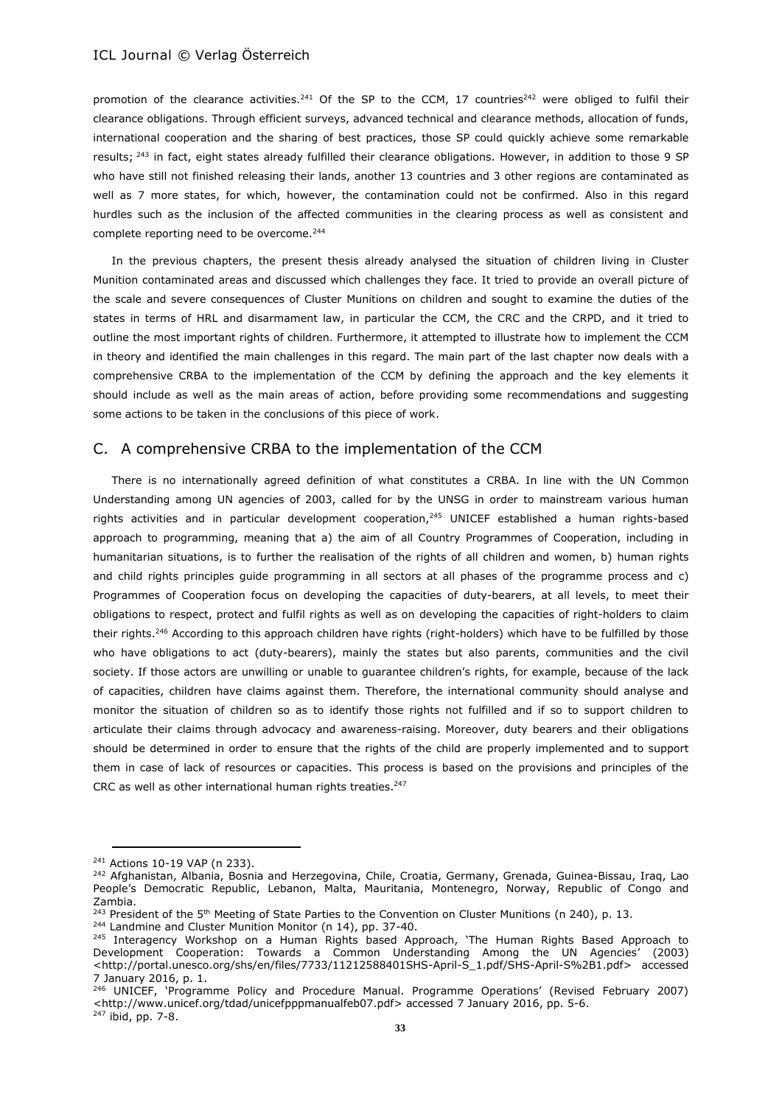promotion of the clearance activities.<sup>241</sup> Of the SP to the CCM, 17 countries<sup>242</sup> were obliged to fulfil their clearance obligations. Through efficient surveys, advanced technical and clearance methods, allocation of funds, international cooperation and the sharing of best practices, those SP could quickly achieve some remarkable results; <sup>243</sup> in fact, eight states already fulfilled their clearance obligations. However, in addition to those 9 SP who have still not finished releasing their lands, another 13 countries and 3 other regions are contaminated as well as 7 more states, for which, however, the contamination could not be confirmed. Also in this regard hurdles such as the inclusion of the affected communities in the clearing process as well as consistent and complete reporting need to be overcome.<sup>244</sup>

In the previous chapters, the present thesis already analysed the situation of children living in Cluster Munition contaminated areas and discussed which challenges they face. It tried to provide an overall picture of the scale and severe consequences of Cluster Munitions on children and sought to examine the duties of the states in terms of HRL and disarmament law, in particular the CCM, the CRC and the CRPD, and it tried to outline the most important rights of children. Furthermore, it attempted to illustrate how to implement the CCM in theory and identified the main challenges in this regard. The main part of the last chapter now deals with a comprehensive CRBA to the implementation of the CCM by defining the approach and the key elements it should include as well as the main areas of action, before providing some recommendations and suggesting some actions to be taken in the conclusions of this piece of work.

### C. A comprehensive CRBA to the implementation of the CCM

There is no internationally agreed definition of what constitutes a CRBA. In line with the UN Common Understanding among UN agencies of 2003, called for by the UNSG in order to mainstream various human rights activities and in particular development cooperation,<sup>245</sup> UNICEF established a human rights-based approach to programming, meaning that a) the aim of all Country Programmes of Cooperation, including in humanitarian situations, is to further the realisation of the rights of all children and women, b) human rights and child rights principles guide programming in all sectors at all phases of the programme process and c) Programmes of Cooperation focus on developing the capacities of duty-bearers, at all levels, to meet their obligations to respect, protect and fulfil rights as well as on developing the capacities of right-holders to claim their rights.<sup>246</sup> According to this approach children have rights (right-holders) which have to be fulfilled by those who have obligations to act (duty-bearers), mainly the states but also parents, communities and the civil society. If those actors are unwilling or unable to guarantee children's rights, for example, because of the lack of capacities, children have claims against them. Therefore, the international community should analyse and monitor the situation of children so as to identify those rights not fulfilled and if so to support children to articulate their claims through advocacy and awareness-raising. Moreover, duty bearers and their obligations should be determined in order to ensure that the rights of the child are properly implemented and to support them in case of lack of resources or capacities. This process is based on the provisions and principles of the CRC as well as other international human rights treaties.<sup>247</sup>

<sup>241</sup> Actions 10-19 VAP (n 233).

<sup>&</sup>lt;sup>242</sup> Afghanistan, Albania, Bosnia and Herzegovina, Chile, Croatia, Germany, Grenada, Guinea-Bissau, Iraq, Lao People's Democratic Republic, Lebanon, Malta, Mauritania, Montenegro, Norway, Republic of Congo and Zambia.

<sup>&</sup>lt;sup>243</sup> President of the 5<sup>th</sup> Meeting of State Parties to the Convention on Cluster Munitions (n 240), p. 13.

<sup>&</sup>lt;sup>244</sup> Landmine and Cluster Munition Monitor (n 14), pp. 37-40.

<sup>&</sup>lt;sup>245</sup> Interagency Workshop on a Human Rights based Approach, 'The Human Rights Based Approach to Development Cooperation: Towards a Common Understanding Among the UN Agencies' (2003) <http://portal.unesco.org/shs/en/files/7733/11212588401SHS-April-S\_1.pdf/SHS-April-S%2B1.pdf> accessed 7 January 2016, p. 1.

<sup>246</sup> UNICEF, 'Programme Policy and Procedure Manual. Programme Operations' (Revised February 2007) <http://www.unicef.org/tdad/unicefpppmanualfeb07.pdf> accessed 7 January 2016, pp. 5-6. <sup>247</sup> ibid, pp. 7-8.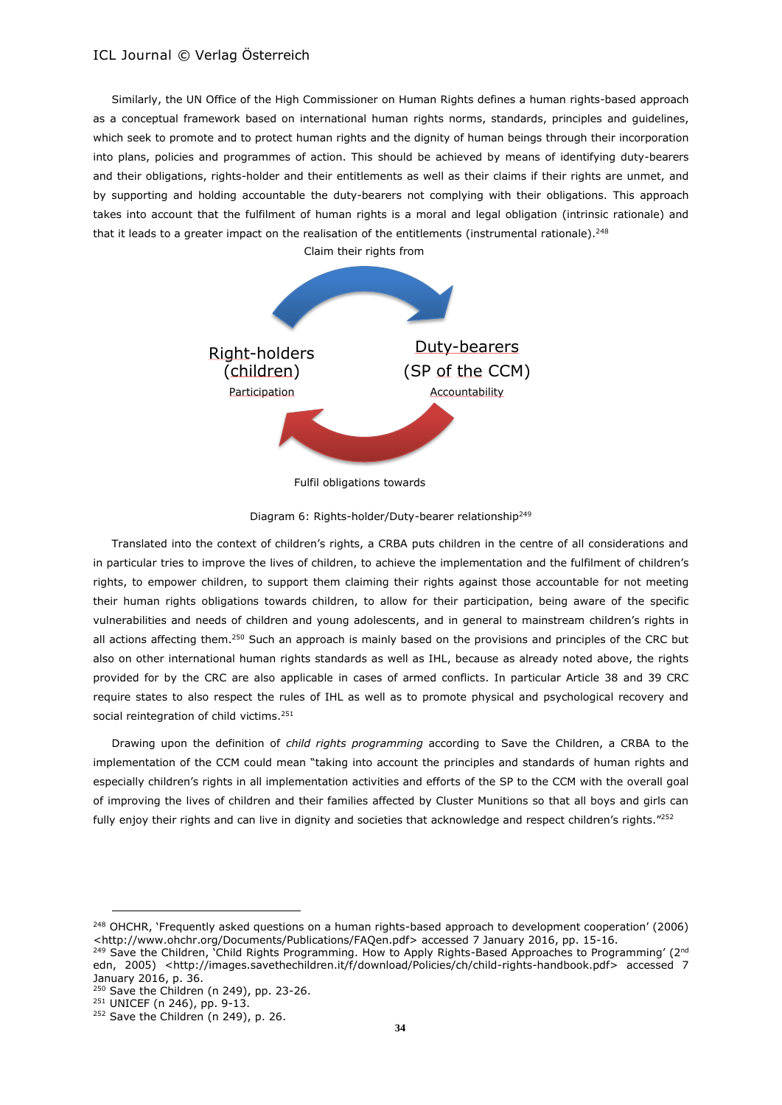Similarly, the UN Office of the High Commissioner on Human Rights defines a human rights-based approach as a conceptual framework based on international human rights norms, standards, principles and guidelines, which seek to promote and to protect human rights and the dignity of human beings through their incorporation into plans, policies and programmes of action. This should be achieved by means of identifying duty-bearers and their obligations, rights-holder and their entitlements as well as their claims if their rights are unmet, and by supporting and holding accountable the duty-bearers not complying with their obligations. This approach takes into account that the fulfilment of human rights is a moral and legal obligation (intrinsic rationale) and that it leads to a greater impact on the realisation of the entitlements (instrumental rationale).<sup>248</sup> Claim their rights from



Fulfil obligations towards

Diagram 6: Rights-holder/Duty-bearer relationship<sup>249</sup>

Translated into the context of children's rights, a CRBA puts children in the centre of all considerations and in particular tries to improve the lives of children, to achieve the implementation and the fulfilment of children's rights, to empower children, to support them claiming their rights against those accountable for not meeting their human rights obligations towards children, to allow for their participation, being aware of the specific vulnerabilities and needs of children and young adolescents, and in general to mainstream children's rights in all actions affecting them.<sup>250</sup> Such an approach is mainly based on the provisions and principles of the CRC but also on other international human rights standards as well as IHL, because as already noted above, the rights provided for by the CRC are also applicable in cases of armed conflicts. In particular Article 38 and 39 CRC require states to also respect the rules of IHL as well as to promote physical and psychological recovery and social reintegration of child victims.<sup>251</sup>

Drawing upon the definition of *child rights programming* according to Save the Children, a CRBA to the implementation of the CCM could mean "taking into account the principles and standards of human rights and especially children's rights in all implementation activities and efforts of the SP to the CCM with the overall goal of improving the lives of children and their families affected by Cluster Munitions so that all boys and girls can fully enjoy their rights and can live in dignity and societies that acknowledge and respect children's rights."<sup>252</sup>

<sup>&</sup>lt;sup>248</sup> OHCHR, 'Frequently asked questions on a human rights-based approach to development cooperation' (2006) <http://www.ohchr.org/Documents/Publications/FAQen.pdf> accessed 7 January 2016, pp. 15-16.

<sup>&</sup>lt;sup>249</sup> Save the Children, Child Rights Programming. How to Apply Rights-Based Approaches to Programming' (2<sup>nd</sup> edn, 2005) <http://images.savethechildren.it/f/download/Policies/ch/child-rights-handbook.pdf> accessed 7 January 2016, p. 36.

 $250$  Save the Children (n 249), pp. 23-26.

<sup>251</sup> UNICEF (n 246), pp. 9-13.

<sup>&</sup>lt;sup>252</sup> Save the Children (n 249), p. 26.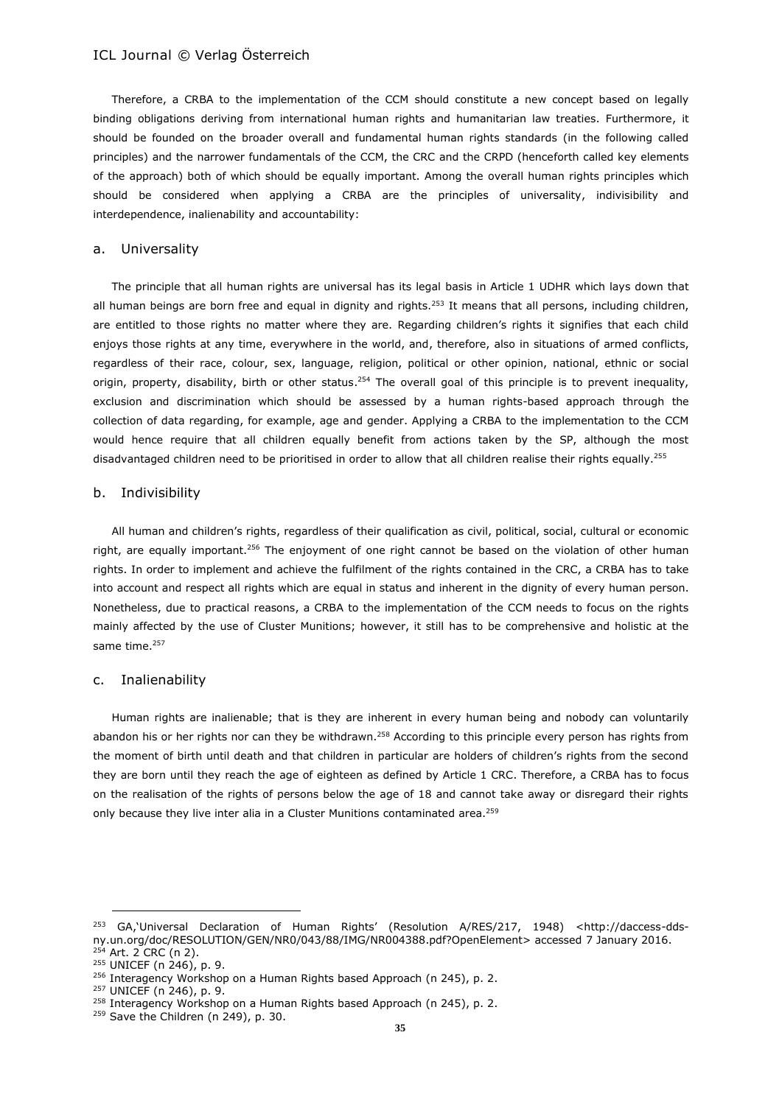Therefore, a CRBA to the implementation of the CCM should constitute a new concept based on legally binding obligations deriving from international human rights and humanitarian law treaties. Furthermore, it should be founded on the broader overall and fundamental human rights standards (in the following called principles) and the narrower fundamentals of the CCM, the CRC and the CRPD (henceforth called key elements of the approach) both of which should be equally important. Among the overall human rights principles which should be considered when applying a CRBA are the principles of universality, indivisibility and interdependence, inalienability and accountability:

#### a. Universality

The principle that all human rights are universal has its legal basis in Article 1 UDHR which lays down that all human beings are born free and equal in dignity and rights.<sup>253</sup> It means that all persons, including children, are entitled to those rights no matter where they are. Regarding children's rights it signifies that each child enjoys those rights at any time, everywhere in the world, and, therefore, also in situations of armed conflicts, regardless of their race, colour, sex, language, religion, political or other opinion, national, ethnic or social origin, property, disability, birth or other status.<sup>254</sup> The overall goal of this principle is to prevent inequality, exclusion and discrimination which should be assessed by a human rights-based approach through the collection of data regarding, for example, age and gender. Applying a CRBA to the implementation to the CCM would hence require that all children equally benefit from actions taken by the SP, although the most disadvantaged children need to be prioritised in order to allow that all children realise their rights equally.<sup>255</sup>

#### b. Indivisibility

All human and children's rights, regardless of their qualification as civil, political, social, cultural or economic right, are equally important.<sup>256</sup> The enjoyment of one right cannot be based on the violation of other human rights. In order to implement and achieve the fulfilment of the rights contained in the CRC, a CRBA has to take into account and respect all rights which are equal in status and inherent in the dignity of every human person. Nonetheless, due to practical reasons, a CRBA to the implementation of the CCM needs to focus on the rights mainly affected by the use of Cluster Munitions; however, it still has to be comprehensive and holistic at the same time. 257

#### c. Inalienability

Human rights are inalienable; that is they are inherent in every human being and nobody can voluntarily abandon his or her rights nor can they be withdrawn.<sup>258</sup> According to this principle every person has rights from the moment of birth until death and that children in particular are holders of children's rights from the second they are born until they reach the age of eighteen as defined by Article 1 CRC. Therefore, a CRBA has to focus on the realisation of the rights of persons below the age of 18 and cannot take away or disregard their rights only because they live inter alia in a Cluster Munitions contaminated area.<sup>259</sup>

<sup>253</sup> GA,'Universal Declaration of Human Rights' (Resolution A/RES/217, 1948) <http://daccess-ddsny.un.org/doc/RESOLUTION/GEN/NR0/043/88/IMG/NR004388.pdf?OpenElement> accessed 7 January 2016.  $254$  Art. 2 CRC (n 2).

<sup>255</sup> UNICEF (n 246), p. 9.

<sup>&</sup>lt;sup>256</sup> Interagency Workshop on a Human Rights based Approach (n 245), p. 2.

<sup>257</sup> UNICEF (n 246), p. 9.

<sup>&</sup>lt;sup>258</sup> Interagency Workshop on a Human Rights based Approach (n 245), p. 2.

<sup>&</sup>lt;sup>259</sup> Save the Children (n 249), p. 30.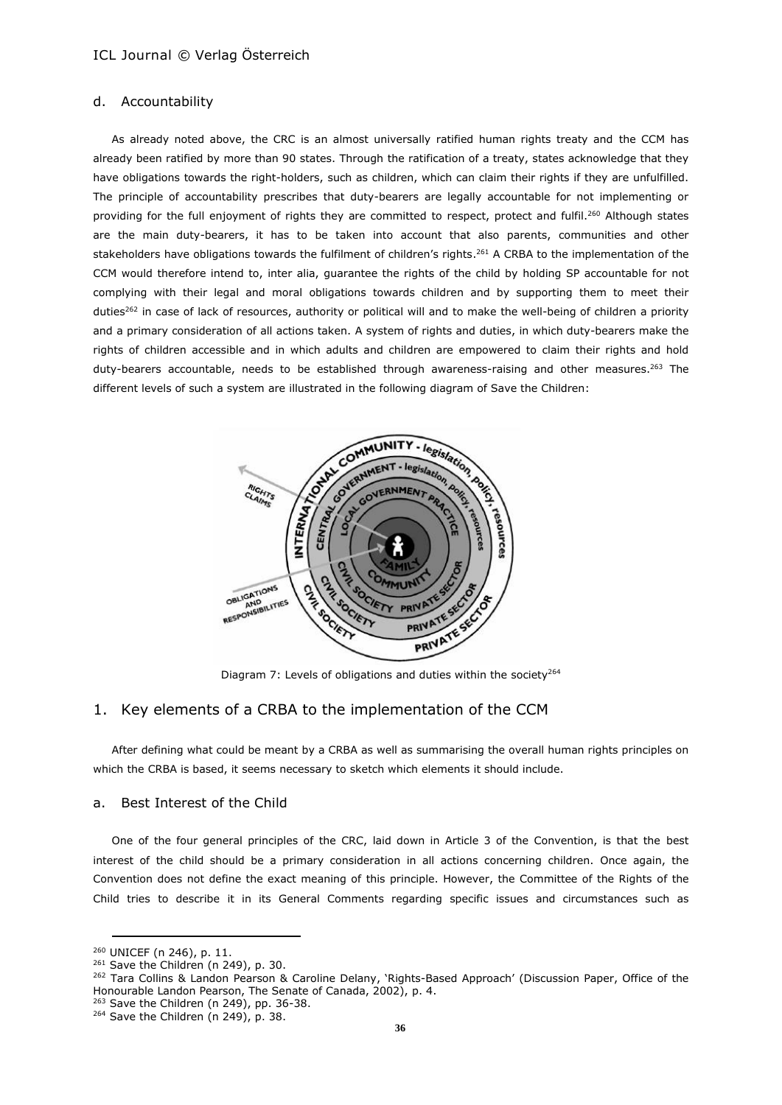#### d. Accountability

As already noted above, the CRC is an almost universally ratified human rights treaty and the CCM has already been ratified by more than 90 states. Through the ratification of a treaty, states acknowledge that they have obligations towards the right-holders, such as children, which can claim their rights if they are unfulfilled. The principle of accountability prescribes that duty-bearers are legally accountable for not implementing or providing for the full enjoyment of rights they are committed to respect, protect and fulfil.<sup>260</sup> Although states are the main duty-bearers, it has to be taken into account that also parents, communities and other stakeholders have obligations towards the fulfilment of children's rights.<sup>261</sup> A CRBA to the implementation of the CCM would therefore intend to, inter alia, guarantee the rights of the child by holding SP accountable for not complying with their legal and moral obligations towards children and by supporting them to meet their duties<sup>262</sup> in case of lack of resources, authority or political will and to make the well-being of children a priority and a primary consideration of all actions taken. A system of rights and duties, in which duty-bearers make the rights of children accessible and in which adults and children are empowered to claim their rights and hold duty-bearers accountable, needs to be established through awareness-raising and other measures.<sup>263</sup> The different levels of such a system are illustrated in the following diagram of Save the Children:



Diagram 7: Levels of obligations and duties within the society<sup>264</sup>

# 1. Key elements of a CRBA to the implementation of the CCM

After defining what could be meant by a CRBA as well as summarising the overall human rights principles on which the CRBA is based, it seems necessary to sketch which elements it should include.

### a. Best Interest of the Child

One of the four general principles of the CRC, laid down in Article 3 of the Convention, is that the best interest of the child should be a primary consideration in all actions concerning children. Once again, the Convention does not define the exact meaning of this principle. However, the Committee of the Rights of the Child tries to describe it in its General Comments regarding specific issues and circumstances such as

<sup>260</sup> UNICEF (n 246), p. 11.

 $261$  Save the Children (n 249), p. 30.

<sup>&</sup>lt;sup>262</sup> Tara Collins & Landon Pearson & Caroline Delany, 'Rights-Based Approach' (Discussion Paper, Office of the Honourable Landon Pearson, The Senate of Canada, 2002), p. 4.

<sup>&</sup>lt;sup>263</sup> Save the Children (n 249), pp. 36-38.

 $264$  Save the Children (n 249), p. 38.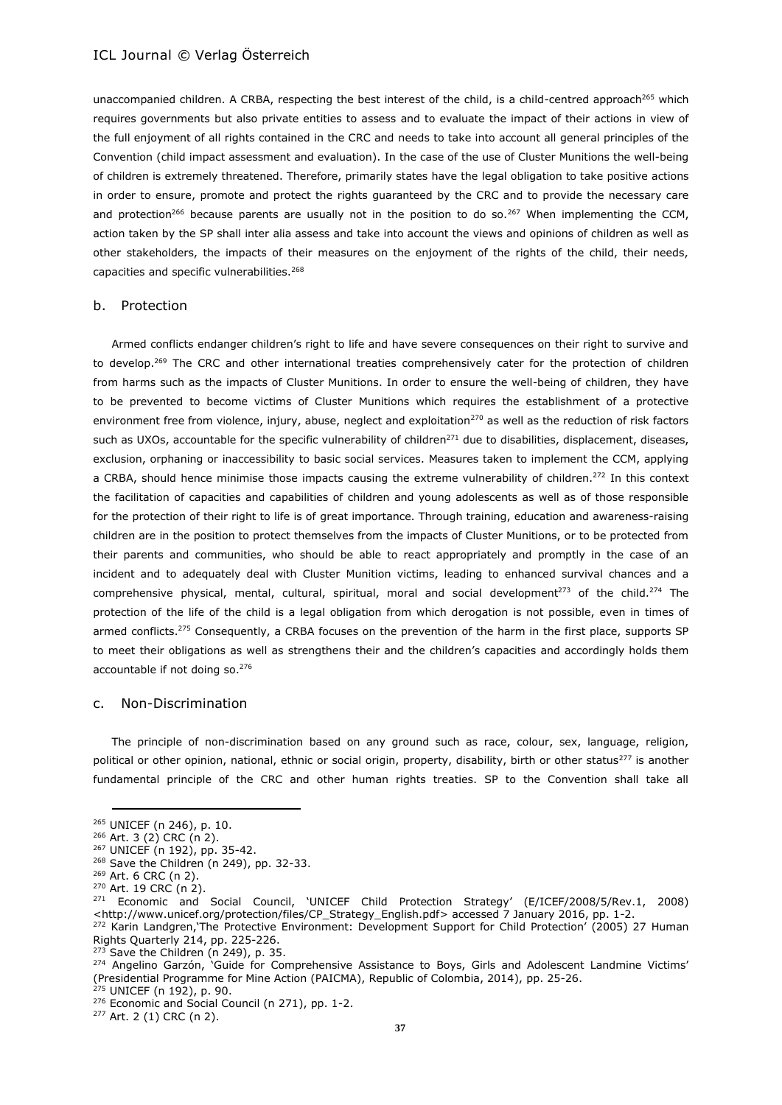unaccompanied children. A CRBA, respecting the best interest of the child, is a child-centred approach<sup>265</sup> which requires governments but also private entities to assess and to evaluate the impact of their actions in view of the full enjoyment of all rights contained in the CRC and needs to take into account all general principles of the Convention (child impact assessment and evaluation). In the case of the use of Cluster Munitions the well-being of children is extremely threatened. Therefore, primarily states have the legal obligation to take positive actions in order to ensure, promote and protect the rights guaranteed by the CRC and to provide the necessary care and protection<sup>266</sup> because parents are usually not in the position to do so.<sup>267</sup> When implementing the CCM, action taken by the SP shall inter alia assess and take into account the views and opinions of children as well as other stakeholders, the impacts of their measures on the enjoyment of the rights of the child, their needs, capacities and specific vulnerabilities.<sup>268</sup>

#### b. Protection

Armed conflicts endanger children's right to life and have severe consequences on their right to survive and to develop.<sup>269</sup> The CRC and other international treaties comprehensively cater for the protection of children from harms such as the impacts of Cluster Munitions. In order to ensure the well-being of children, they have to be prevented to become victims of Cluster Munitions which requires the establishment of a protective environment free from violence, injury, abuse, neglect and exploitation<sup>270</sup> as well as the reduction of risk factors such as UXOs, accountable for the specific vulnerability of children<sup>271</sup> due to disabilities, displacement, diseases, exclusion, orphaning or inaccessibility to basic social services. Measures taken to implement the CCM, applying a CRBA, should hence minimise those impacts causing the extreme vulnerability of children.<sup>272</sup> In this context the facilitation of capacities and capabilities of children and young adolescents as well as of those responsible for the protection of their right to life is of great importance. Through training, education and awareness-raising children are in the position to protect themselves from the impacts of Cluster Munitions, or to be protected from their parents and communities, who should be able to react appropriately and promptly in the case of an incident and to adequately deal with Cluster Munition victims, leading to enhanced survival chances and a comprehensive physical, mental, cultural, spiritual, moral and social development<sup>273</sup> of the child.<sup>274</sup> The protection of the life of the child is a legal obligation from which derogation is not possible, even in times of armed conflicts.<sup>275</sup> Consequently, a CRBA focuses on the prevention of the harm in the first place, supports SP to meet their obligations as well as strengthens their and the children's capacities and accordingly holds them accountable if not doing so.<sup>276</sup>

#### c. Non-Discrimination

The principle of non-discrimination based on any ground such as race, colour, sex, language, religion, political or other opinion, national, ethnic or social origin, property, disability, birth or other status<sup>277</sup> is another fundamental principle of the CRC and other human rights treaties. SP to the Convention shall take all

<sup>265</sup> UNICEF (n 246), p. 10.

<sup>266</sup> Art. 3 (2) CRC (n 2).

<sup>267</sup> UNICEF (n 192), pp. 35-42.

<sup>&</sup>lt;sup>268</sup> Save the Children (n 249), pp. 32-33.

<sup>269</sup> Art. 6 CRC (n 2).

<sup>270</sup> Art. 19 CRC (n 2).

<sup>271</sup> Economic and Social Council, 'UNICEF Child Protection Strategy' (E/ICEF/2008/5/Rev.1, 2008) <http://www.unicef.org/protection/files/CP\_Strategy\_English.pdf> accessed 7 January 2016, pp. 1-2.

<sup>272</sup> Karin Landgren,'The Protective Environment: Development Support for Child Protection' (2005) 27 Human Rights Quarterly 214, pp. 225-226.

 $273$  Save the Children (n 249), p. 35.

<sup>&</sup>lt;sup>274</sup> Angelino Garzón, 'Guide for Comprehensive Assistance to Boys, Girls and Adolescent Landmine Victims' (Presidential Programme for Mine Action (PAICMA), Republic of Colombia, 2014), pp. 25-26.

<sup>&</sup>lt;sup>275</sup> UNICEF (n 192), p. 90.

<sup>276</sup> Economic and Social Council (n 271), pp. 1-2.

<sup>277</sup> Art. 2 (1) CRC (n 2).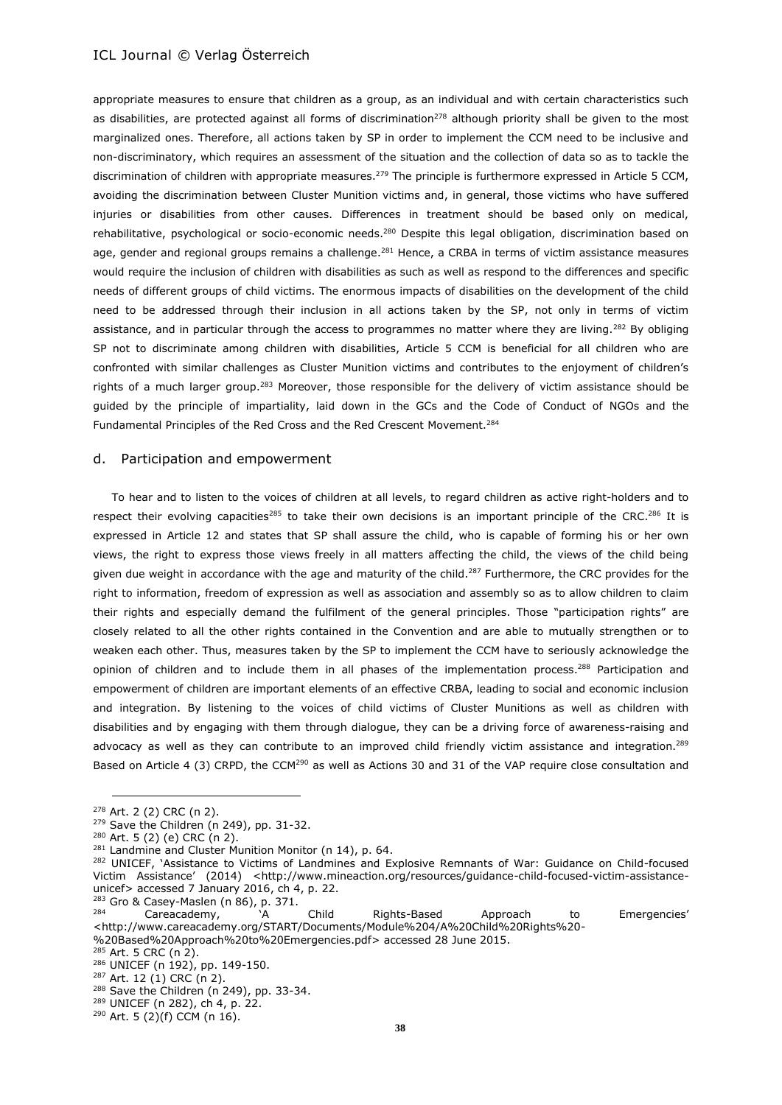appropriate measures to ensure that children as a group, as an individual and with certain characteristics such as disabilities, are protected against all forms of discrimination<sup>278</sup> although priority shall be given to the most marginalized ones. Therefore, all actions taken by SP in order to implement the CCM need to be inclusive and non-discriminatory, which requires an assessment of the situation and the collection of data so as to tackle the discrimination of children with appropriate measures.<sup>279</sup> The principle is furthermore expressed in Article 5 CCM, avoiding the discrimination between Cluster Munition victims and, in general, those victims who have suffered injuries or disabilities from other causes. Differences in treatment should be based only on medical, rehabilitative, psychological or socio-economic needs.<sup>280</sup> Despite this legal obligation, discrimination based on age, gender and regional groups remains a challenge.<sup>281</sup> Hence, a CRBA in terms of victim assistance measures would require the inclusion of children with disabilities as such as well as respond to the differences and specific needs of different groups of child victims. The enormous impacts of disabilities on the development of the child need to be addressed through their inclusion in all actions taken by the SP, not only in terms of victim assistance, and in particular through the access to programmes no matter where they are living.<sup>282</sup> By obliging SP not to discriminate among children with disabilities, Article 5 CCM is beneficial for all children who are confronted with similar challenges as Cluster Munition victims and contributes to the enjoyment of children's rights of a much larger group.<sup>283</sup> Moreover, those responsible for the delivery of victim assistance should be guided by the principle of impartiality, laid down in the GCs and the Code of Conduct of NGOs and the Fundamental Principles of the Red Cross and the Red Crescent Movement.<sup>284</sup>

#### d. Participation and empowerment

To hear and to listen to the voices of children at all levels, to regard children as active right-holders and to respect their evolving capacities<sup>285</sup> to take their own decisions is an important principle of the CRC.<sup>286</sup> It is expressed in Article 12 and states that SP shall assure the child, who is capable of forming his or her own views, the right to express those views freely in all matters affecting the child, the views of the child being given due weight in accordance with the age and maturity of the child.<sup>287</sup> Furthermore, the CRC provides for the right to information, freedom of expression as well as association and assembly so as to allow children to claim their rights and especially demand the fulfilment of the general principles. Those "participation rights" are closely related to all the other rights contained in the Convention and are able to mutually strengthen or to weaken each other. Thus, measures taken by the SP to implement the CCM have to seriously acknowledge the opinion of children and to include them in all phases of the implementation process.<sup>288</sup> Participation and empowerment of children are important elements of an effective CRBA, leading to social and economic inclusion and integration. By listening to the voices of child victims of Cluster Munitions as well as children with disabilities and by engaging with them through dialogue, they can be a driving force of awareness-raising and advocacy as well as they can contribute to an improved child friendly victim assistance and integration.<sup>289</sup> Based on Article 4 (3) CRPD, the CCM<sup>290</sup> as well as Actions 30 and 31 of the VAP require close consultation and

<sup>278</sup> Art. 2 (2) CRC (n 2).

<sup>&</sup>lt;sup>279</sup> Save the Children (n 249), pp. 31-32.

<sup>280</sup> Art. 5 (2) (e) CRC (n 2).

<sup>&</sup>lt;sup>281</sup> Landmine and Cluster Munition Monitor (n 14), p. 64.

<sup>282</sup> UNICEF, 'Assistance to Victims of Landmines and Explosive Remnants of War: Guidance on Child-focused Victim Assistance' (2014) <http://www.mineaction.org/resources/guidance-child-focused-victim-assistanceunicef> accessed 7 January 2016, ch 4, p. 22.

 $283$  Gro & Casey-Maslen (n 86), p. 371.<br> $284$  Careacademy.

Careacademy, "A Child Rights-Based Approach to Emergencies' <http://www.careacademy.org/START/Documents/Module%204/A%20Child%20Rights%20- %20Based%20Approach%20to%20Emergencies.pdf> accessed 28 June 2015.

<sup>285</sup> Art. 5 CRC (n 2).

<sup>286</sup> UNICEF (n 192), pp. 149-150.

<sup>287</sup> Art. 12 (1) CRC (n 2).

 $288$  Save the Children (n 249), pp. 33-34.

<sup>289</sup> UNICEF (n 282), ch 4, p. 22.

<sup>290</sup> Art. 5 (2)(f) CCM (n 16).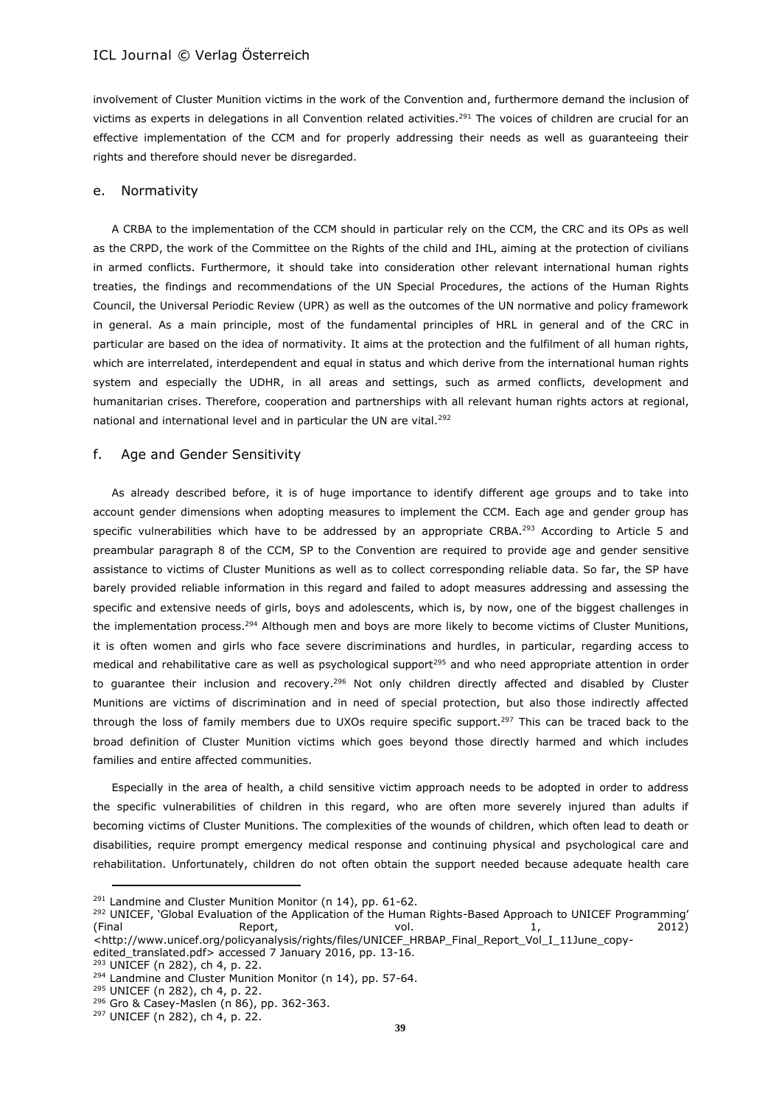involvement of Cluster Munition victims in the work of the Convention and, furthermore demand the inclusion of victims as experts in delegations in all Convention related activities.<sup>291</sup> The voices of children are crucial for an effective implementation of the CCM and for properly addressing their needs as well as guaranteeing their rights and therefore should never be disregarded.

#### e. Normativity

A CRBA to the implementation of the CCM should in particular rely on the CCM, the CRC and its OPs as well as the CRPD, the work of the Committee on the Rights of the child and IHL, aiming at the protection of civilians in armed conflicts. Furthermore, it should take into consideration other relevant international human rights treaties, the findings and recommendations of the UN Special Procedures, the actions of the Human Rights Council, the Universal Periodic Review (UPR) as well as the outcomes of the UN normative and policy framework in general. As a main principle, most of the fundamental principles of HRL in general and of the CRC in particular are based on the idea of normativity. It aims at the protection and the fulfilment of all human rights, which are interrelated, interdependent and equal in status and which derive from the international human rights system and especially the UDHR, in all areas and settings, such as armed conflicts, development and humanitarian crises. Therefore, cooperation and partnerships with all relevant human rights actors at regional, national and international level and in particular the UN are vital.<sup>292</sup>

#### f. Age and Gender Sensitivity

As already described before, it is of huge importance to identify different age groups and to take into account gender dimensions when adopting measures to implement the CCM. Each age and gender group has specific vulnerabilities which have to be addressed by an appropriate CRBA.<sup>293</sup> According to Article 5 and preambular paragraph 8 of the CCM, SP to the Convention are required to provide age and gender sensitive assistance to victims of Cluster Munitions as well as to collect corresponding reliable data. So far, the SP have barely provided reliable information in this regard and failed to adopt measures addressing and assessing the specific and extensive needs of girls, boys and adolescents, which is, by now, one of the biggest challenges in the implementation process.<sup>294</sup> Although men and boys are more likely to become victims of Cluster Munitions, it is often women and girls who face severe discriminations and hurdles, in particular, regarding access to medical and rehabilitative care as well as psychological support<sup>295</sup> and who need appropriate attention in order to guarantee their inclusion and recovery.<sup>296</sup> Not only children directly affected and disabled by Cluster Munitions are victims of discrimination and in need of special protection, but also those indirectly affected through the loss of family members due to UXOs require specific support.<sup>297</sup> This can be traced back to the broad definition of Cluster Munition victims which goes beyond those directly harmed and which includes families and entire affected communities.

Especially in the area of health, a child sensitive victim approach needs to be adopted in order to address the specific vulnerabilities of children in this regard, who are often more severely injured than adults if becoming victims of Cluster Munitions. The complexities of the wounds of children, which often lead to death or disabilities, require prompt emergency medical response and continuing physical and psychological care and rehabilitation. Unfortunately, children do not often obtain the support needed because adequate health care

<sup>293</sup> UNICEF (n 282), ch 4, p. 22.

<sup>&</sup>lt;sup>291</sup> Landmine and Cluster Munition Monitor (n 14), pp. 61-62.

<sup>&</sup>lt;sup>292</sup> UNICEF, 'Global Evaluation of the Application of the Human Rights-Based Approach to UNICEF Programming' (Final Report, vol. 1, 2012) <http://www.unicef.org/policyanalysis/rights/files/UNICEF\_HRBAP\_Final\_Report\_Vol\_I\_11June\_copyedited\_translated.pdf> accessed 7 January 2016, pp. 13-16.

<sup>&</sup>lt;sup>294</sup> Landmine and Cluster Munition Monitor (n 14), pp. 57-64.

<sup>295</sup> UNICEF (n 282), ch 4, p. 22.

<sup>296</sup> Gro & Casey-Maslen (n 86), pp. 362-363.

<sup>297</sup> UNICEF (n 282), ch 4, p. 22.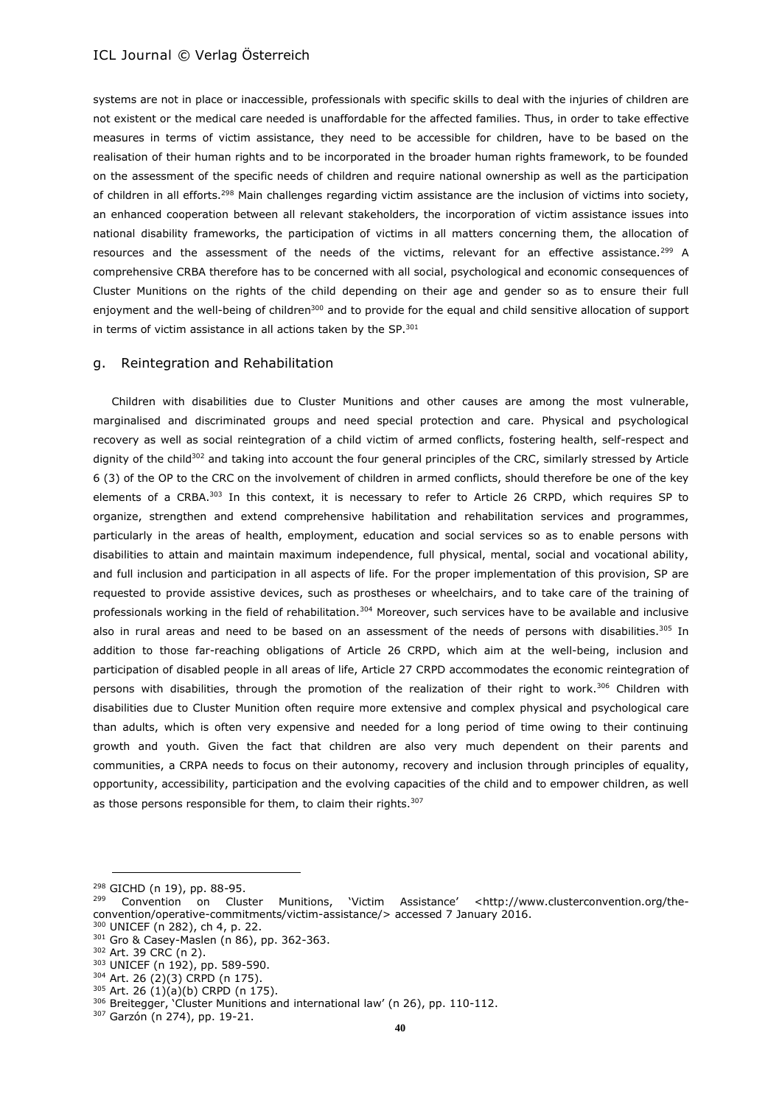systems are not in place or inaccessible, professionals with specific skills to deal with the injuries of children are not existent or the medical care needed is unaffordable for the affected families. Thus, in order to take effective measures in terms of victim assistance, they need to be accessible for children, have to be based on the realisation of their human rights and to be incorporated in the broader human rights framework, to be founded on the assessment of the specific needs of children and require national ownership as well as the participation of children in all efforts.<sup>298</sup> Main challenges regarding victim assistance are the inclusion of victims into society, an enhanced cooperation between all relevant stakeholders, the incorporation of victim assistance issues into national disability frameworks, the participation of victims in all matters concerning them, the allocation of resources and the assessment of the needs of the victims, relevant for an effective assistance.<sup>299</sup> A comprehensive CRBA therefore has to be concerned with all social, psychological and economic consequences of Cluster Munitions on the rights of the child depending on their age and gender so as to ensure their full enjoyment and the well-being of children<sup>300</sup> and to provide for the equal and child sensitive allocation of support in terms of victim assistance in all actions taken by the SP.<sup>301</sup>

#### g. Reintegration and Rehabilitation

Children with disabilities due to Cluster Munitions and other causes are among the most vulnerable, marginalised and discriminated groups and need special protection and care. Physical and psychological recovery as well as social reintegration of a child victim of armed conflicts, fostering health, self-respect and dignity of the child<sup>302</sup> and taking into account the four general principles of the CRC, similarly stressed by Article 6 (3) of the OP to the CRC on the involvement of children in armed conflicts, should therefore be one of the key elements of a CRBA.<sup>303</sup> In this context, it is necessary to refer to Article 26 CRPD, which requires SP to organize, strengthen and extend comprehensive habilitation and rehabilitation services and programmes, particularly in the areas of health, employment, education and social services so as to enable persons with disabilities to attain and maintain maximum independence, full physical, mental, social and vocational ability, and full inclusion and participation in all aspects of life. For the proper implementation of this provision, SP are requested to provide assistive devices, such as prostheses or wheelchairs, and to take care of the training of professionals working in the field of rehabilitation.<sup>304</sup> Moreover, such services have to be available and inclusive also in rural areas and need to be based on an assessment of the needs of persons with disabilities.<sup>305</sup> In addition to those far-reaching obligations of Article 26 CRPD, which aim at the well-being, inclusion and participation of disabled people in all areas of life, Article 27 CRPD accommodates the economic reintegration of persons with disabilities, through the promotion of the realization of their right to work.<sup>306</sup> Children with disabilities due to Cluster Munition often require more extensive and complex physical and psychological care than adults, which is often very expensive and needed for a long period of time owing to their continuing growth and youth. Given the fact that children are also very much dependent on their parents and communities, a CRPA needs to focus on their autonomy, recovery and inclusion through principles of equality, opportunity, accessibility, participation and the evolving capacities of the child and to empower children, as well as those persons responsible for them, to claim their rights.<sup>307</sup>

 $^{298}$  GICHD (n 19), pp. 88-95.

<sup>299</sup> Convention on Cluster Munitions, 'Victim Assistance' <http://www.clusterconvention.org/theconvention/operative-commitments/victim-assistance/> accessed 7 January 2016.

<sup>300</sup> UNICEF (n 282), ch 4, p. 22. <sup>301</sup> Gro & Casey-Maslen (n 86), pp. 362-363.

<sup>302</sup> Art. 39 CRC (n 2).

<sup>303</sup> UNICEF (n 192), pp. 589-590. <sup>304</sup> Art. 26 (2)(3) CRPD (n 175).

 $305$  Art. 26 (1)(a)(b) CRPD (n 175).

<sup>306</sup> Breitegger, 'Cluster Munitions and international law' (n 26), pp. 110-112.

<sup>307</sup> Garzón (n 274), pp. 19-21.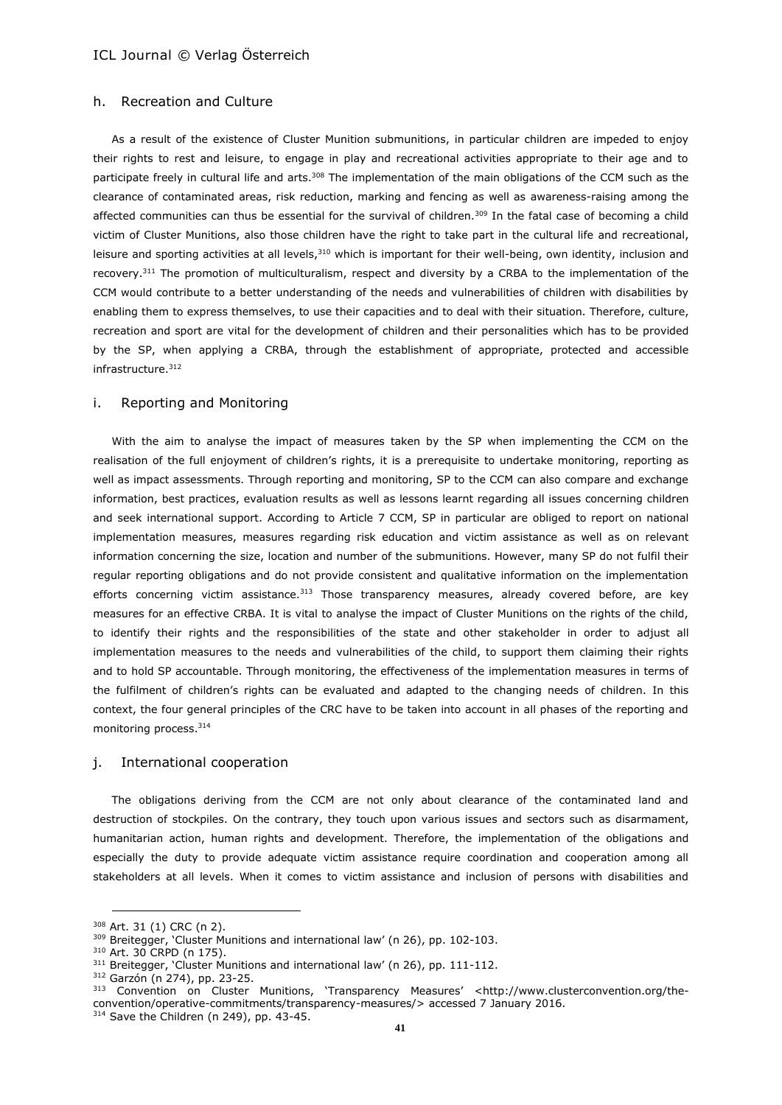# h. Recreation and Culture

As a result of the existence of Cluster Munition submunitions, in particular children are impeded to enjoy their rights to rest and leisure, to engage in play and recreational activities appropriate to their age and to participate freely in cultural life and arts.<sup>308</sup> The implementation of the main obligations of the CCM such as the clearance of contaminated areas, risk reduction, marking and fencing as well as awareness-raising among the affected communities can thus be essential for the survival of children.<sup>309</sup> In the fatal case of becoming a child victim of Cluster Munitions, also those children have the right to take part in the cultural life and recreational, leisure and sporting activities at all levels,  $310$  which is important for their well-being, own identity, inclusion and recovery.<sup>311</sup> The promotion of multiculturalism, respect and diversity by a CRBA to the implementation of the CCM would contribute to a better understanding of the needs and vulnerabilities of children with disabilities by enabling them to express themselves, to use their capacities and to deal with their situation. Therefore, culture, recreation and sport are vital for the development of children and their personalities which has to be provided by the SP, when applying a CRBA, through the establishment of appropriate, protected and accessible infrastructure.<sup>312</sup>

#### i. Reporting and Monitoring

With the aim to analyse the impact of measures taken by the SP when implementing the CCM on the realisation of the full enjoyment of children's rights, it is a prerequisite to undertake monitoring, reporting as well as impact assessments. Through reporting and monitoring, SP to the CCM can also compare and exchange information, best practices, evaluation results as well as lessons learnt regarding all issues concerning children and seek international support. According to Article 7 CCM, SP in particular are obliged to report on national implementation measures, measures regarding risk education and victim assistance as well as on relevant information concerning the size, location and number of the submunitions. However, many SP do not fulfil their regular reporting obligations and do not provide consistent and qualitative information on the implementation efforts concerning victim assistance.<sup>313</sup> Those transparency measures, already covered before, are key measures for an effective CRBA. It is vital to analyse the impact of Cluster Munitions on the rights of the child, to identify their rights and the responsibilities of the state and other stakeholder in order to adjust all implementation measures to the needs and vulnerabilities of the child, to support them claiming their rights and to hold SP accountable. Through monitoring, the effectiveness of the implementation measures in terms of the fulfilment of children's rights can be evaluated and adapted to the changing needs of children. In this context, the four general principles of the CRC have to be taken into account in all phases of the reporting and monitoring process.<sup>314</sup>

#### j. International cooperation

The obligations deriving from the CCM are not only about clearance of the contaminated land and destruction of stockpiles. On the contrary, they touch upon various issues and sectors such as disarmament, humanitarian action, human rights and development. Therefore, the implementation of the obligations and especially the duty to provide adequate victim assistance require coordination and cooperation among all stakeholders at all levels. When it comes to victim assistance and inclusion of persons with disabilities and

<sup>312</sup> Garzón (n 274), pp. 23-25.

<sup>308</sup> Art. 31 (1) CRC (n 2).

<sup>309</sup> Breitegger, 'Cluster Munitions and international law' (n 26), pp. 102-103.

<sup>310</sup> Art. 30 CRPD (n 175).

<sup>&</sup>lt;sup>311</sup> Breitegger, 'Cluster Munitions and international law' (n 26), pp. 111-112.

<sup>313</sup> Convention on Cluster Munitions, 'Transparency Measures' <http://www.clusterconvention.org/theconvention/operative-commitments/transparency-measures/> accessed 7 January 2016. 314 Save the Children (n 249), pp. 43-45.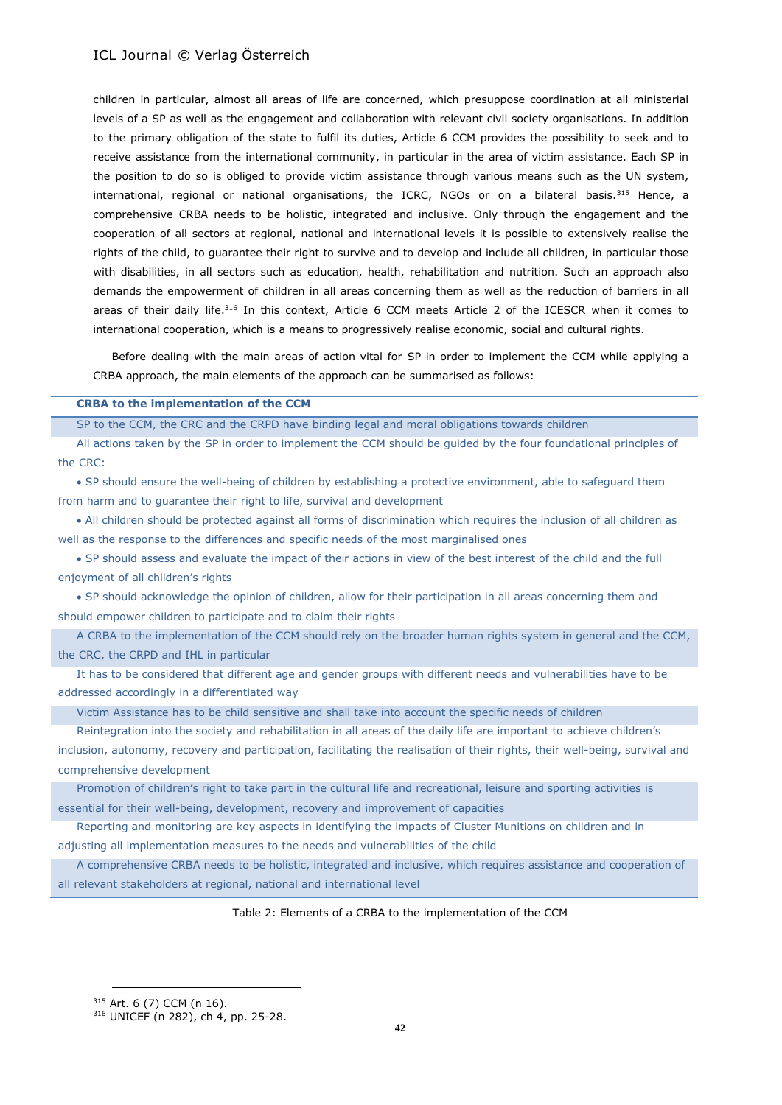children in particular, almost all areas of life are concerned, which presuppose coordination at all ministerial levels of a SP as well as the engagement and collaboration with relevant civil society organisations. In addition to the primary obligation of the state to fulfil its duties, Article 6 CCM provides the possibility to seek and to receive assistance from the international community, in particular in the area of victim assistance. Each SP in the position to do so is obliged to provide victim assistance through various means such as the UN system, international, regional or national organisations, the ICRC, NGOs or on a bilateral basis.<sup>315</sup> Hence, a comprehensive CRBA needs to be holistic, integrated and inclusive. Only through the engagement and the cooperation of all sectors at regional, national and international levels it is possible to extensively realise the rights of the child, to guarantee their right to survive and to develop and include all children, in particular those with disabilities, in all sectors such as education, health, rehabilitation and nutrition. Such an approach also demands the empowerment of children in all areas concerning them as well as the reduction of barriers in all areas of their daily life.<sup>316</sup> In this context, Article 6 CCM meets Article 2 of the ICESCR when it comes to international cooperation, which is a means to progressively realise economic, social and cultural rights.

Before dealing with the main areas of action vital for SP in order to implement the CCM while applying a CRBA approach, the main elements of the approach can be summarised as follows:

#### **CRBA to the implementation of the CCM**

SP to the CCM, the CRC and the CRPD have binding legal and moral obligations towards children

All actions taken by the SP in order to implement the CCM should be guided by the four foundational principles of the CRC:

 SP should ensure the well-being of children by establishing a protective environment, able to safeguard them from harm and to guarantee their right to life, survival and development

 All children should be protected against all forms of discrimination which requires the inclusion of all children as well as the response to the differences and specific needs of the most marginalised ones

 SP should assess and evaluate the impact of their actions in view of the best interest of the child and the full enjoyment of all children's rights

 SP should acknowledge the opinion of children, allow for their participation in all areas concerning them and should empower children to participate and to claim their rights

A CRBA to the implementation of the CCM should rely on the broader human rights system in general and the CCM, the CRC, the CRPD and IHL in particular

It has to be considered that different age and gender groups with different needs and vulnerabilities have to be addressed accordingly in a differentiated way

Victim Assistance has to be child sensitive and shall take into account the specific needs of children

Reintegration into the society and rehabilitation in all areas of the daily life are important to achieve children's inclusion, autonomy, recovery and participation, facilitating the realisation of their rights, their well-being, survival and comprehensive development

Promotion of children's right to take part in the cultural life and recreational, leisure and sporting activities is essential for their well-being, development, recovery and improvement of capacities

Reporting and monitoring are key aspects in identifying the impacts of Cluster Munitions on children and in

adjusting all implementation measures to the needs and vulnerabilities of the child

A comprehensive CRBA needs to be holistic, integrated and inclusive, which requires assistance and cooperation of all relevant stakeholders at regional, national and international level

#### Table 2: Elements of a CRBA to the implementation of the CCM

<sup>315</sup> Art. 6 (7) CCM (n 16).

<sup>316</sup> UNICEF (n 282), ch 4, pp. 25-28.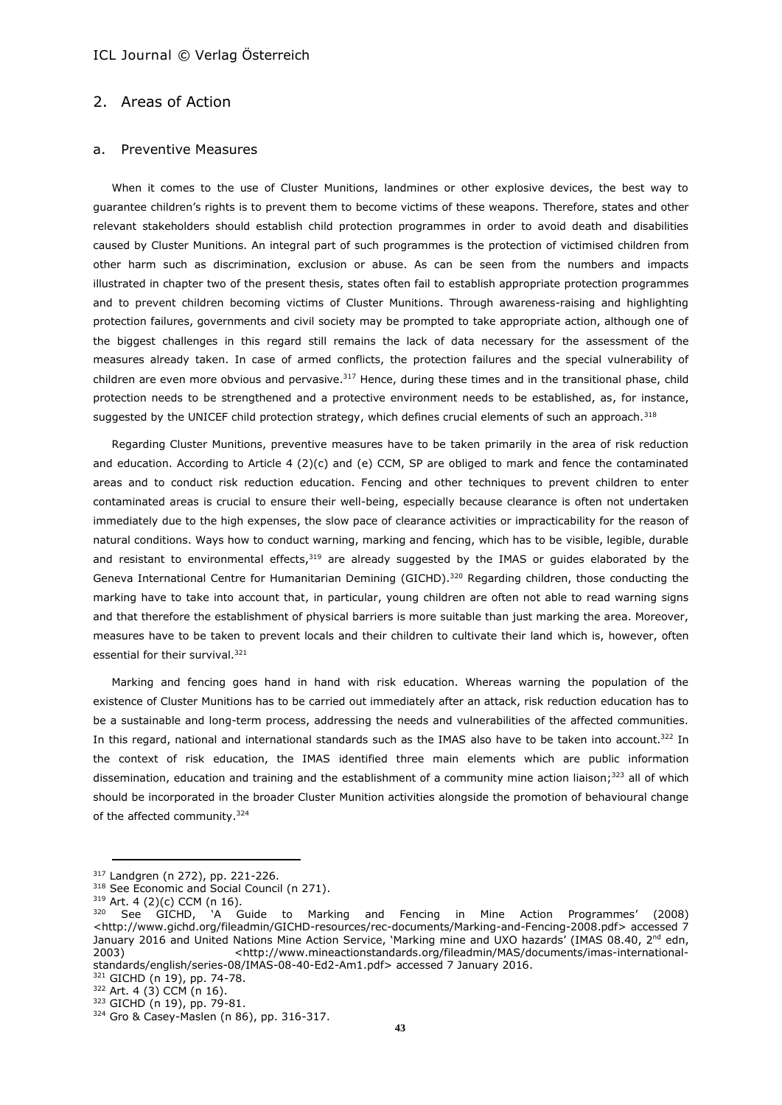# 2. Areas of Action

#### a. Preventive Measures

When it comes to the use of Cluster Munitions, landmines or other explosive devices, the best way to guarantee children's rights is to prevent them to become victims of these weapons. Therefore, states and other relevant stakeholders should establish child protection programmes in order to avoid death and disabilities caused by Cluster Munitions. An integral part of such programmes is the protection of victimised children from other harm such as discrimination, exclusion or abuse. As can be seen from the numbers and impacts illustrated in chapter two of the present thesis, states often fail to establish appropriate protection programmes and to prevent children becoming victims of Cluster Munitions. Through awareness-raising and highlighting protection failures, governments and civil society may be prompted to take appropriate action, although one of the biggest challenges in this regard still remains the lack of data necessary for the assessment of the measures already taken. In case of armed conflicts, the protection failures and the special vulnerability of children are even more obvious and pervasive.<sup>317</sup> Hence, during these times and in the transitional phase, child protection needs to be strengthened and a protective environment needs to be established, as, for instance, suggested by the UNICEF child protection strategy, which defines crucial elements of such an approach.<sup>318</sup>

Regarding Cluster Munitions, preventive measures have to be taken primarily in the area of risk reduction and education. According to Article 4 (2)(c) and (e) CCM, SP are obliged to mark and fence the contaminated areas and to conduct risk reduction education. Fencing and other techniques to prevent children to enter contaminated areas is crucial to ensure their well-being, especially because clearance is often not undertaken immediately due to the high expenses, the slow pace of clearance activities or impracticability for the reason of natural conditions. Ways how to conduct warning, marking and fencing, which has to be visible, legible, durable and resistant to environmental effects,<sup>319</sup> are already suggested by the IMAS or guides elaborated by the Geneva International Centre for Humanitarian Demining (GICHD).<sup>320</sup> Regarding children, those conducting the marking have to take into account that, in particular, young children are often not able to read warning signs and that therefore the establishment of physical barriers is more suitable than just marking the area. Moreover, measures have to be taken to prevent locals and their children to cultivate their land which is, however, often essential for their survival.<sup>321</sup>

Marking and fencing goes hand in hand with risk education. Whereas warning the population of the existence of Cluster Munitions has to be carried out immediately after an attack, risk reduction education has to be a sustainable and long-term process, addressing the needs and vulnerabilities of the affected communities. In this regard, national and international standards such as the IMAS also have to be taken into account.<sup>322</sup> In the context of risk education, the IMAS identified three main elements which are public information dissemination, education and training and the establishment of a community mine action liaison;<sup>323</sup> all of which should be incorporated in the broader Cluster Munition activities alongside the promotion of behavioural change of the affected community.<sup>324</sup>

<sup>317</sup> Landgren (n 272), pp. 221-226.

<sup>&</sup>lt;sup>318</sup> See Economic and Social Council (n 271).

 $319$  Art. 4 (2)(c) CCM (n 16).<br> $320$  Soo GICHD 'A G

<sup>320</sup> See GICHD, 'A Guide to Marking and Fencing in Mine Action Programmes' (2008) <http://www.gichd.org/fileadmin/GICHD-resources/rec-documents/Marking-and-Fencing-2008.pdf> accessed 7 January 2016 and United Nations Mine Action Service, 'Marking mine and UXO hazards' (IMAS 08.40, 2<sup>nd</sup> edn, 2003) <http://www.mineactionstandards.org/fileadmin/MAS/documents/imas-internationalstandards/english/series-08/IMAS-08-40-Ed2-Am1.pdf> accessed 7 January 2016.

<sup>321</sup> GICHD (n 19), pp. 74-78.  $322$  Art. 4 (3) CCM (n 16).

<sup>323</sup> GICHD (n 19), pp. 79-81.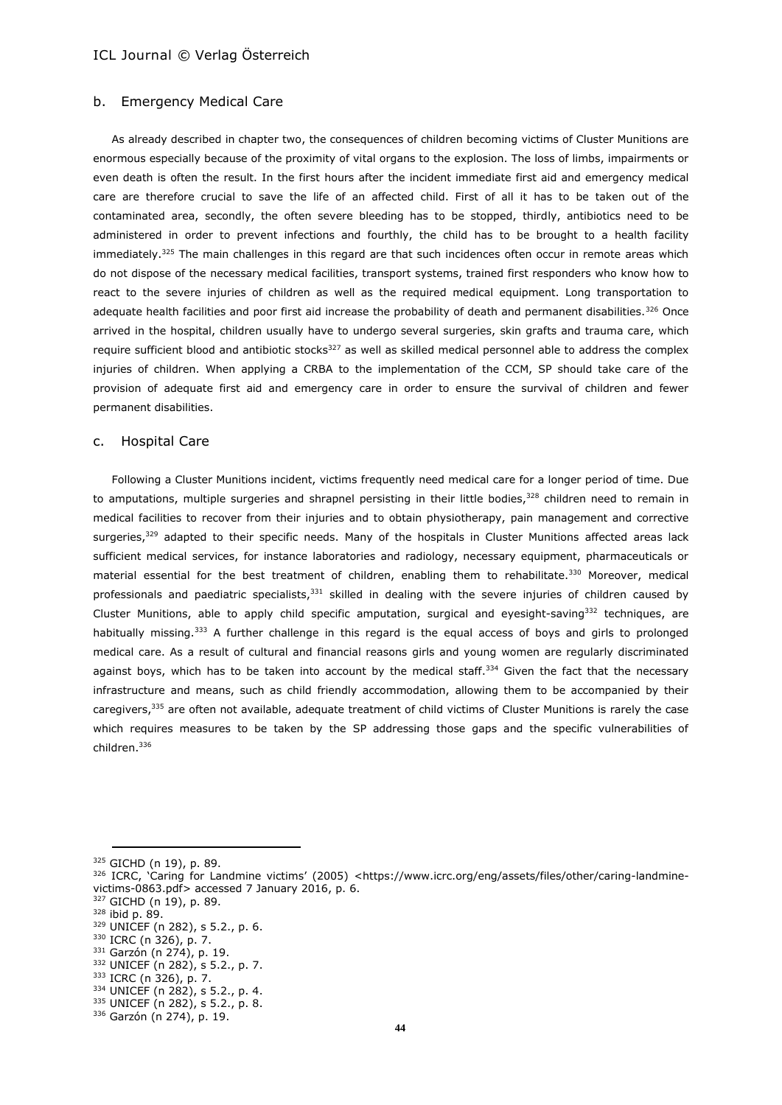#### b. Emergency Medical Care

As already described in chapter two, the consequences of children becoming victims of Cluster Munitions are enormous especially because of the proximity of vital organs to the explosion. The loss of limbs, impairments or even death is often the result. In the first hours after the incident immediate first aid and emergency medical care are therefore crucial to save the life of an affected child. First of all it has to be taken out of the contaminated area, secondly, the often severe bleeding has to be stopped, thirdly, antibiotics need to be administered in order to prevent infections and fourthly, the child has to be brought to a health facility immediately.<sup>325</sup> The main challenges in this regard are that such incidences often occur in remote areas which do not dispose of the necessary medical facilities, transport systems, trained first responders who know how to react to the severe injuries of children as well as the required medical equipment. Long transportation to adequate health facilities and poor first aid increase the probability of death and permanent disabilities.<sup>326</sup> Once arrived in the hospital, children usually have to undergo several surgeries, skin grafts and trauma care, which require sufficient blood and antibiotic stocks<sup>327</sup> as well as skilled medical personnel able to address the complex injuries of children. When applying a CRBA to the implementation of the CCM, SP should take care of the provision of adequate first aid and emergency care in order to ensure the survival of children and fewer permanent disabilities.

### c. Hospital Care

Following a Cluster Munitions incident, victims frequently need medical care for a longer period of time. Due to amputations, multiple surgeries and shrapnel persisting in their little bodies,<sup>328</sup> children need to remain in medical facilities to recover from their injuries and to obtain physiotherapy, pain management and corrective surgeries,<sup>329</sup> adapted to their specific needs. Many of the hospitals in Cluster Munitions affected areas lack sufficient medical services, for instance laboratories and radiology, necessary equipment, pharmaceuticals or material essential for the best treatment of children, enabling them to rehabilitate.<sup>330</sup> Moreover, medical professionals and paediatric specialists,<sup>331</sup> skilled in dealing with the severe injuries of children caused by Cluster Munitions, able to apply child specific amputation, surgical and eyesight-saving $332$  techniques, are habitually missing.<sup>333</sup> A further challenge in this regard is the equal access of boys and girls to prolonged medical care. As a result of cultural and financial reasons girls and young women are regularly discriminated against boys, which has to be taken into account by the medical staff.<sup>334</sup> Given the fact that the necessary infrastructure and means, such as child friendly accommodation, allowing them to be accompanied by their caregivers,<sup>335</sup> are often not available, adequate treatment of child victims of Cluster Munitions is rarely the case which requires measures to be taken by the SP addressing those gaps and the specific vulnerabilities of children.<sup>336</sup>

<sup>325</sup> GICHD (n 19), p. 89.

<sup>326</sup> ICRC, 'Caring for Landmine victims' (2005) <https://www.icrc.org/eng/assets/files/other/caring-landminevictims-0863.pdf> accessed 7 January 2016, p. 6.

<sup>327</sup> GICHD (n 19), p. 89.

<sup>328</sup> ibid p. 89.

<sup>329</sup> UNICEF (n 282), s 5.2., p. 6.

<sup>330</sup> ICRC (n 326), p. 7.

<sup>331</sup> Garzón (n 274), p. 19.

<sup>332</sup> UNICEF (n 282), s 5.2., p. 7.

<sup>333</sup> ICRC (n 326), p. 7.

<sup>334</sup> UNICEF (n 282), s 5.2., p. 4.

<sup>335</sup> UNICEF (n 282), s 5.2., p. 8. <sup>336</sup> Garzón (n 274), p. 19.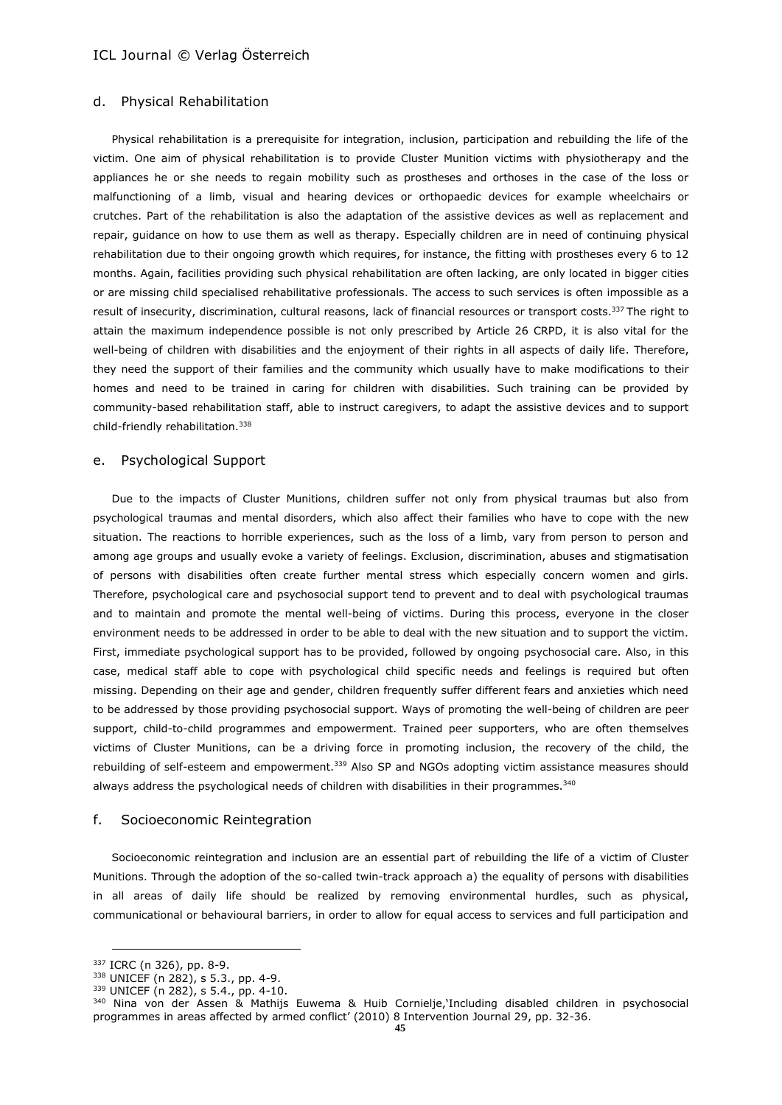#### d. Physical Rehabilitation

Physical rehabilitation is a prerequisite for integration, inclusion, participation and rebuilding the life of the victim. One aim of physical rehabilitation is to provide Cluster Munition victims with physiotherapy and the appliances he or she needs to regain mobility such as prostheses and orthoses in the case of the loss or malfunctioning of a limb, visual and hearing devices or orthopaedic devices for example wheelchairs or crutches. Part of the rehabilitation is also the adaptation of the assistive devices as well as replacement and repair, guidance on how to use them as well as therapy. Especially children are in need of continuing physical rehabilitation due to their ongoing growth which requires, for instance, the fitting with prostheses every 6 to 12 months. Again, facilities providing such physical rehabilitation are often lacking, are only located in bigger cities or are missing child specialised rehabilitative professionals. The access to such services is often impossible as a result of insecurity, discrimination, cultural reasons, lack of financial resources or transport costs.<sup>337</sup> The right to attain the maximum independence possible is not only prescribed by Article 26 CRPD, it is also vital for the well-being of children with disabilities and the enjoyment of their rights in all aspects of daily life. Therefore, they need the support of their families and the community which usually have to make modifications to their homes and need to be trained in caring for children with disabilities. Such training can be provided by community-based rehabilitation staff, able to instruct caregivers, to adapt the assistive devices and to support child-friendly rehabilitation.<sup>338</sup>

#### e. Psychological Support

Due to the impacts of Cluster Munitions, children suffer not only from physical traumas but also from psychological traumas and mental disorders, which also affect their families who have to cope with the new situation. The reactions to horrible experiences, such as the loss of a limb, vary from person to person and among age groups and usually evoke a variety of feelings. Exclusion, discrimination, abuses and stigmatisation of persons with disabilities often create further mental stress which especially concern women and girls. Therefore, psychological care and psychosocial support tend to prevent and to deal with psychological traumas and to maintain and promote the mental well-being of victims. During this process, everyone in the closer environment needs to be addressed in order to be able to deal with the new situation and to support the victim. First, immediate psychological support has to be provided, followed by ongoing psychosocial care. Also, in this case, medical staff able to cope with psychological child specific needs and feelings is required but often missing. Depending on their age and gender, children frequently suffer different fears and anxieties which need to be addressed by those providing psychosocial support. Ways of promoting the well-being of children are peer support, child-to-child programmes and empowerment. Trained peer supporters, who are often themselves victims of Cluster Munitions, can be a driving force in promoting inclusion, the recovery of the child, the rebuilding of self-esteem and empowerment.<sup>339</sup> Also SP and NGOs adopting victim assistance measures should always address the psychological needs of children with disabilities in their programmes.<sup>340</sup>

#### f. Socioeconomic Reintegration

Socioeconomic reintegration and inclusion are an essential part of rebuilding the life of a victim of Cluster Munitions. Through the adoption of the so-called twin-track approach a) the equality of persons with disabilities in all areas of daily life should be realized by removing environmental hurdles, such as physical, communicational or behavioural barriers, in order to allow for equal access to services and full participation and

<sup>337</sup> ICRC (n 326), pp. 8-9.

<sup>338</sup> UNICEF (n 282), s 5.3., pp. 4-9.

<sup>339</sup> UNICEF (n 282), s 5.4., pp. 4-10.

<sup>340</sup> Nina von der Assen & Mathijs Euwema & Huib Cornielje,'Including disabled children in psychosocial programmes in areas affected by armed conflict' (2010) 8 Intervention Journal 29, pp. 32-36.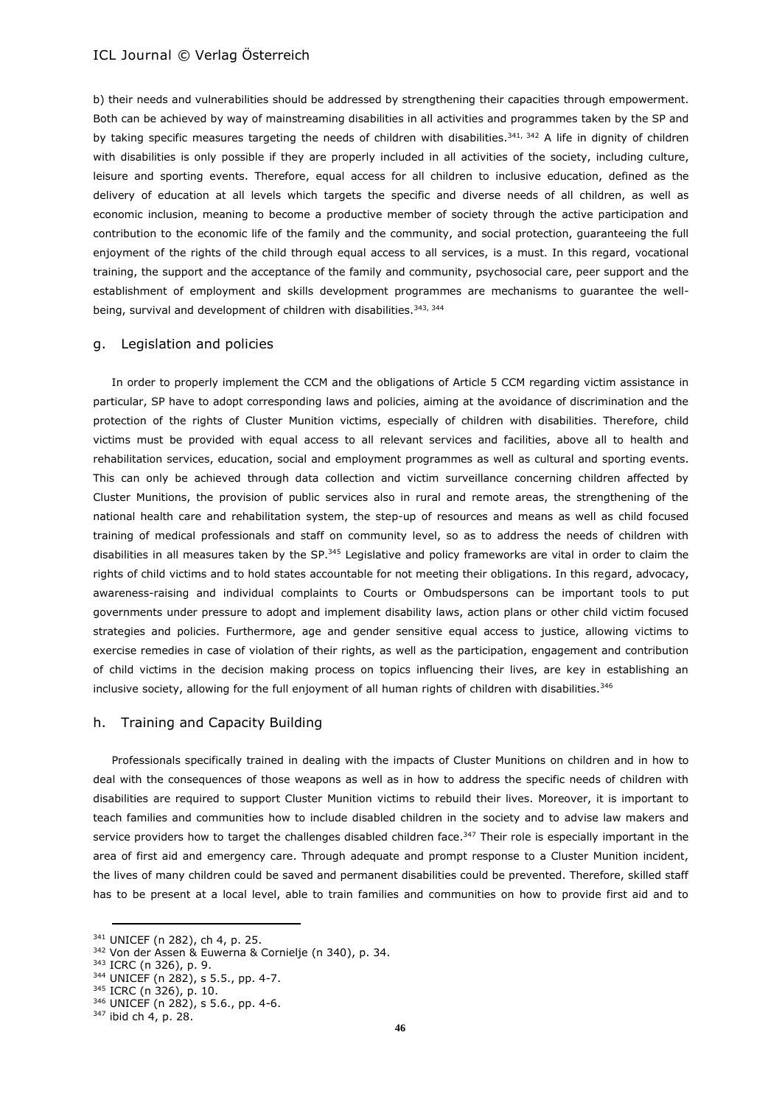b) their needs and vulnerabilities should be addressed by strengthening their capacities through empowerment. Both can be achieved by way of mainstreaming disabilities in all activities and programmes taken by the SP and by taking specific measures targeting the needs of children with disabilities.<sup>341, 342</sup> A life in dignity of children with disabilities is only possible if they are properly included in all activities of the society, including culture, leisure and sporting events. Therefore, equal access for all children to inclusive education, defined as the delivery of education at all levels which targets the specific and diverse needs of all children, as well as economic inclusion, meaning to become a productive member of society through the active participation and contribution to the economic life of the family and the community, and social protection, guaranteeing the full enjoyment of the rights of the child through equal access to all services, is a must. In this regard, vocational training, the support and the acceptance of the family and community, psychosocial care, peer support and the establishment of employment and skills development programmes are mechanisms to guarantee the wellbeing, survival and development of children with disabilities.<sup>343, 344</sup>

#### g. Legislation and policies

In order to properly implement the CCM and the obligations of Article 5 CCM regarding victim assistance in particular, SP have to adopt corresponding laws and policies, aiming at the avoidance of discrimination and the protection of the rights of Cluster Munition victims, especially of children with disabilities. Therefore, child victims must be provided with equal access to all relevant services and facilities, above all to health and rehabilitation services, education, social and employment programmes as well as cultural and sporting events. This can only be achieved through data collection and victim surveillance concerning children affected by Cluster Munitions, the provision of public services also in rural and remote areas, the strengthening of the national health care and rehabilitation system, the step-up of resources and means as well as child focused training of medical professionals and staff on community level, so as to address the needs of children with disabilities in all measures taken by the SP.<sup>345</sup> Legislative and policy frameworks are vital in order to claim the rights of child victims and to hold states accountable for not meeting their obligations. In this regard, advocacy, awareness-raising and individual complaints to Courts or Ombudspersons can be important tools to put governments under pressure to adopt and implement disability laws, action plans or other child victim focused strategies and policies. Furthermore, age and gender sensitive equal access to justice, allowing victims to exercise remedies in case of violation of their rights, as well as the participation, engagement and contribution of child victims in the decision making process on topics influencing their lives, are key in establishing an inclusive society, allowing for the full enjoyment of all human rights of children with disabilities.<sup>346</sup>

#### h. Training and Capacity Building

Professionals specifically trained in dealing with the impacts of Cluster Munitions on children and in how to deal with the consequences of those weapons as well as in how to address the specific needs of children with disabilities are required to support Cluster Munition victims to rebuild their lives. Moreover, it is important to teach families and communities how to include disabled children in the society and to advise law makers and service providers how to target the challenges disabled children face. $347$  Their role is especially important in the area of first aid and emergency care. Through adequate and prompt response to a Cluster Munition incident, the lives of many children could be saved and permanent disabilities could be prevented. Therefore, skilled staff has to be present at a local level, able to train families and communities on how to provide first aid and to

<sup>341</sup> UNICEF (n 282), ch 4, p. 25.

<sup>342</sup> Von der Assen & Euwerna & Cornielje (n 340), p. 34.

<sup>343</sup> ICRC (n 326), p. 9.

<sup>344</sup> UNICEF (n 282), s 5.5., pp. 4-7. <sup>345</sup> ICRC (n 326), p. 10.

<sup>346</sup> UNICEF (n 282), s 5.6., pp. 4-6.

 $347$  ibid ch 4, p. 28.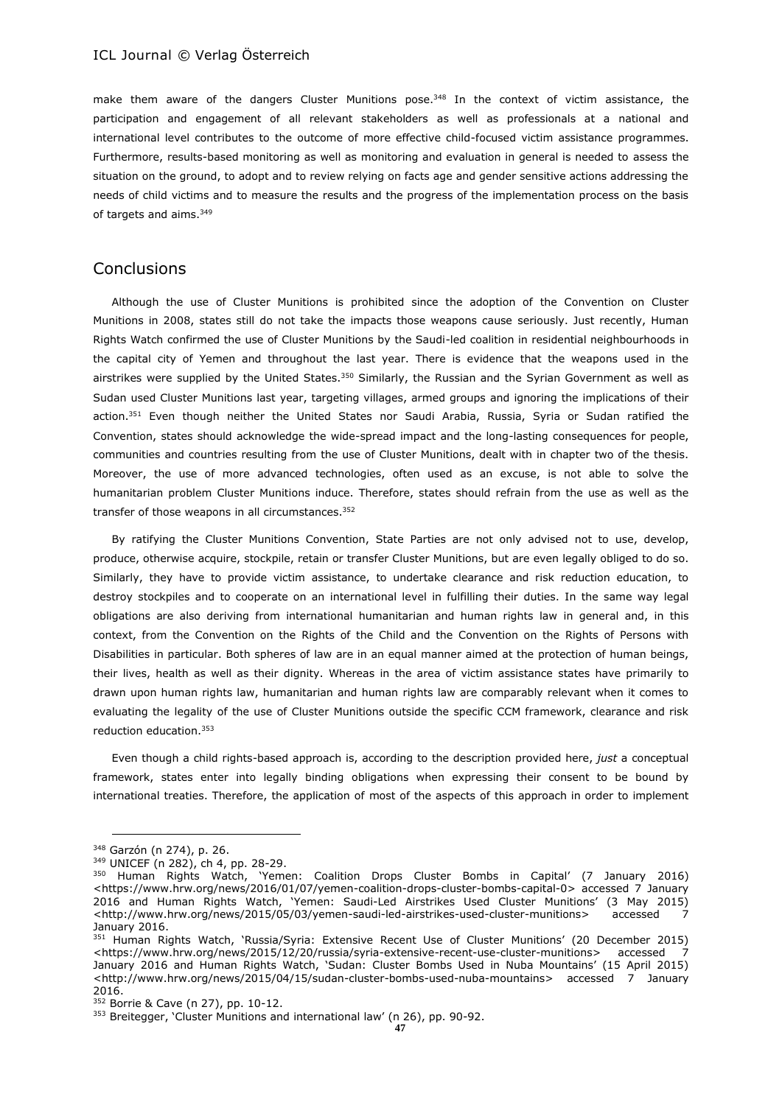make them aware of the dangers Cluster Munitions pose.<sup>348</sup> In the context of victim assistance, the participation and engagement of all relevant stakeholders as well as professionals at a national and international level contributes to the outcome of more effective child-focused victim assistance programmes. Furthermore, results-based monitoring as well as monitoring and evaluation in general is needed to assess the situation on the ground, to adopt and to review relying on facts age and gender sensitive actions addressing the needs of child victims and to measure the results and the progress of the implementation process on the basis of targets and aims.<sup>349</sup>

# **Conclusions**

Although the use of Cluster Munitions is prohibited since the adoption of the Convention on Cluster Munitions in 2008, states still do not take the impacts those weapons cause seriously. Just recently, Human Rights Watch confirmed the use of Cluster Munitions by the Saudi-led coalition in residential neighbourhoods in the capital city of Yemen and throughout the last year. There is evidence that the weapons used in the airstrikes were supplied by the United States.<sup>350</sup> Similarly, the Russian and the Syrian Government as well as Sudan used Cluster Munitions last year, targeting villages, armed groups and ignoring the implications of their action.<sup>351</sup> Even though neither the United States nor Saudi Arabia, Russia, Syria or Sudan ratified the Convention, states should acknowledge the wide-spread impact and the long-lasting consequences for people, communities and countries resulting from the use of Cluster Munitions, dealt with in chapter two of the thesis. Moreover, the use of more advanced technologies, often used as an excuse, is not able to solve the humanitarian problem Cluster Munitions induce. Therefore, states should refrain from the use as well as the transfer of those weapons in all circumstances.<sup>352</sup>

By ratifying the Cluster Munitions Convention, State Parties are not only advised not to use, develop, produce, otherwise acquire, stockpile, retain or transfer Cluster Munitions, but are even legally obliged to do so. Similarly, they have to provide victim assistance, to undertake clearance and risk reduction education, to destroy stockpiles and to cooperate on an international level in fulfilling their duties. In the same way legal obligations are also deriving from international humanitarian and human rights law in general and, in this context, from the Convention on the Rights of the Child and the Convention on the Rights of Persons with Disabilities in particular. Both spheres of law are in an equal manner aimed at the protection of human beings, their lives, health as well as their dignity. Whereas in the area of victim assistance states have primarily to drawn upon human rights law, humanitarian and human rights law are comparably relevant when it comes to evaluating the legality of the use of Cluster Munitions outside the specific CCM framework, clearance and risk reduction education. 353

Even though a child rights-based approach is, according to the description provided here, *just* a conceptual framework, states enter into legally binding obligations when expressing their consent to be bound by international treaties. Therefore, the application of most of the aspects of this approach in order to implement

<sup>348</sup> Garzón (n 274), p. 26.

<sup>349</sup> UNICEF (n 282), ch 4, pp. 28-29.

<sup>350</sup> Human Rights Watch, 'Yemen: Coalition Drops Cluster Bombs in Capital' (7 January 2016) <https://www.hrw.org/news/2016/01/07/yemen-coalition-drops-cluster-bombs-capital-0> accessed 7 January 2016 and Human Rights Watch, 'Yemen: Saudi-Led Airstrikes Used Cluster Munitions' (3 May 2015) <http://www.hrw.org/news/2015/05/03/yemen-saudi-led-airstrikes-used-cluster-munitions> accessed 7 January 2016.

<sup>351</sup> Human Rights Watch, 'Russia/Syria: Extensive Recent Use of Cluster Munitions' (20 December 2015) <https://www.hrw.org/news/2015/12/20/russia/syria-extensive-recent-use-cluster-munitions> accessed 7 January 2016 and Human Rights Watch, 'Sudan: Cluster Bombs Used in Nuba Mountains' (15 April 2015) <http://www.hrw.org/news/2015/04/15/sudan-cluster-bombs-used-nuba-mountains> accessed 7 January 2016.

<sup>352</sup> Borrie & Cave (n 27), pp. 10-12.

<sup>&</sup>lt;sup>353</sup> Breitegger, 'Cluster Munitions and international law' (n 26), pp. 90-92.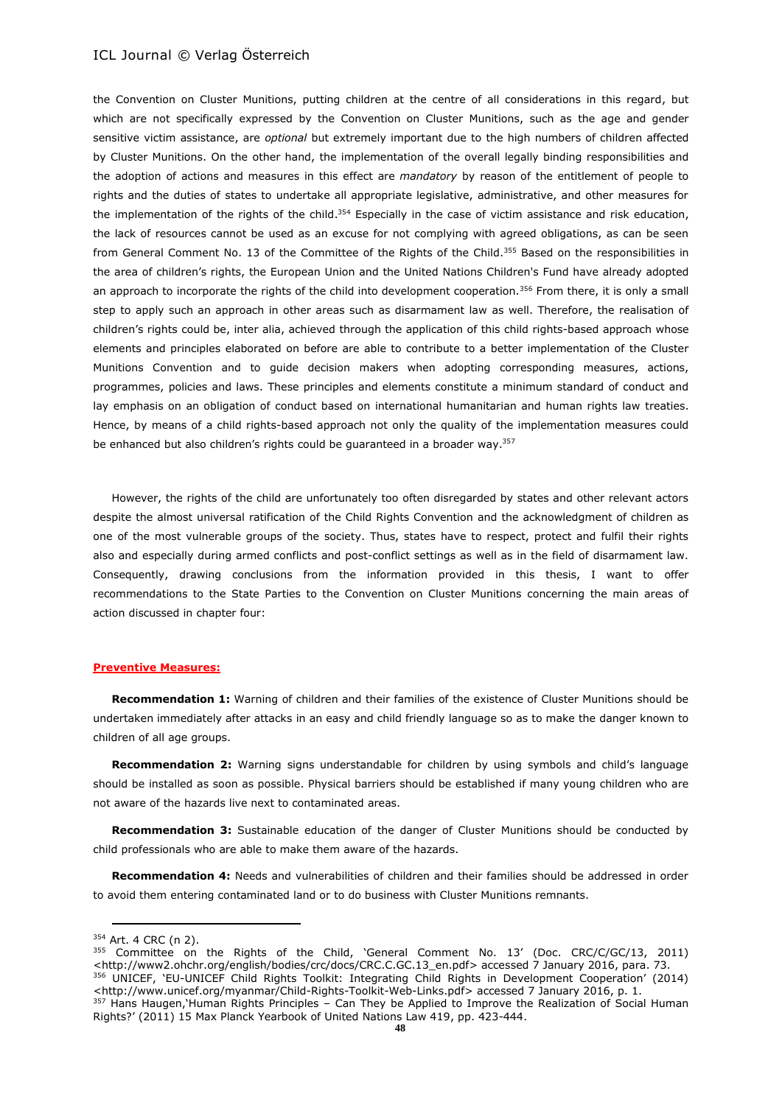the Convention on Cluster Munitions, putting children at the centre of all considerations in this regard, but which are not specifically expressed by the Convention on Cluster Munitions, such as the age and gender sensitive victim assistance, are *optional* but extremely important due to the high numbers of children affected by Cluster Munitions. On the other hand, the implementation of the overall legally binding responsibilities and the adoption of actions and measures in this effect are *mandatory* by reason of the entitlement of people to rights and the duties of states to undertake all appropriate legislative, administrative, and other measures for the implementation of the rights of the child.<sup>354</sup> Especially in the case of victim assistance and risk education, the lack of resources cannot be used as an excuse for not complying with agreed obligations, as can be seen from General Comment No. 13 of the Committee of the Rights of the Child.<sup>355</sup> Based on the responsibilities in the area of children's rights, the European Union and the United Nations Children's Fund have already adopted an approach to incorporate the rights of the child into development cooperation.<sup>356</sup> From there, it is only a small step to apply such an approach in other areas such as disarmament law as well. Therefore, the realisation of children's rights could be, inter alia, achieved through the application of this child rights-based approach whose elements and principles elaborated on before are able to contribute to a better implementation of the Cluster Munitions Convention and to guide decision makers when adopting corresponding measures, actions, programmes, policies and laws. These principles and elements constitute a minimum standard of conduct and lay emphasis on an obligation of conduct based on international humanitarian and human rights law treaties. Hence, by means of a child rights-based approach not only the quality of the implementation measures could be enhanced but also children's rights could be guaranteed in a broader way.<sup>357</sup>

However, the rights of the child are unfortunately too often disregarded by states and other relevant actors despite the almost universal ratification of the Child Rights Convention and the acknowledgment of children as one of the most vulnerable groups of the society. Thus, states have to respect, protect and fulfil their rights also and especially during armed conflicts and post-conflict settings as well as in the field of disarmament law. Consequently, drawing conclusions from the information provided in this thesis, I want to offer recommendations to the State Parties to the Convention on Cluster Munitions concerning the main areas of action discussed in chapter four:

#### **Preventive Measures:**

**Recommendation 1:** Warning of children and their families of the existence of Cluster Munitions should be undertaken immediately after attacks in an easy and child friendly language so as to make the danger known to children of all age groups.

**Recommendation 2:** Warning signs understandable for children by using symbols and child's language should be installed as soon as possible. Physical barriers should be established if many young children who are not aware of the hazards live next to contaminated areas.

**Recommendation 3:** Sustainable education of the danger of Cluster Munitions should be conducted by child professionals who are able to make them aware of the hazards.

**Recommendation 4:** Needs and vulnerabilities of children and their families should be addressed in order to avoid them entering contaminated land or to do business with Cluster Munitions remnants.

<sup>354</sup> Art. 4 CRC (n 2).

<sup>355</sup> Committee on the Rights of the Child, 'General Comment No. 13' (Doc. CRC/C/GC/13, 2011) <http://www2.ohchr.org/english/bodies/crc/docs/CRC.C.GC.13\_en.pdf> accessed 7 January 2016, para. 73. 356 UNICEF, 'EU-UNICEF Child Rights Toolkit: Integrating Child Rights in Development Cooperation' (2014)

<sup>&</sup>lt;http://www.unicef.org/myanmar/Child-Rights-Toolkit-Web-Links.pdf> accessed 7 January 2016, p. 1. 357 Hans Haugen, Human Rights Principles - Can They be Applied to Improve the Realization of Social Human Rights?' (2011) 15 Max Planck Yearbook of United Nations Law 419, pp. 423-444.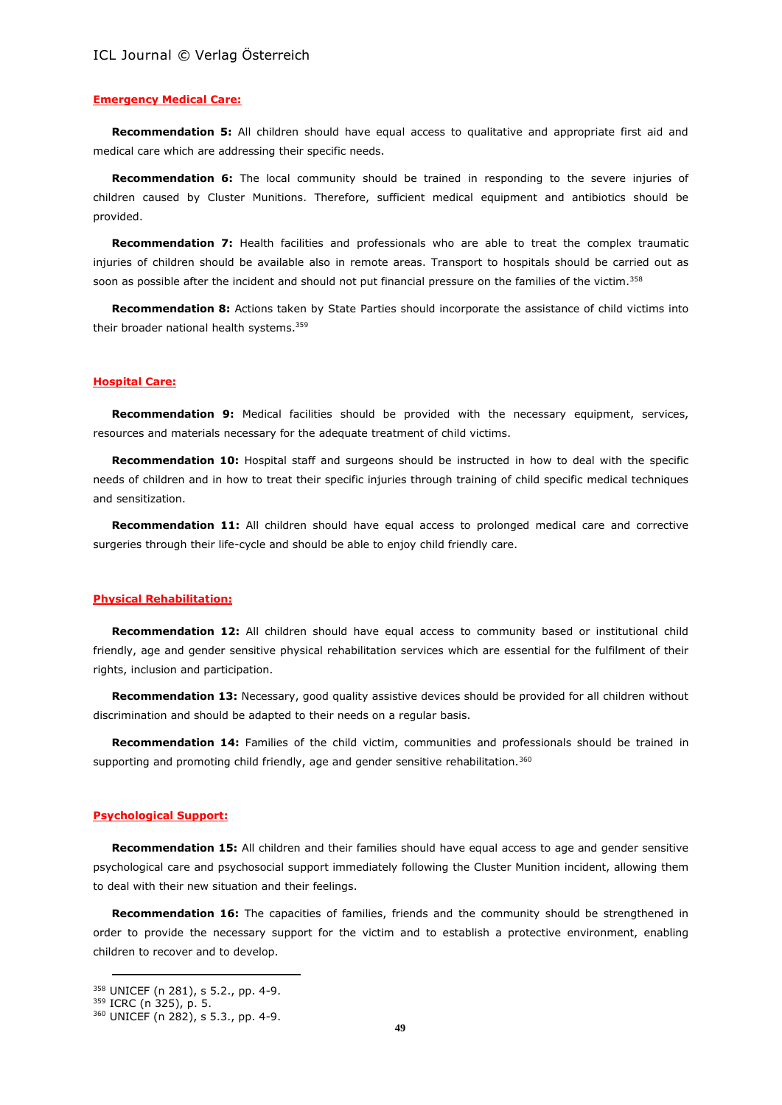#### **Emergency Medical Care:**

**Recommendation 5:** All children should have equal access to qualitative and appropriate first aid and medical care which are addressing their specific needs.

**Recommendation 6:** The local community should be trained in responding to the severe injuries of children caused by Cluster Munitions. Therefore, sufficient medical equipment and antibiotics should be provided.

**Recommendation 7:** Health facilities and professionals who are able to treat the complex traumatic injuries of children should be available also in remote areas. Transport to hospitals should be carried out as soon as possible after the incident and should not put financial pressure on the families of the victim.<sup>358</sup>

**Recommendation 8:** Actions taken by State Parties should incorporate the assistance of child victims into their broader national health systems.<sup>359</sup>

#### **Hospital Care:**

**Recommendation 9:** Medical facilities should be provided with the necessary equipment, services, resources and materials necessary for the adequate treatment of child victims.

**Recommendation 10:** Hospital staff and surgeons should be instructed in how to deal with the specific needs of children and in how to treat their specific injuries through training of child specific medical techniques and sensitization.

**Recommendation 11:** All children should have equal access to prolonged medical care and corrective surgeries through their life-cycle and should be able to enjoy child friendly care.

#### **Physical Rehabilitation:**

**Recommendation 12:** All children should have equal access to community based or institutional child friendly, age and gender sensitive physical rehabilitation services which are essential for the fulfilment of their rights, inclusion and participation.

**Recommendation 13:** Necessary, good quality assistive devices should be provided for all children without discrimination and should be adapted to their needs on a regular basis.

**Recommendation 14:** Families of the child victim, communities and professionals should be trained in supporting and promoting child friendly, age and gender sensitive rehabilitation.<sup>360</sup>

### **Psychological Support:**

**Recommendation 15:** All children and their families should have equal access to age and gender sensitive psychological care and psychosocial support immediately following the Cluster Munition incident, allowing them to deal with their new situation and their feelings.

**Recommendation 16:** The capacities of families, friends and the community should be strengthened in order to provide the necessary support for the victim and to establish a protective environment, enabling children to recover and to develop.

<sup>358</sup> UNICEF (n 281), s 5.2., pp. 4-9.

<sup>359</sup> ICRC (n 325), p. 5.

<sup>360</sup> UNICEF (n 282), s 5.3., pp. 4-9.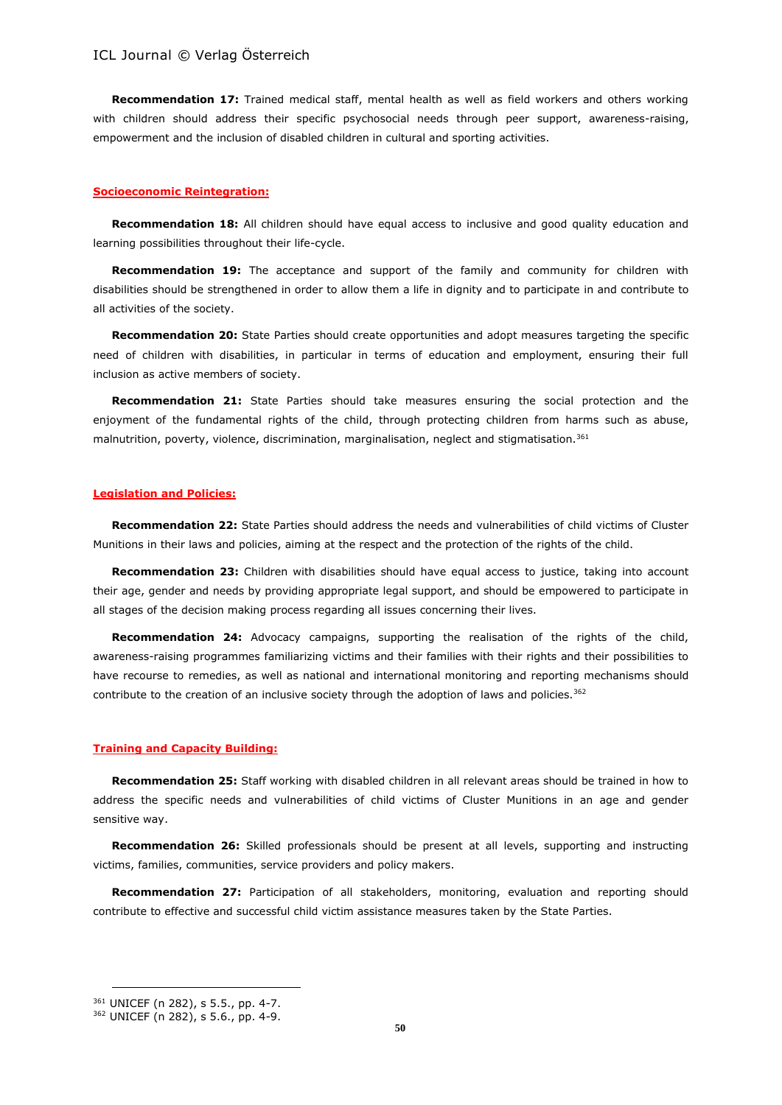**Recommendation 17:** Trained medical staff, mental health as well as field workers and others working with children should address their specific psychosocial needs through peer support, awareness-raising, empowerment and the inclusion of disabled children in cultural and sporting activities.

#### **Socioeconomic Reintegration:**

**Recommendation 18:** All children should have equal access to inclusive and good quality education and learning possibilities throughout their life-cycle.

**Recommendation 19:** The acceptance and support of the family and community for children with disabilities should be strengthened in order to allow them a life in dignity and to participate in and contribute to all activities of the society.

**Recommendation 20:** State Parties should create opportunities and adopt measures targeting the specific need of children with disabilities, in particular in terms of education and employment, ensuring their full inclusion as active members of society.

**Recommendation 21:** State Parties should take measures ensuring the social protection and the enjoyment of the fundamental rights of the child, through protecting children from harms such as abuse, malnutrition, poverty, violence, discrimination, marginalisation, neglect and stigmatisation.<sup>361</sup>

#### **Legislation and Policies:**

**Recommendation 22:** State Parties should address the needs and vulnerabilities of child victims of Cluster Munitions in their laws and policies, aiming at the respect and the protection of the rights of the child.

**Recommendation 23:** Children with disabilities should have equal access to justice, taking into account their age, gender and needs by providing appropriate legal support, and should be empowered to participate in all stages of the decision making process regarding all issues concerning their lives.

**Recommendation 24:** Advocacy campaigns, supporting the realisation of the rights of the child, awareness-raising programmes familiarizing victims and their families with their rights and their possibilities to have recourse to remedies, as well as national and international monitoring and reporting mechanisms should contribute to the creation of an inclusive society through the adoption of laws and policies.<sup>362</sup>

#### **Training and Capacity Building:**

**Recommendation 25:** Staff working with disabled children in all relevant areas should be trained in how to address the specific needs and vulnerabilities of child victims of Cluster Munitions in an age and gender sensitive way.

**Recommendation 26:** Skilled professionals should be present at all levels, supporting and instructing victims, families, communities, service providers and policy makers.

**Recommendation 27:** Participation of all stakeholders, monitoring, evaluation and reporting should contribute to effective and successful child victim assistance measures taken by the State Parties.

<sup>361</sup> UNICEF (n 282), s 5.5., pp. 4-7.

<sup>362</sup> UNICEF (n 282), s 5.6., pp. 4-9.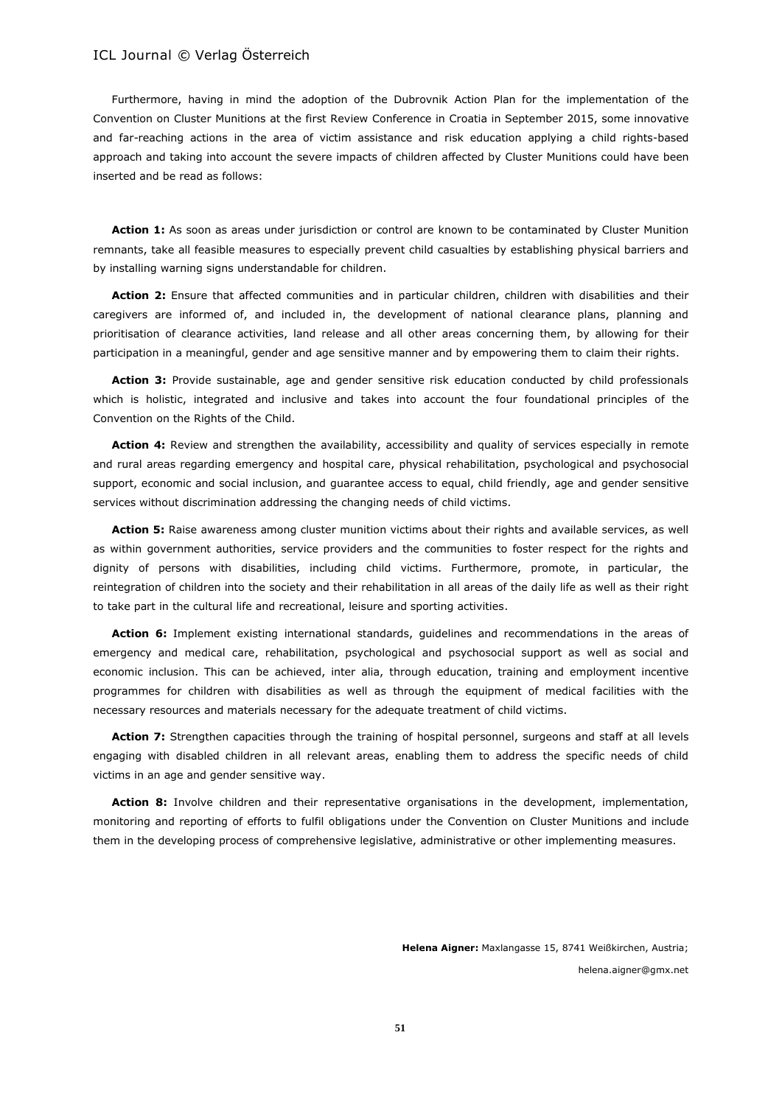Furthermore, having in mind the adoption of the Dubrovnik Action Plan for the implementation of the Convention on Cluster Munitions at the first Review Conference in Croatia in September 2015, some innovative and far-reaching actions in the area of victim assistance and risk education applying a child rights-based approach and taking into account the severe impacts of children affected by Cluster Munitions could have been inserted and be read as follows:

Action 1: As soon as areas under jurisdiction or control are known to be contaminated by Cluster Munition remnants, take all feasible measures to especially prevent child casualties by establishing physical barriers and by installing warning signs understandable for children.

**Action 2:** Ensure that affected communities and in particular children, children with disabilities and their caregivers are informed of, and included in, the development of national clearance plans, planning and prioritisation of clearance activities, land release and all other areas concerning them, by allowing for their participation in a meaningful, gender and age sensitive manner and by empowering them to claim their rights.

**Action 3:** Provide sustainable, age and gender sensitive risk education conducted by child professionals which is holistic, integrated and inclusive and takes into account the four foundational principles of the Convention on the Rights of the Child.

Action 4: Review and strengthen the availability, accessibility and quality of services especially in remote and rural areas regarding emergency and hospital care, physical rehabilitation, psychological and psychosocial support, economic and social inclusion, and quarantee access to equal, child friendly, age and gender sensitive services without discrimination addressing the changing needs of child victims.

**Action 5:** Raise awareness among cluster munition victims about their rights and available services, as well as within government authorities, service providers and the communities to foster respect for the rights and dignity of persons with disabilities, including child victims. Furthermore, promote, in particular, the reintegration of children into the society and their rehabilitation in all areas of the daily life as well as their right to take part in the cultural life and recreational, leisure and sporting activities.

**Action 6:** Implement existing international standards, guidelines and recommendations in the areas of emergency and medical care, rehabilitation, psychological and psychosocial support as well as social and economic inclusion. This can be achieved, inter alia, through education, training and employment incentive programmes for children with disabilities as well as through the equipment of medical facilities with the necessary resources and materials necessary for the adequate treatment of child victims.

**Action 7:** Strengthen capacities through the training of hospital personnel, surgeons and staff at all levels engaging with disabled children in all relevant areas, enabling them to address the specific needs of child victims in an age and gender sensitive way.

**Action 8:** Involve children and their representative organisations in the development, implementation, monitoring and reporting of efforts to fulfil obligations under the Convention on Cluster Munitions and include them in the developing process of comprehensive legislative, administrative or other implementing measures.

> **Helena Aigner:** Maxlangasse 15, 8741 Weißkirchen, Austria; helena.aigner@gmx.net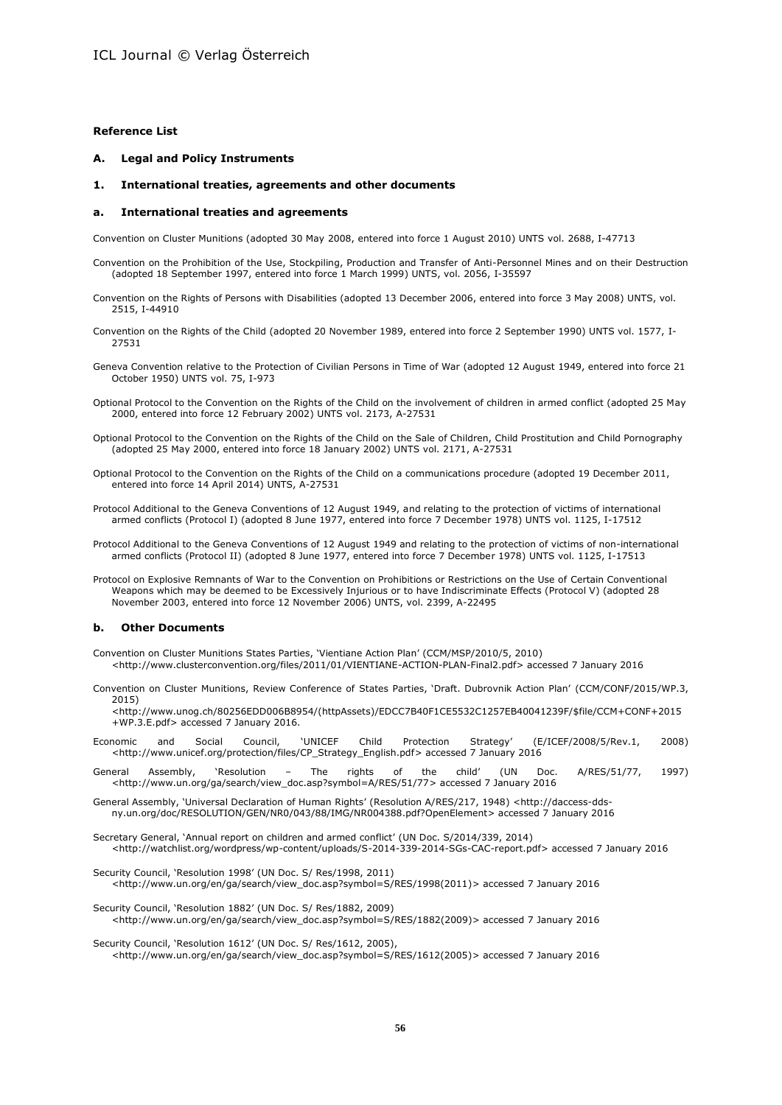#### **Reference List**

**A. Legal and Policy Instruments**

#### **1. International treaties, agreements and other documents**

#### **a. International treaties and agreements**

Convention on Cluster Munitions (adopted 30 May 2008, entered into force 1 August 2010) UNTS vol. 2688, I-47713

- Convention on the Prohibition of the Use, Stockpiling, Production and Transfer of Anti-Personnel Mines and on their Destruction (adopted 18 September 1997, entered into force 1 March 1999) UNTS, vol. 2056, I-35597
- Convention on the Rights of Persons with Disabilities (adopted 13 December 2006, entered into force 3 May 2008) UNTS, vol. 2515, I-44910
- Convention on the Rights of the Child (adopted 20 November 1989, entered into force 2 September 1990) UNTS vol. 1577, I-27531
- Geneva Convention relative to the Protection of Civilian Persons in Time of War (adopted 12 August 1949, entered into force 21 October 1950) UNTS vol. 75, I-973
- Optional Protocol to the Convention on the Rights of the Child on the involvement of children in armed conflict (adopted 25 May 2000, entered into force 12 February 2002) UNTS vol. 2173, A-27531
- Optional Protocol to the Convention on the Rights of the Child on the Sale of Children, Child Prostitution and Child Pornography (adopted 25 May 2000, entered into force 18 January 2002) UNTS vol. 2171, A-27531
- Optional Protocol to the Convention on the Rights of the Child on a communications procedure (adopted 19 December 2011, entered into force 14 April 2014) UNTS, A-27531
- Protocol Additional to the Geneva Conventions of 12 August 1949, and relating to the protection of victims of international armed conflicts (Protocol I) (adopted 8 June 1977, entered into force 7 December 1978) UNTS vol. 1125, I-17512
- Protocol Additional to the Geneva Conventions of 12 August 1949 and relating to the protection of victims of non-international armed conflicts (Protocol II) (adopted 8 June 1977, entered into force 7 December 1978) UNTS vol. 1125, I-17513
- Protocol on Explosive Remnants of War to the Convention on Prohibitions or Restrictions on the Use of Certain Conventional Weapons which may be deemed to be Excessively Injurious or to have Indiscriminate Effects (Protocol V) (adopted 28 November 2003, entered into force 12 November 2006) UNTS, vol. 2399, A-22495

#### **b. Other Documents**

- Convention on Cluster Munitions States Parties, 'Vientiane Action Plan' (CCM/MSP/2010/5, 2010) <http://www.clusterconvention.org/files/2011/01/VIENTIANE-ACTION-PLAN-Final2.pdf> accessed 7 January 2016
- Convention on Cluster Munitions, Review Conference of States Parties, 'Draft. Dubrovnik Action Plan' (CCM/CONF/2015/WP.3, 2015)
	- <http://www.unog.ch/80256EDD006B8954/(httpAssets)/EDCC7B40F1CE5532C1257EB40041239F/\$file/CCM+CONF+2015 +WP.3.E.pdf> accessed 7 January 2016.
- Economic and Social Council, 'UNICEF Child Protection Strategy' (E/ICEF/2008/5/Rev.1, 2008) <http://www.unicef.org/protection/files/CP\_Strategy\_English.pdf> accessed 7 January 2016
- General Assembly, 'Resolution The rights of the child' (UN Doc. A/RES/51/77, 1997) <http://www.un.org/ga/search/view\_doc.asp?symbol=A/RES/51/77> accessed 7 January 2016
- General Assembly, 'Universal Declaration of Human Rights' (Resolution A/RES/217, 1948) <http://daccess-ddsny.un.org/doc/RESOLUTION/GEN/NR0/043/88/IMG/NR004388.pdf?OpenElement> accessed 7 January 2016
- Secretary General, 'Annual report on children and armed conflict' (UN Doc. S/2014/339, 2014) <http://watchlist.org/wordpress/wp-content/uploads/S-2014-339-2014-SGs-CAC-report.pdf> accessed 7 January 2016
- Security Council, 'Resolution 1998' (UN Doc. S/ Res/1998, 2011) <http://www.un.org/en/ga/search/view\_doc.asp?symbol=S/RES/1998(2011)> accessed 7 January 2016
- Security Council, 'Resolution 1882' (UN Doc. S/ Res/1882, 2009) <http://www.un.org/en/ga/search/view\_doc.asp?symbol=S/RES/1882(2009)> accessed 7 January 2016
- Security Council, 'Resolution 1612' (UN Doc. S/ Res/1612, 2005), <http://www.un.org/en/ga/search/view\_doc.asp?symbol=S/RES/1612(2005)> accessed 7 January 2016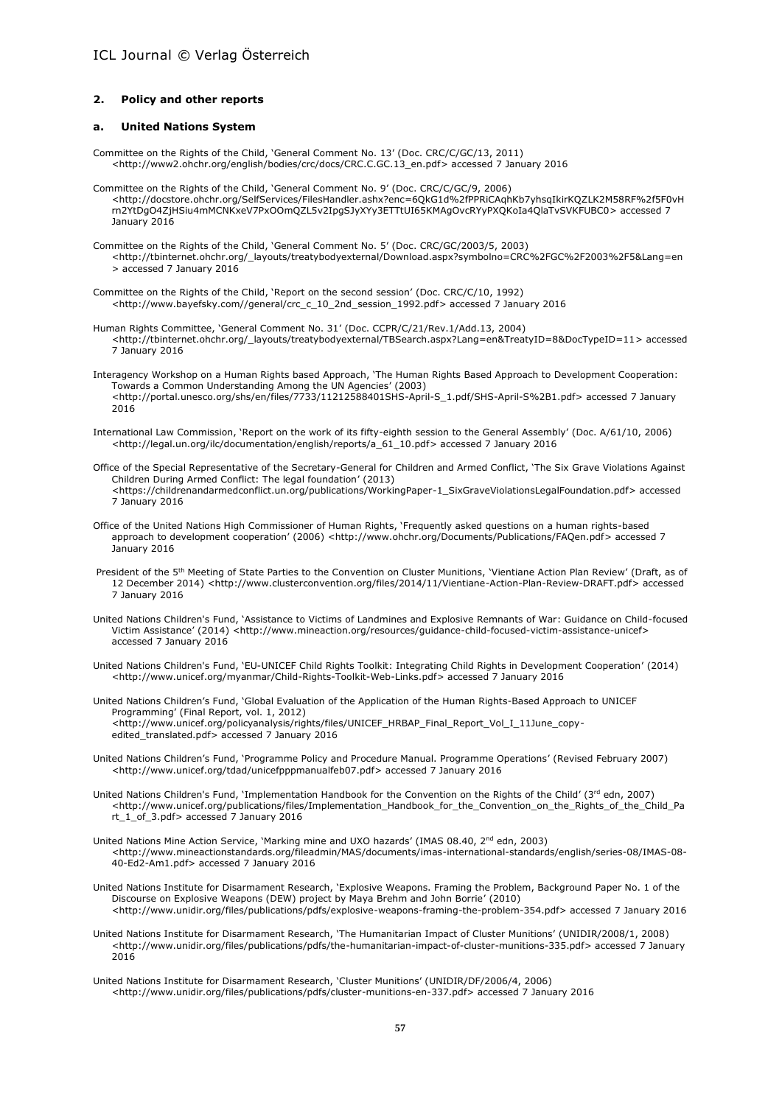#### **2. Policy and other reports**

#### **a. United Nations System**

- Committee on the Rights of the Child, 'General Comment No. 13' (Doc. CRC/C/GC/13, 2011) <http://www2.ohchr.org/english/bodies/crc/docs/CRC.C.GC.13\_en.pdf> accessed 7 January 2016
- Committee on the Rights of the Child, 'General Comment No. 9' (Doc. CRC/C/GC/9, 2006) <http://docstore.ohchr.org/SelfServices/FilesHandler.ashx?enc=6QkG1d%2fPPRiCAqhKb7yhsqIkirKQZLK2M58RF%2f5F0vH rn2YtDgO4ZjHSiu4mMCNKxeV7PxOOmQZL5v2IpgSJyXYy3ETTtUI65KMAgOvcRYyPXQKoIa4QlaTvSVKFUBC0> accessed 7 January 2016

Committee on the Rights of the Child, 'General Comment No. 5' (Doc. CRC/GC/2003/5, 2003) <http://tbinternet.ohchr.org/\_layouts/treatybodyexternal/Download.aspx?symbolno=CRC%2FGC%2F2003%2F5&Lang=en > accessed 7 January 2016

- Committee on the Rights of the Child, 'Report on the second session' (Doc. CRC/C/10, 1992) <http://www.bayefsky.com//general/crc\_c\_10\_2nd\_session\_1992.pdf> accessed 7 January 2016
- Human Rights Committee, 'General Comment No. 31' (Doc. CCPR/C/21/Rev.1/Add.13, 2004) <http://tbinternet.ohchr.org/\_layouts/treatybodyexternal/TBSearch.aspx?Lang=en&TreatyID=8&DocTypeID=11> accessed 7 January 2016
- Interagency Workshop on a Human Rights based Approach, 'The Human Rights Based Approach to Development Cooperation: Towards a Common Understanding Among the UN Agencies' (2003) <http://portal.unesco.org/shs/en/files/7733/11212588401SHS-April-S\_1.pdf/SHS-April-S%2B1.pdf> accessed 7 January 2016
- International Law Commission, 'Report on the work of its fifty-eighth session to the General Assembly' (Doc. A/61/10, 2006) <http://legal.un.org/ilc/documentation/english/reports/a\_61\_10.pdf> accessed 7 January 2016
- Office of the Special Representative of the Secretary-General for Children and Armed Conflict, 'The Six Grave Violations Against Children During Armed Conflict: The legal foundation' (2013) <https://childrenandarmedconflict.un.org/publications/WorkingPaper-1\_SixGraveViolationsLegalFoundation.pdf> accessed 7 January 2016
- Office of the United Nations High Commissioner of Human Rights, 'Frequently asked questions on a human rights-based approach to development cooperation' (2006) <http://www.ohchr.org/Documents/Publications/FAQen.pdf> accessed 7 January 2016
- President of the 5<sup>th</sup> Meeting of State Parties to the Convention on Cluster Munitions, 'Vientiane Action Plan Review' (Draft, as of 12 December 2014) <http://www.clusterconvention.org/files/2014/11/Vientiane-Action-Plan-Review-DRAFT.pdf> accessed 7 January 2016
- United Nations Children's Fund, 'Assistance to Victims of Landmines and Explosive Remnants of War: Guidance on Child-focused Victim Assistance' (2014) <http://www.mineaction.org/resources/guidance-child-focused-victim-assistance-unicef> accessed 7 January 2016
- United Nations Children's Fund, 'EU-UNICEF Child Rights Toolkit: Integrating Child Rights in Development Cooperation' (2014) <http://www.unicef.org/myanmar/Child-Rights-Toolkit-Web-Links.pdf> accessed 7 January 2016
- United Nations Children's Fund, 'Global Evaluation of the Application of the Human Rights-Based Approach to UNICEF Programming' (Final Report, vol. 1, 2012) <http://www.unicef.org/policyanalysis/rights/files/UNICEF\_HRBAP\_Final\_Report\_Vol\_I\_11June\_copyedited\_translated.pdf> accessed 7 January 2016
- United Nations Children's Fund, 'Programme Policy and Procedure Manual. Programme Operations' (Revised February 2007) <http://www.unicef.org/tdad/unicefpppmanualfeb07.pdf> accessed 7 January 2016
- United Nations Children's Fund, 'Implementation Handbook for the Convention on the Rights of the Child' (3rd edn, 2007) <http://www.unicef.org/publications/files/Implementation\_Handbook\_for\_the\_Convention\_on\_the\_Rights\_of\_the\_Child\_Pa rt\_1\_of\_3.pdf> accessed 7 January 2016
- United Nations Mine Action Service, 'Marking mine and UXO hazards' (IMAS 08.40, 2nd edn, 2003) <http://www.mineactionstandards.org/fileadmin/MAS/documents/imas-international-standards/english/series-08/IMAS-08- 40-Ed2-Am1.pdf> accessed 7 January 2016
- United Nations Institute for Disarmament Research, 'Explosive Weapons. Framing the Problem, Background Paper No. 1 of the Discourse on Explosive Weapons (DEW) project by Maya Brehm and John Borrie' (2010) <http://www.unidir.org/files/publications/pdfs/explosive-weapons-framing-the-problem-354.pdf> accessed 7 January 2016
- United Nations Institute for Disarmament Research, 'The Humanitarian Impact of Cluster Munitions' (UNIDIR/2008/1, 2008) <http://www.unidir.org/files/publications/pdfs/the-humanitarian-impact-of-cluster-munitions-335.pdf> accessed 7 January 2016
- United Nations Institute for Disarmament Research, 'Cluster Munitions' (UNIDIR/DF/2006/4, 2006) <http://www.unidir.org/files/publications/pdfs/cluster-munitions-en-337.pdf> accessed 7 January 2016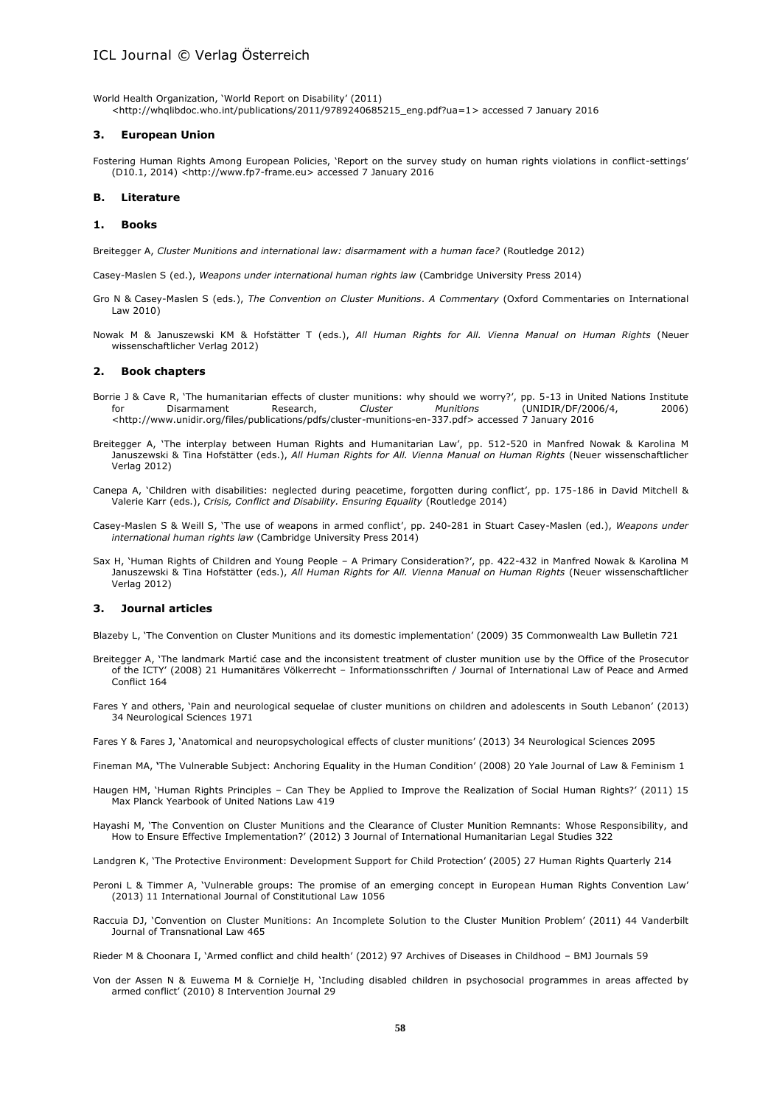World Health Organization, 'World Report on Disability' (2011) <http://whqlibdoc.who.int/publications/2011/9789240685215\_eng.pdf?ua=1> accessed 7 January 2016

#### **3. European Union**

Fostering Human Rights Among European Policies, 'Report on the survey study on human rights violations in conflict-settings' (D10.1, 2014) <http://www.fp7-frame.eu> accessed 7 January 2016

#### **B. Literature**

#### **1. Books**

Breitegger A, *Cluster Munitions and international law: disarmament with a human face?* (Routledge 2012)

Casey-Maslen S (ed.), *Weapons under international human rights law* (Cambridge University Press 2014)

- Gro N & Casey-Maslen S (eds.), *The Convention on Cluster Munitions*. *A Commentary* (Oxford Commentaries on International Law 2010)
- Nowak M & Januszewski KM & Hofstätter T (eds.), *All Human Rights for All. Vienna Manual on Human Rights* (Neuer wissenschaftlicher Verlag 2012)

#### **2. Book chapters**

- Borrie J & Cave R, 'The humanitarian effects of cluster munitions: why should we worry?', pp. 5-13 in United Nations Institute for Disarmament Research, *Cluster Munitions* (UNIDIR/DF/2006/4, 2006) <http://www.unidir.org/files/publications/pdfs/cluster-munitions-en-337.pdf> accessed 7 January 2016
- Breitegger A, 'The interplay between Human Rights and Humanitarian Law', pp. 512-520 in Manfred Nowak & Karolina M Januszewski & Tina Hofstätter (eds.), *All Human Rights for All. Vienna Manual on Human Rights* (Neuer wissenschaftlicher Verlag 2012)
- Canepa A, 'Children with disabilities: neglected during peacetime, forgotten during conflict', pp. 175-186 in David Mitchell & Valerie Karr (eds.), *Crisis, Conflict and Disability. Ensuring Equality* (Routledge 2014)
- Casey-Maslen S & Weill S, 'The use of weapons in armed conflict', pp. 240-281 in Stuart Casey-Maslen (ed.), *Weapons under international human rights law* (Cambridge University Press 2014)
- Sax H, 'Human Rights of Children and Young People A Primary Consideration?', pp. 422-432 in Manfred Nowak & Karolina M Januszewski & Tina Hofstätter (eds.), *All Human Rights for All. Vienna Manual on Human Rights* (Neuer wissenschaftlicher Verlag 2012)

#### **3. Journal articles**

Blazeby L, 'The Convention on Cluster Munitions and its domestic implementation' (2009) 35 Commonwealth Law Bulletin 721

- Breitegger A, 'The landmark Martić case and the inconsistent treatment of cluster munition use by the Office of the Prosecutor of the ICTY' (2008) 21 Humanitäres Völkerrecht – Informationsschriften / Journal of International Law of Peace and Armed Conflict 164
- Fares Y and others, 'Pain and neurological sequelae of cluster munitions on children and adolescents in South Lebanon' (2013) 34 [Neurological Sciences](http://link.springer.com/journal/10072) 1971
- Fares Y [& Fares](http://link.springer.com/search?facet-author=%22Youssef+Fares%22) J, 'Anatomical and neuropsychological effects of cluster munitions' (2013) 34 [Neurological Sciences](http://link.springer.com/journal/10072) 2095

Fineman MA, **'**The Vulnerable Subject: Anchoring Equality in the Human Condition' (2008) 20 Yale Journal of Law & Feminism 1

- Haugen HM, 'Human Rights Principles Can They be Applied to Improve the Realization of Social Human Rights?' (2011) 15 Max Planck Yearbook of United Nations Law 419
- [Hayashi](http://booksandjournals.brillonline.com/search;jsessionid=bfef8qfbe57a.x-brill-live-03?value1=&option1=all&value2=Mika+Hayashi&option2=author) M, 'The Convention on Cluster Munitions and the Clearance of Cluster Munition Remnants: Whose Responsibility, and How to Ensure Effective Implementation?' (2012) 3 [Journal of International Humanitarian Legal Studies](http://booksandjournals.brillonline.com/content/journals/18781527;jsessionid=bfef8qfbe57a.x-brill-live-03) 322

Landgren K, 'The Protective Environment: Development Support for Child Protection' (2005) 27 Human Rights Quarterly 214

- Peroni L & Timmer A, 'Vulnerable groups: The promise of an emerging concept in European Human Rights Convention Law' (2013) 11 International Journal of Constitutional Law 1056
- Raccuia DJ, 'Convention on Cluster Munitions: An Incomplete Solution to the Cluster Munition Problem' (2011) 44 Vanderbilt Journal of Transnational Law 465

Rieder M & Choonara I, 'Armed conflict and child health' (2012) 97 Archives of Diseases in Childhood – BMJ Journals 59

Von der Assen N & Euwema M & Cornielje H, 'Including disabled children in psychosocial programmes in areas affected by armed conflict' (2010) 8 Intervention Journal 29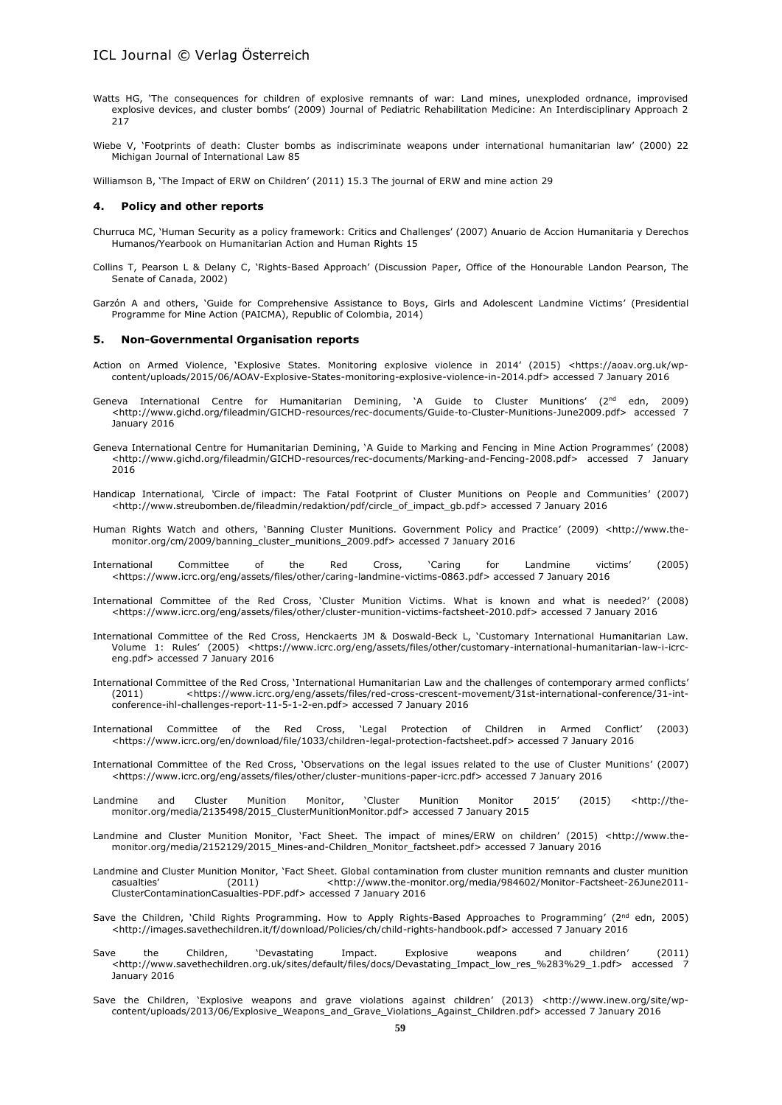- Watts HG, 'The consequences for children of explosive remnants of war: Land mines, unexploded ordnance, improvised explosive devices, and cluster bombs' (2009) Journal of Pediatric Rehabilitation Medicine: An Interdisciplinary Approach 2 217
- Wiebe V, 'Footprints of death: Cluster bombs as indiscriminate weapons under international humanitarian law' (2000) 22 Michigan Journal of International Law 85

Williamson B, 'The Impact of ERW on Children' (2011) 15.3 The journal of ERW and mine action 29

#### **4. Policy and other reports**

- Churruca MC, 'Human Security as a policy framework: Critics and Challenges' (2007) Anuario de Accion Humanitaria y Derechos Humanos/Yearbook on Humanitarian Action and Human Rights 15
- Collins T, Pearson L & Delany C, 'Rights-Based Approach' (Discussion Paper, Office of the Honourable Landon Pearson, The Senate of Canada, 2002)
- Garzón A and others, 'Guide for Comprehensive Assistance to Boys, Girls and Adolescent Landmine Victims' (Presidential Programme for Mine Action (PAICMA), Republic of Colombia, 2014)

#### **5. Non-Governmental Organisation reports**

- Action on Armed Violence, 'Explosive States. Monitoring explosive violence in 2014' (2015) <https://aoav.org.uk/wpcontent/uploads/2015/06/AOAV-Explosive-States-monitoring-explosive-violence-in-2014.pdf> accessed 7 January 2016
- Geneva International Centre for Humanitarian Demining, 'A Guide to Cluster Munitions' (2<sup>nd</sup> edn, 2009) <http://www.gichd.org/fileadmin/GICHD-resources/rec-documents/Guide-to-Cluster-Munitions-June2009.pdf> accessed 7 January 2016
- Geneva International Centre for Humanitarian Demining, 'A Guide to Marking and Fencing in Mine Action Programmes' (2008) <http://www.gichd.org/fileadmin/GICHD-resources/rec-documents/Marking-and-Fencing-2008.pdf> accessed 7 January 2016
- Handicap International*, '*Circle of impact: The Fatal Footprint of Cluster Munitions on People and Communities' (2007) <http://www.streubomben.de/fileadmin/redaktion/pdf/circle\_of\_impact\_gb.pdf> accessed 7 January 2016
- Human Rights Watch and others, 'Banning Cluster Munitions. Government Policy and Practice' (2009) <http://www.themonitor.org/cm/2009/banning\_cluster\_munitions\_2009.pdf> accessed 7 January 2016
- International Committee of the Red Cross, 'Caring for Landmine victims' (2005) <https://www.icrc.org/eng/assets/files/other/caring-landmine-victims-0863.pdf> accessed 7 January 2016
- International Committee of the Red Cross, 'Cluster Munition Victims. What is known and what is needed?' (2008) <https://www.icrc.org/eng/assets/files/other/cluster-munition-victims-factsheet-2010.pdf> accessed 7 January 2016
- International Committee of the Red Cross, Henckaerts JM & Doswald-Beck L, 'Customary International Humanitarian Law. Volume 1: Rules' (2005) <https://www.icrc.org/eng/assets/files/other/customary-international-humanitarian-law-i-icrceng.pdf> accessed 7 January 2016
- International Committee of the Red Cross, 'International Humanitarian Law and the challenges of contemporary armed conflicts' (2011) <https://www.icrc.org/eng/assets/files/red-cross-crescent-movement/31st-international-conference/31-intconference-ihl-challenges-report-11-5-1-2-en.pdf> accessed 7 January 2016
- International Committee of the Red Cross, 'Legal Protection of Children in Armed Conflict' (2003) <https://www.icrc.org/en/download/file/1033/children-legal-protection-factsheet.pdf> accessed 7 January 2016
- International Committee of the Red Cross, 'Observations on the legal issues related to the use of Cluster Munitions' (2007) <https://www.icrc.org/eng/assets/files/other/cluster-munitions-paper-icrc.pdf> accessed 7 January 2016
- Landmine and Cluster Munition Monitor, 'Cluster Munition Monitor 2015' (2015) <http://themonitor.org/media/2135498/2015\_ClusterMunitionMonitor.pdf> accessed 7 January 2015
- Landmine and Cluster Munition Monitor, 'Fact Sheet. The impact of mines/ERW on children' (2015) <http://www.themonitor.org/media/2152129/2015\_Mines-and-Children\_Monitor\_factsheet.pdf> accessed 7 January 2016
- Landmine and Cluster Munition Monitor, 'Fact Sheet. Global contamination from cluster munition remnants and cluster munition casualties' (2011) <http://www.the-monitor.org/media/984602/Monitor-Factsheet-26June2011- ClusterContaminationCasualties-PDF.pdf> accessed 7 January 2016
- Save the Children, 'Child Rights Programming. How to Apply Rights-Based Approaches to Programming' (2<sup>nd</sup> edn, 2005) <http://images.savethechildren.it/f/download/Policies/ch/child-rights-handbook.pdf> accessed 7 January 2016
- Save the Children, 'Devastating Impact. Explosive weapons and children' (2011) <http://www.savethechildren.org.uk/sites/default/files/docs/Devastating\_Impact\_low\_res\_%283%29\_1.pdf> accessed 7 January 2016
- Save the Children, 'Explosive weapons and grave violations against children' (2013) <http://www.inew.org/site/wpcontent/uploads/2013/06/Explosive\_Weapons\_and\_Grave\_Violations\_Against\_Children.pdf> accessed 7 January 2016